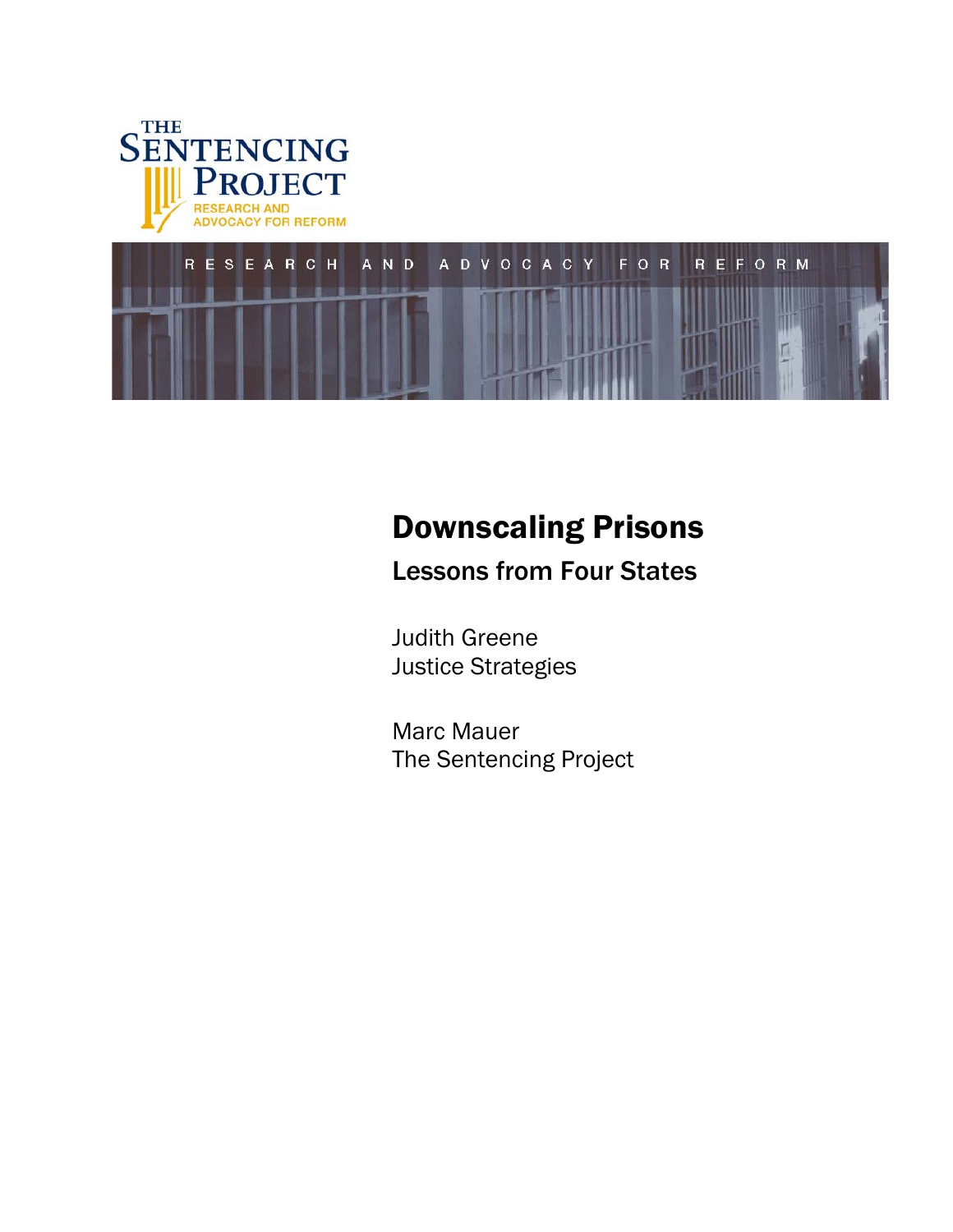



# Downscaling Prisons

Lessons from Four States

Judith Greene Justice Strategies

Marc Mauer The Sentencing Project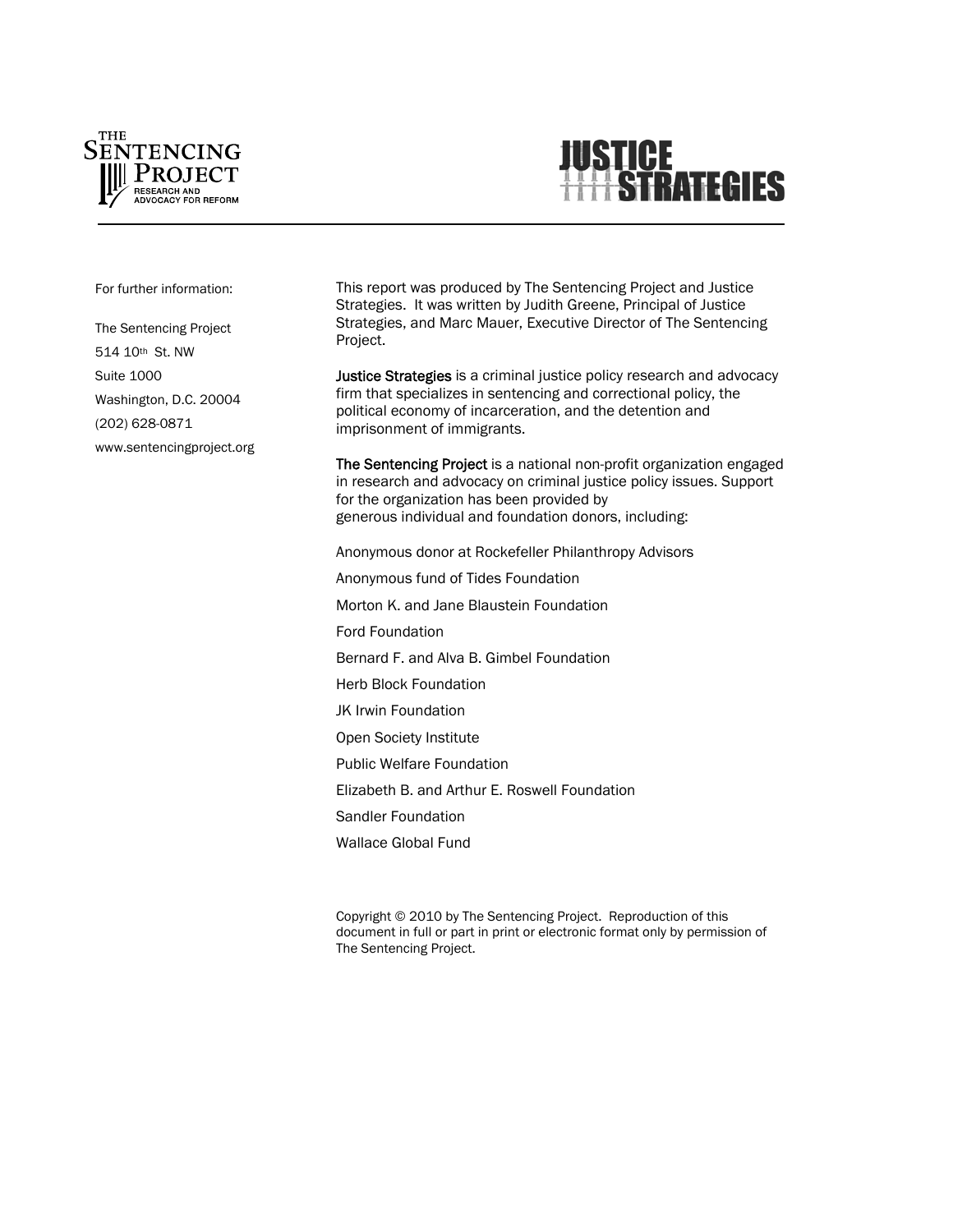



For further information:

The Sentencing Project 514 10th St. NW Suite 1000 Washington, D.C. 20004 (202) 628-0871 www.sentencingproject.org This report was produced by The Sentencing Project and Justice Strategies. It was written by Judith Greene, Principal of Justice Strategies, and Marc Mauer, Executive Director of The Sentencing Project.

Justice Strategies is a criminal justice policy research and advocacy firm that specializes in sentencing and correctional policy, the political economy of incarceration, and the detention and imprisonment of immigrants.

The Sentencing Project is a national non-profit organization engaged in research and advocacy on criminal justice policy issues. Support for the organization has been provided by generous individual and foundation donors, including:

Anonymous donor at Rockefeller Philanthropy Advisors Anonymous fund of Tides Foundation Morton K. and Jane Blaustein Foundation Ford Foundation Bernard F. and Alva B. Gimbel Foundation Herb Block Foundation JK Irwin Foundation Open Society Institute Public Welfare Foundation Elizabeth B. and Arthur E. Roswell Foundation Sandler Foundation Wallace Global Fund

Copyright © 2010 by The Sentencing Project. Reproduction of this document in full or part in print or electronic format only by permission of The Sentencing Project.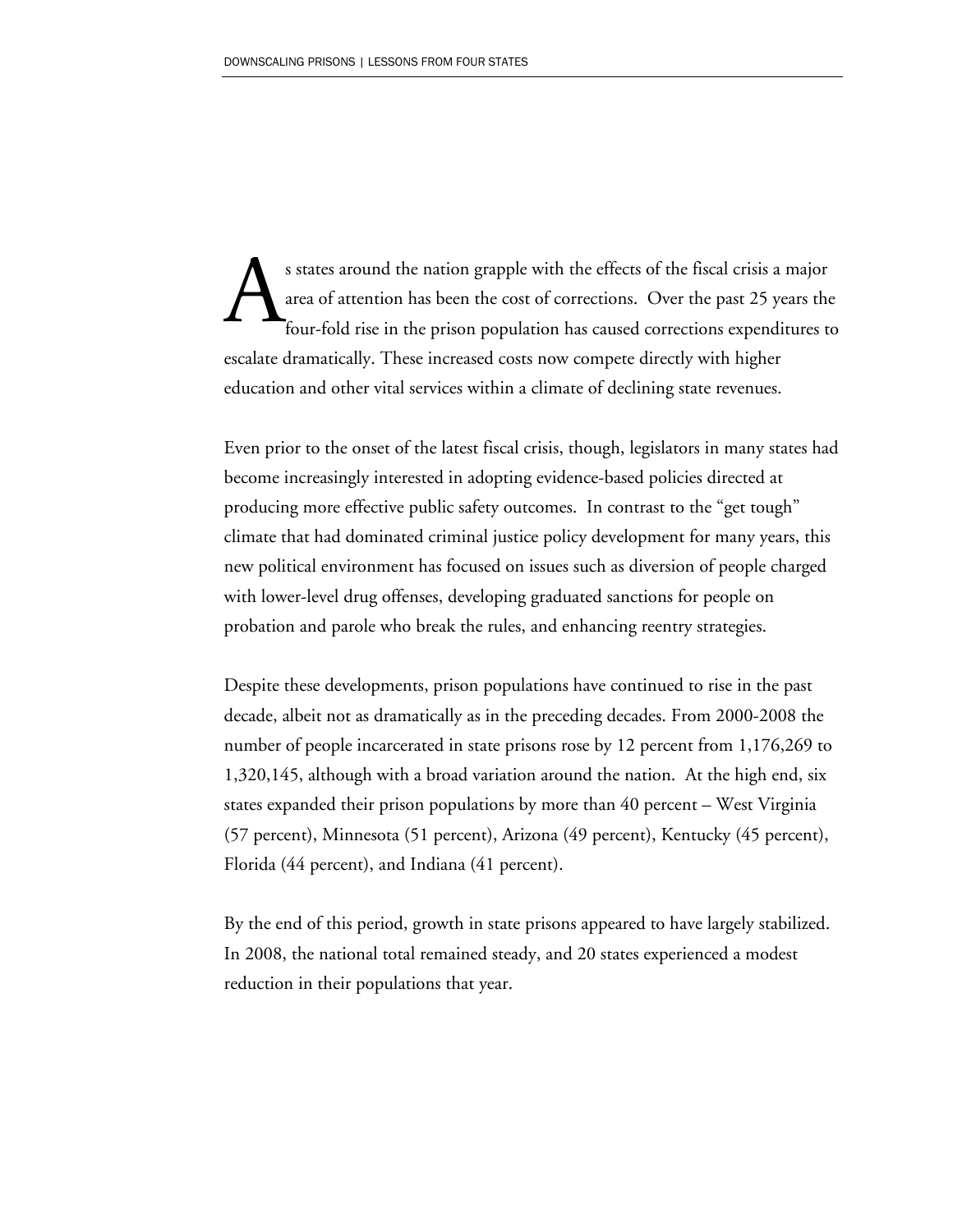s states around the nation grapple with the effects of the fiscal crisis a major area of attention has been the cost of corrections. Over the past 25 years the four-fold rise in the prison population has caused corrections expenditures to escalate dramatically. These increased costs now compete directly with higher education and other vital services within a climate of declining state revenues. A

Even prior to the onset of the latest fiscal crisis, though, legislators in many states had become increasingly interested in adopting evidence-based policies directed at producing more effective public safety outcomes. In contrast to the "get tough" climate that had dominated criminal justice policy development for many years, this new political environment has focused on issues such as diversion of people charged with lower-level drug offenses, developing graduated sanctions for people on probation and parole who break the rules, and enhancing reentry strategies.

Despite these developments, prison populations have continued to rise in the past decade, albeit not as dramatically as in the preceding decades. From 2000-2008 the number of people incarcerated in state prisons rose by 12 percent from 1,176,269 to 1,320,145, although with a broad variation around the nation. At the high end, six states expanded their prison populations by more than 40 percent – West Virginia (57 percent), Minnesota (51 percent), Arizona (49 percent), Kentucky (45 percent), Florida (44 percent), and Indiana (41 percent).

By the end of this period, growth in state prisons appeared to have largely stabilized. In 2008, the national total remained steady, and 20 states experienced a modest reduction in their populations that year.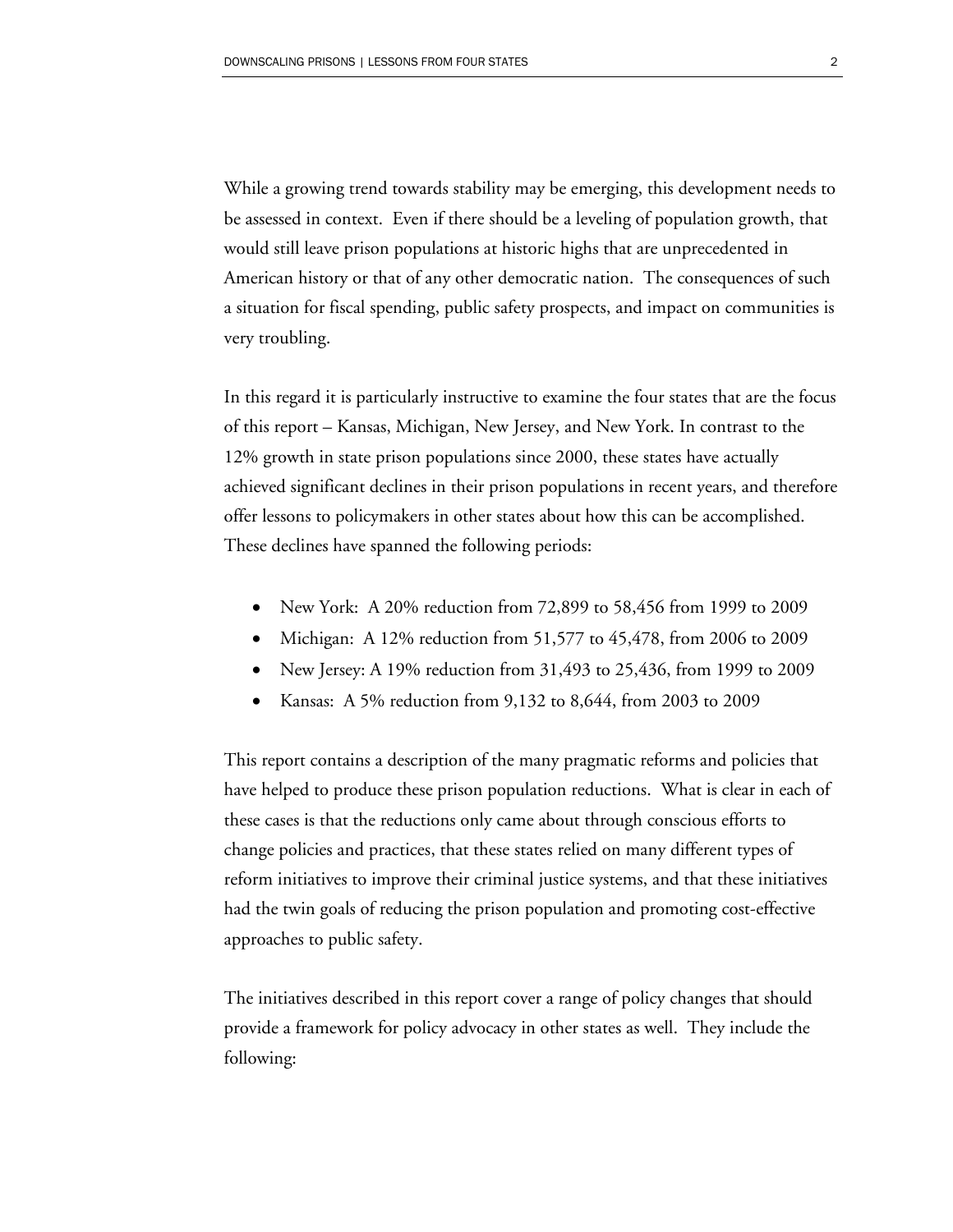While a growing trend towards stability may be emerging, this development needs to be assessed in context. Even if there should be a leveling of population growth, that would still leave prison populations at historic highs that are unprecedented in American history or that of any other democratic nation. The consequences of such a situation for fiscal spending, public safety prospects, and impact on communities is very troubling.

In this regard it is particularly instructive to examine the four states that are the focus of this report – Kansas, Michigan, New Jersey, and New York. In contrast to the 12% growth in state prison populations since 2000, these states have actually achieved significant declines in their prison populations in recent years, and therefore offer lessons to policymakers in other states about how this can be accomplished. These declines have spanned the following periods:

- New York: A 20% reduction from 72,899 to 58,456 from 1999 to 2009
- Michigan: A 12% reduction from 51,577 to 45,478, from 2006 to 2009
- New Jersey: A 19% reduction from 31,493 to 25,436, from 1999 to 2009
- Kansas: A 5% reduction from 9,132 to 8,644, from 2003 to 2009

This report contains a description of the many pragmatic reforms and policies that have helped to produce these prison population reductions. What is clear in each of these cases is that the reductions only came about through conscious efforts to change policies and practices, that these states relied on many different types of reform initiatives to improve their criminal justice systems, and that these initiatives had the twin goals of reducing the prison population and promoting cost-effective approaches to public safety.

The initiatives described in this report cover a range of policy changes that should provide a framework for policy advocacy in other states as well. They include the following: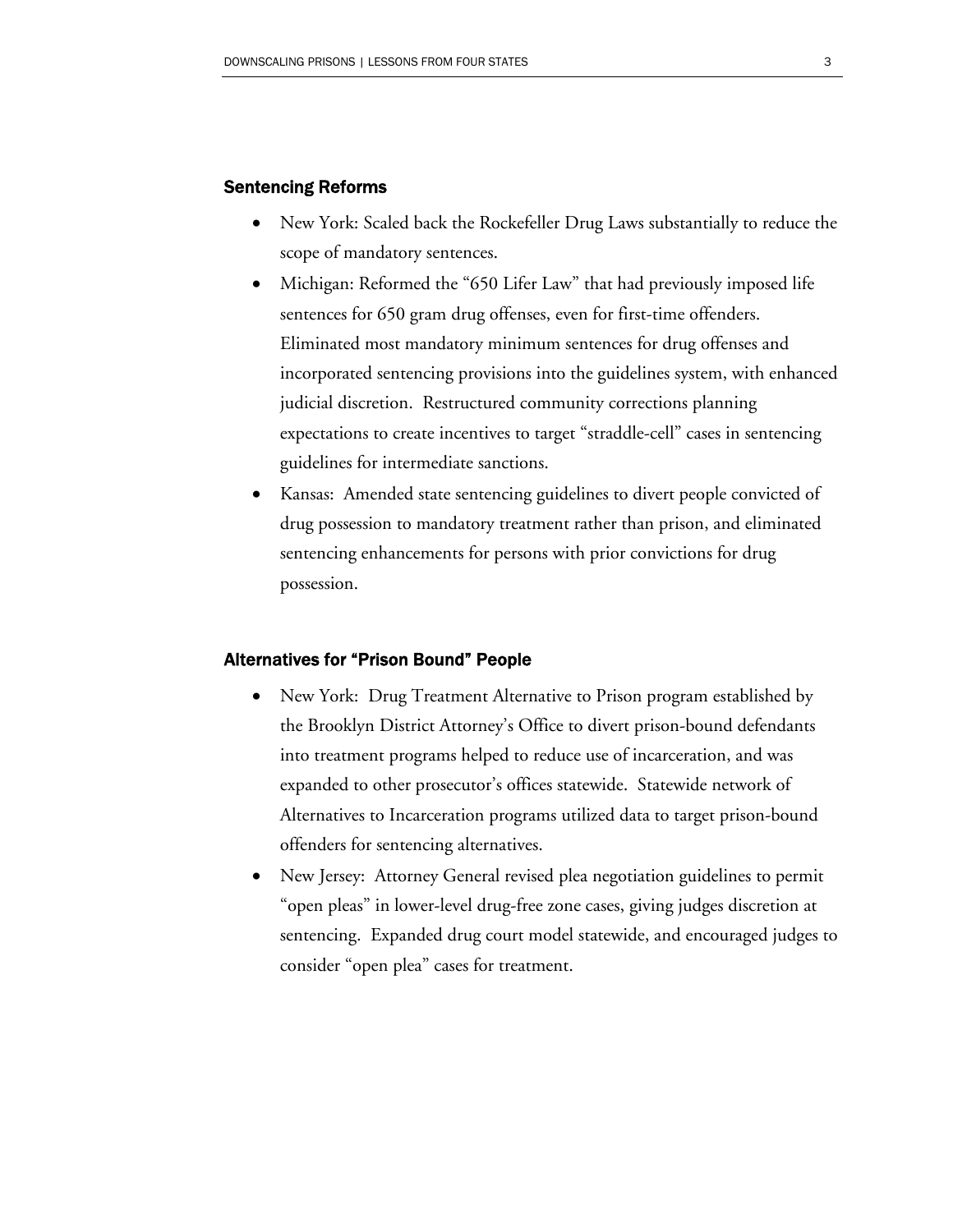### Sentencing Reforms

- New York: Scaled back the Rockefeller Drug Laws substantially to reduce the scope of mandatory sentences.
- Michigan: Reformed the "650 Lifer Law" that had previously imposed life sentences for 650 gram drug offenses, even for first-time offenders. Eliminated most mandatory minimum sentences for drug offenses and incorporated sentencing provisions into the guidelines system, with enhanced judicial discretion. Restructured community corrections planning expectations to create incentives to target "straddle-cell" cases in sentencing guidelines for intermediate sanctions.
- Kansas: Amended state sentencing guidelines to divert people convicted of drug possession to mandatory treatment rather than prison, and eliminated sentencing enhancements for persons with prior convictions for drug possession.

#### Alternatives for "Prison Bound" People

- New York: Drug Treatment Alternative to Prison program established by the Brooklyn District Attorney's Office to divert prison-bound defendants into treatment programs helped to reduce use of incarceration, and was expanded to other prosecutor's offices statewide. Statewide network of Alternatives to Incarceration programs utilized data to target prison-bound offenders for sentencing alternatives.
- New Jersey: Attorney General revised plea negotiation guidelines to permit "open pleas" in lower-level drug-free zone cases, giving judges discretion at sentencing. Expanded drug court model statewide, and encouraged judges to consider "open plea" cases for treatment.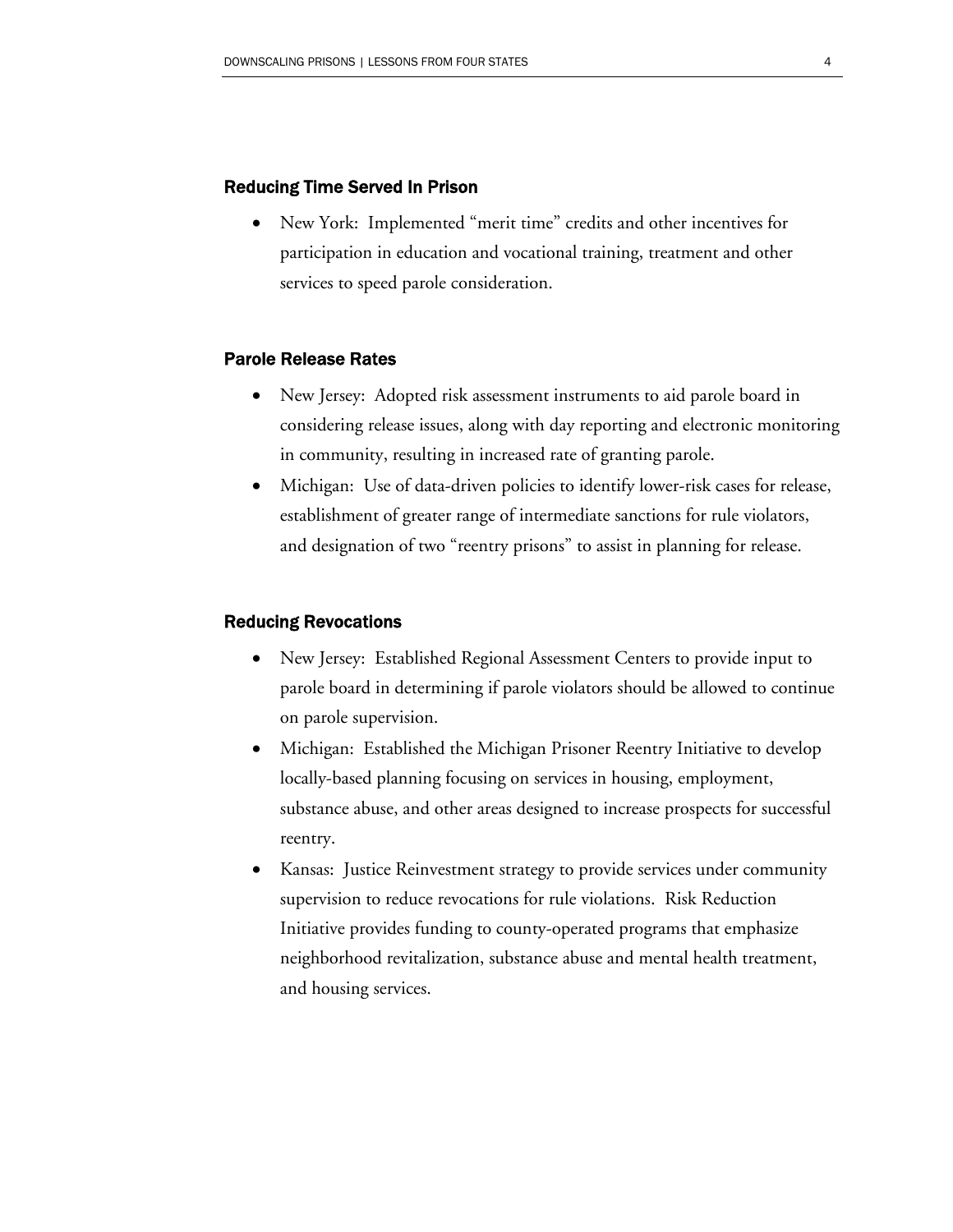### Reducing Time Served In Prison

• New York: Implemented "merit time" credits and other incentives for participation in education and vocational training, treatment and other services to speed parole consideration.

### Parole Release Rates

- New Jersey: Adopted risk assessment instruments to aid parole board in considering release issues, along with day reporting and electronic monitoring in community, resulting in increased rate of granting parole.
- Michigan: Use of data-driven policies to identify lower-risk cases for release, establishment of greater range of intermediate sanctions for rule violators, and designation of two "reentry prisons" to assist in planning for release.

#### Reducing Revocations

- New Jersey: Established Regional Assessment Centers to provide input to parole board in determining if parole violators should be allowed to continue on parole supervision.
- Michigan: Established the Michigan Prisoner Reentry Initiative to develop locally-based planning focusing on services in housing, employment, substance abuse, and other areas designed to increase prospects for successful reentry.
- Kansas: Justice Reinvestment strategy to provide services under community supervision to reduce revocations for rule violations. Risk Reduction Initiative provides funding to county-operated programs that emphasize neighborhood revitalization, substance abuse and mental health treatment, and housing services.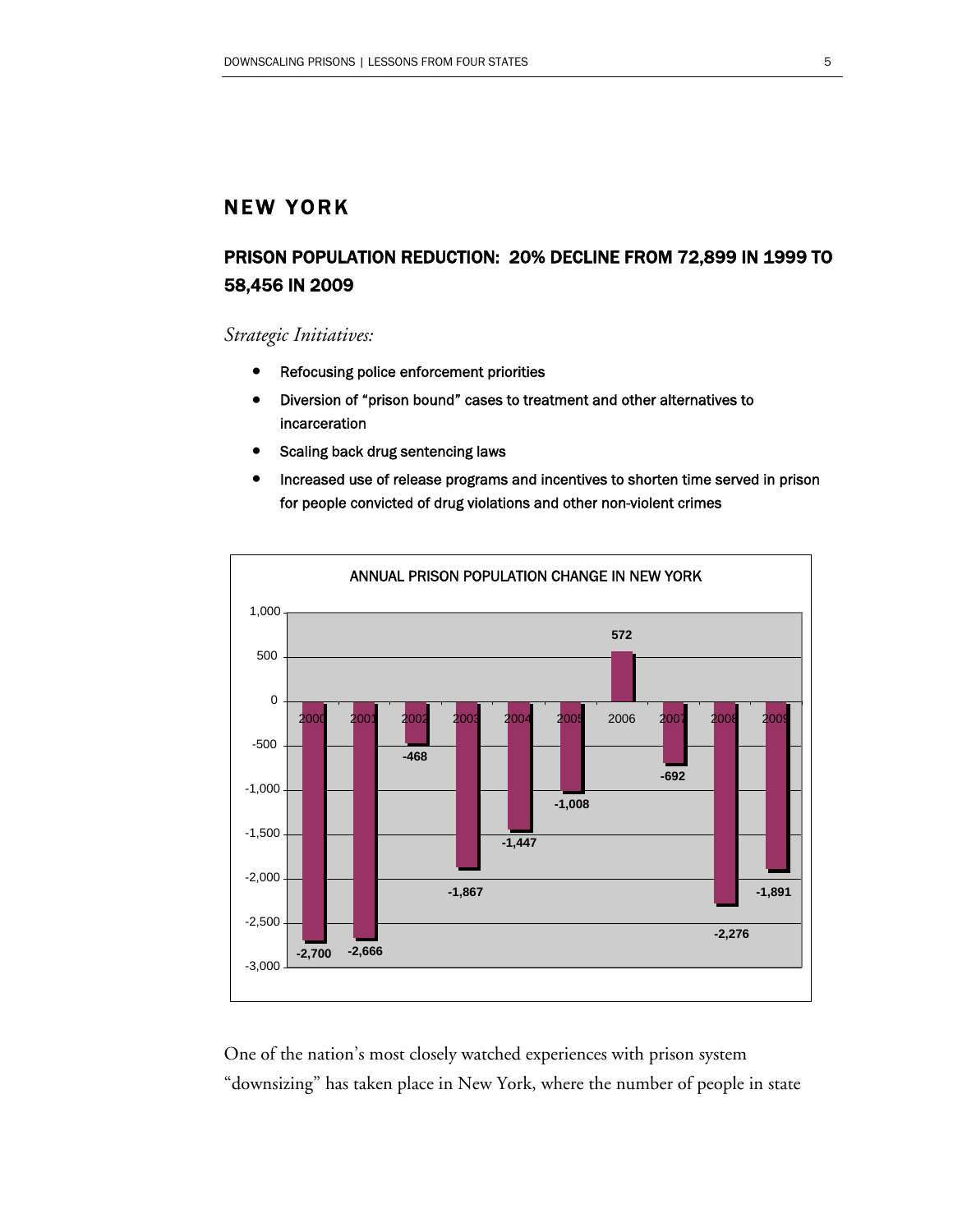# NEW YORK

# PRISON POPULATION REDUCTION: 20% DECLINE FROM 72,899 IN 1999 TO 58,456 IN 2009

*Strategic Initiatives:* 

- Refocusing police enforcement priorities
- Diversion of "prison bound" cases to treatment and other alternatives to incarceration
- Scaling back drug sentencing laws
- Increased use of release programs and incentives to shorten time served in prison for people convicted of drug violations and other non-violent crimes



One of the nation's most closely watched experiences with prison system "downsizing" has taken place in New York, where the number of people in state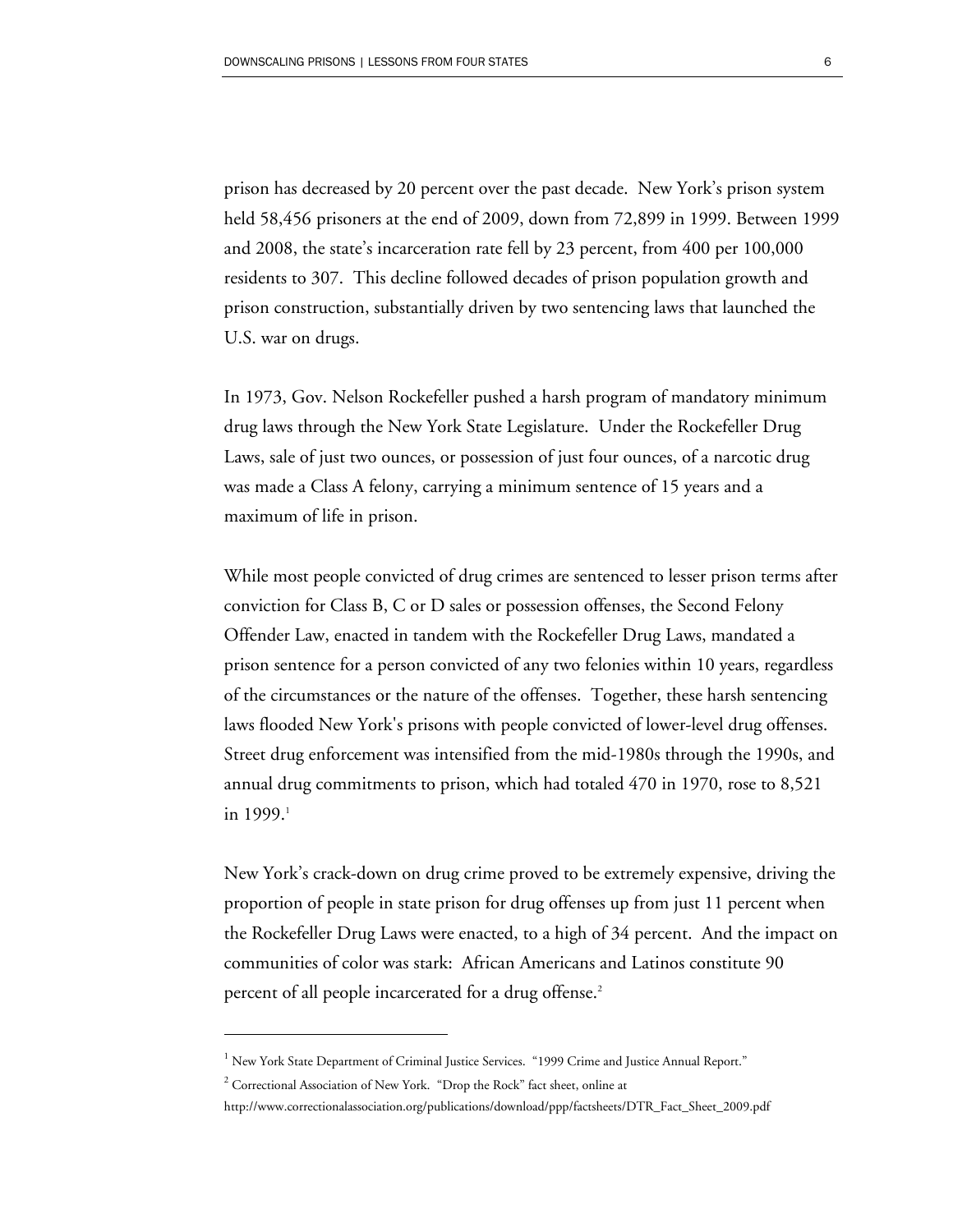prison has decreased by 20 percent over the past decade. New York's prison system held 58,456 prisoners at the end of 2009, down from 72,899 in 1999. Between 1999 and 2008, the state's incarceration rate fell by 23 percent, from 400 per 100,000 residents to 307. This decline followed decades of prison population growth and prison construction, substantially driven by two sentencing laws that launched the U.S. war on drugs.

In 1973, Gov. Nelson Rockefeller pushed a harsh program of mandatory minimum drug laws through the New York State Legislature. Under the Rockefeller Drug Laws, sale of just two ounces, or possession of just four ounces, of a narcotic drug was made a Class A felony, carrying a minimum sentence of 15 years and a maximum of life in prison.

While most people convicted of drug crimes are sentenced to lesser prison terms after conviction for Class B, C or D sales or possession offenses, the Second Felony Offender Law, enacted in tandem with the Rockefeller Drug Laws, mandated a prison sentence for a person convicted of any two felonies within 10 years, regardless of the circumstances or the nature of the offenses. Together, these harsh sentencing laws flooded New York's prisons with people convicted of lower-level drug offenses. Street drug enforcement was intensified from the mid-1980s through the 1990s, and annual drug commitments to prison, which had totaled 470 in 1970, rose to 8,521 in 1999.<sup>1</sup>

New York's crack-down on drug crime proved to be extremely expensive, driving the proportion of people in state prison for drug offenses up from just 11 percent when the Rockefeller Drug Laws were enacted, to a high of 34 percent. And the impact on communities of color was stark: African Americans and Latinos constitute 90 percent of all people incarcerated for a drug offense.<sup>2</sup>

<sup>&</sup>lt;sup>1</sup> New York State Department of Criminal Justice Services. "1999 Crime and Justice Annual Report."

 $2^2$  Correctional Association of New York. "Drop the Rock" fact sheet, online at

http://www.correctionalassociation.org/publications/download/ppp/factsheets/DTR\_Fact\_Sheet\_2009.pdf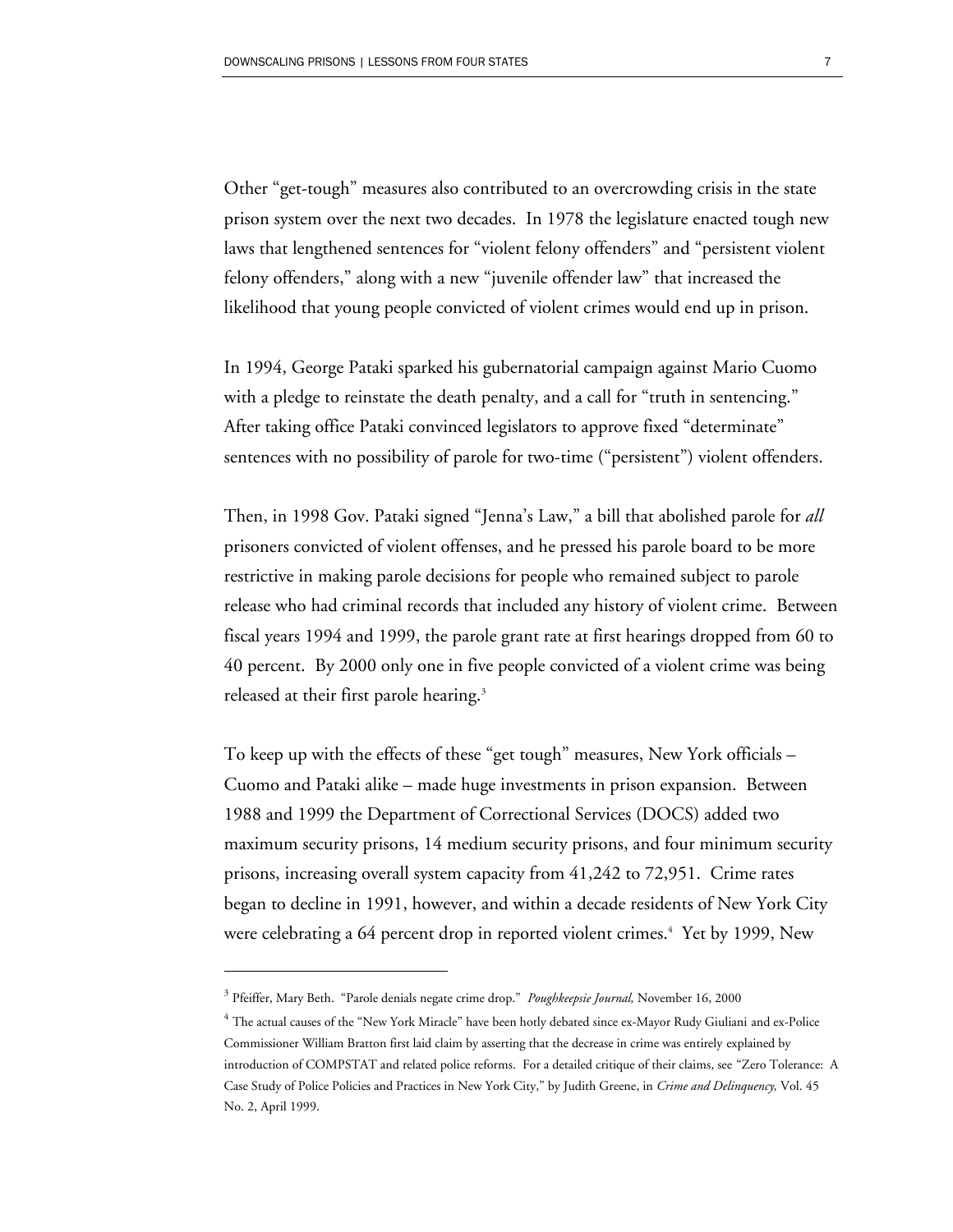Other "get-tough" measures also contributed to an overcrowding crisis in the state prison system over the next two decades. In 1978 the legislature enacted tough new laws that lengthened sentences for "violent felony offenders" and "persistent violent felony offenders," along with a new "juvenile offender law" that increased the likelihood that young people convicted of violent crimes would end up in prison.

In 1994, George Pataki sparked his gubernatorial campaign against Mario Cuomo with a pledge to reinstate the death penalty, and a call for "truth in sentencing." After taking office Pataki convinced legislators to approve fixed "determinate" sentences with no possibility of parole for two-time ("persistent") violent offenders.

Then, in 1998 Gov. Pataki signed "Jenna's Law," a bill that abolished parole for *all* prisoners convicted of violent offenses, and he pressed his parole board to be more restrictive in making parole decisions for people who remained subject to parole release who had criminal records that included any history of violent crime. Between fiscal years 1994 and 1999, the parole grant rate at first hearings dropped from 60 to 40 percent. By 2000 only one in five people convicted of a violent crime was being released at their first parole hearing.<sup>3</sup>

To keep up with the effects of these "get tough" measures, New York officials – Cuomo and Pataki alike – made huge investments in prison expansion. Between 1988 and 1999 the Department of Correctional Services (DOCS) added two maximum security prisons, 14 medium security prisons, and four minimum security prisons, increasing overall system capacity from 41,242 to 72,951. Crime rates began to decline in 1991, however, and within a decade residents of New York City were celebrating a 64 percent drop in reported violent crimes.<sup>4</sup> Yet by 1999, New

<sup>3</sup> Pfeiffer, Mary Beth. "Parole denials negate crime drop." *Poughkeepsie Journal,* November 16, 2000

<sup>4</sup> The actual causes of the "New York Miracle" have been hotly debated since ex-Mayor Rudy Giuliani and ex-Police Commissioner William Bratton first laid claim by asserting that the decrease in crime was entirely explained by introduction of COMPSTAT and related police reforms. For a detailed critique of their claims, see "Zero Tolerance: A Case Study of Police Policies and Practices in New York City," by Judith Greene, in *Crime and Delinquency,* Vol. 45 No. 2, April 1999.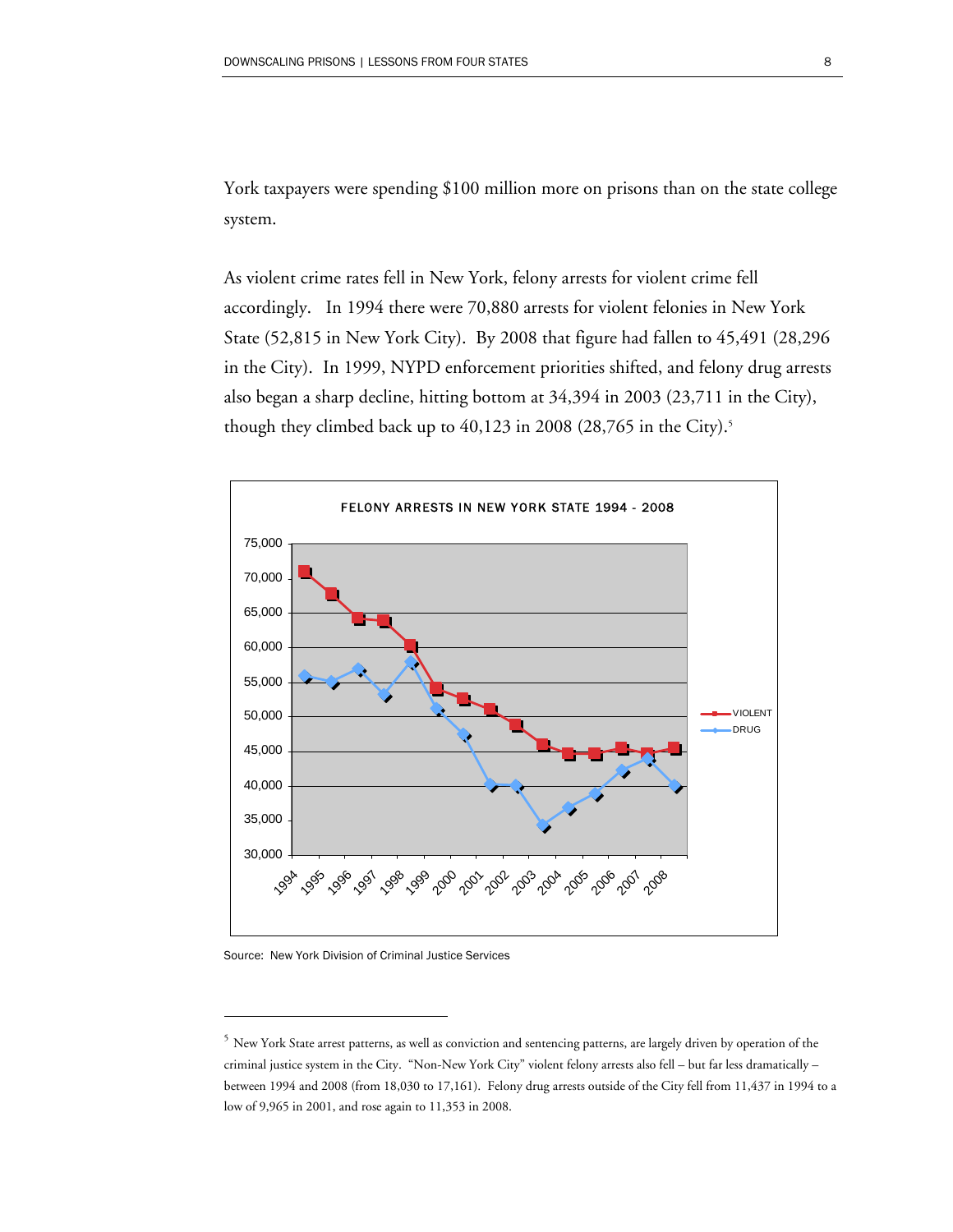York taxpayers were spending \$100 million more on prisons than on the state college system.

As violent crime rates fell in New York, felony arrests for violent crime fell accordingly. In 1994 there were 70,880 arrests for violent felonies in New York State (52,815 in New York City). By 2008 that figure had fallen to 45,491 (28,296 in the City). In 1999, NYPD enforcement priorities shifted, and felony drug arrests also began a sharp decline, hitting bottom at 34,394 in 2003 (23,711 in the City), though they climbed back up to  $40,123$  in 2008 (28,765 in the City).<sup>5</sup>



Source: New York Division of Criminal Justice Services

<sup>&</sup>lt;sup>5</sup> New York State arrest patterns, as well as conviction and sentencing patterns, are largely driven by operation of the criminal justice system in the City. "Non-New York City" violent felony arrests also fell – but far less dramatically – between 1994 and 2008 (from 18,030 to 17,161). Felony drug arrests outside of the City fell from 11,437 in 1994 to a low of 9,965 in 2001, and rose again to 11,353 in 2008.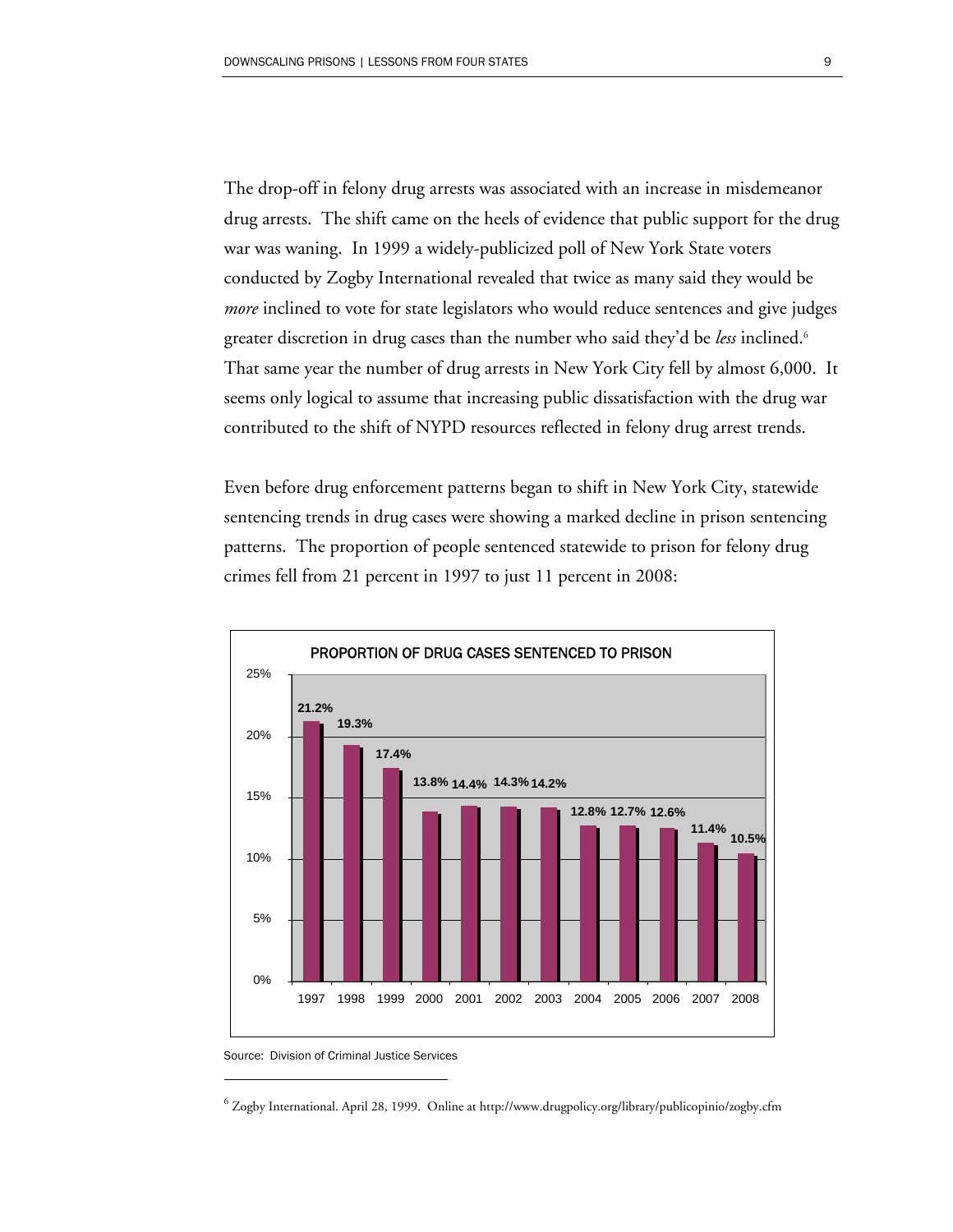The drop-off in felony drug arrests was associated with an increase in misdemeanor drug arrests. The shift came on the heels of evidence that public support for the drug war was waning. In 1999 a widely-publicized poll of New York State voters conducted by Zogby International revealed that twice as many said they would be *more* inclined to vote for state legislators who would reduce sentences and give judges greater discretion in drug cases than the number who said they'd be *less* inclined.6 That same year the number of drug arrests in New York City fell by almost 6,000. It seems only logical to assume that increasing public dissatisfaction with the drug war contributed to the shift of NYPD resources reflected in felony drug arrest trends.

Even before drug enforcement patterns began to shift in New York City, statewide sentencing trends in drug cases were showing a marked decline in prison sentencing patterns. The proportion of people sentenced statewide to prison for felony drug crimes fell from 21 percent in 1997 to just 11 percent in 2008:



Source: Division of Criminal Justice Services

 $^6$  Zogby International. April 28, 1999. Online at http://www.drugpolicy.org/library/publicopinio/zogby.cfm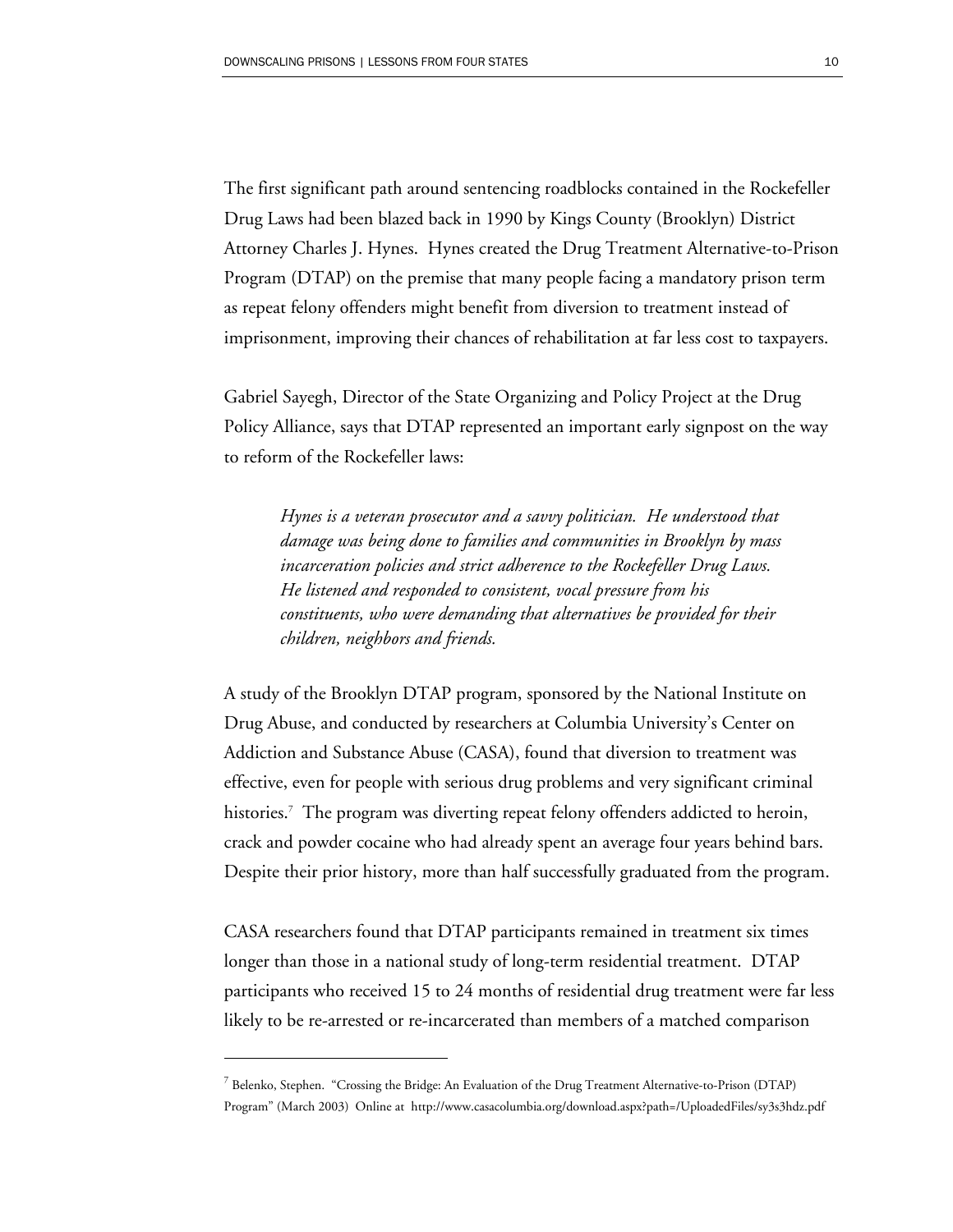The first significant path around sentencing roadblocks contained in the Rockefeller Drug Laws had been blazed back in 1990 by Kings County (Brooklyn) District Attorney Charles J. Hynes. Hynes created the Drug Treatment Alternative-to-Prison Program (DTAP) on the premise that many people facing a mandatory prison term as repeat felony offenders might benefit from diversion to treatment instead of imprisonment, improving their chances of rehabilitation at far less cost to taxpayers.

Gabriel Sayegh, Director of the State Organizing and Policy Project at the Drug Policy Alliance, says that DTAP represented an important early signpost on the way to reform of the Rockefeller laws:

*Hynes is a veteran prosecutor and a savvy politician. He understood that damage was being done to families and communities in Brooklyn by mass incarceration policies and strict adherence to the Rockefeller Drug Laws. He listened and responded to consistent, vocal pressure from his constituents, who were demanding that alternatives be provided for their children, neighbors and friends.* 

A study of the Brooklyn DTAP program, sponsored by the National Institute on Drug Abuse, and conducted by researchers at Columbia University's Center on Addiction and Substance Abuse (CASA), found that diversion to treatment was effective, even for people with serious drug problems and very significant criminal histories.7 The program was diverting repeat felony offenders addicted to heroin, crack and powder cocaine who had already spent an average four years behind bars. Despite their prior history, more than half successfully graduated from the program.

CASA researchers found that DTAP participants remained in treatment six times longer than those in a national study of long-term residential treatment. DTAP participants who received 15 to 24 months of residential drug treatment were far less likely to be re-arrested or re-incarcerated than members of a matched comparison

 $^7$  Belenko, Stephen. "Crossing the Bridge: An Evaluation of the Drug Treatment Alternative-to-Prison (DTAP) Program" (March 2003) Online at http://www.casacolumbia.org/download.aspx?path=/UploadedFiles/sy3s3hdz.pdf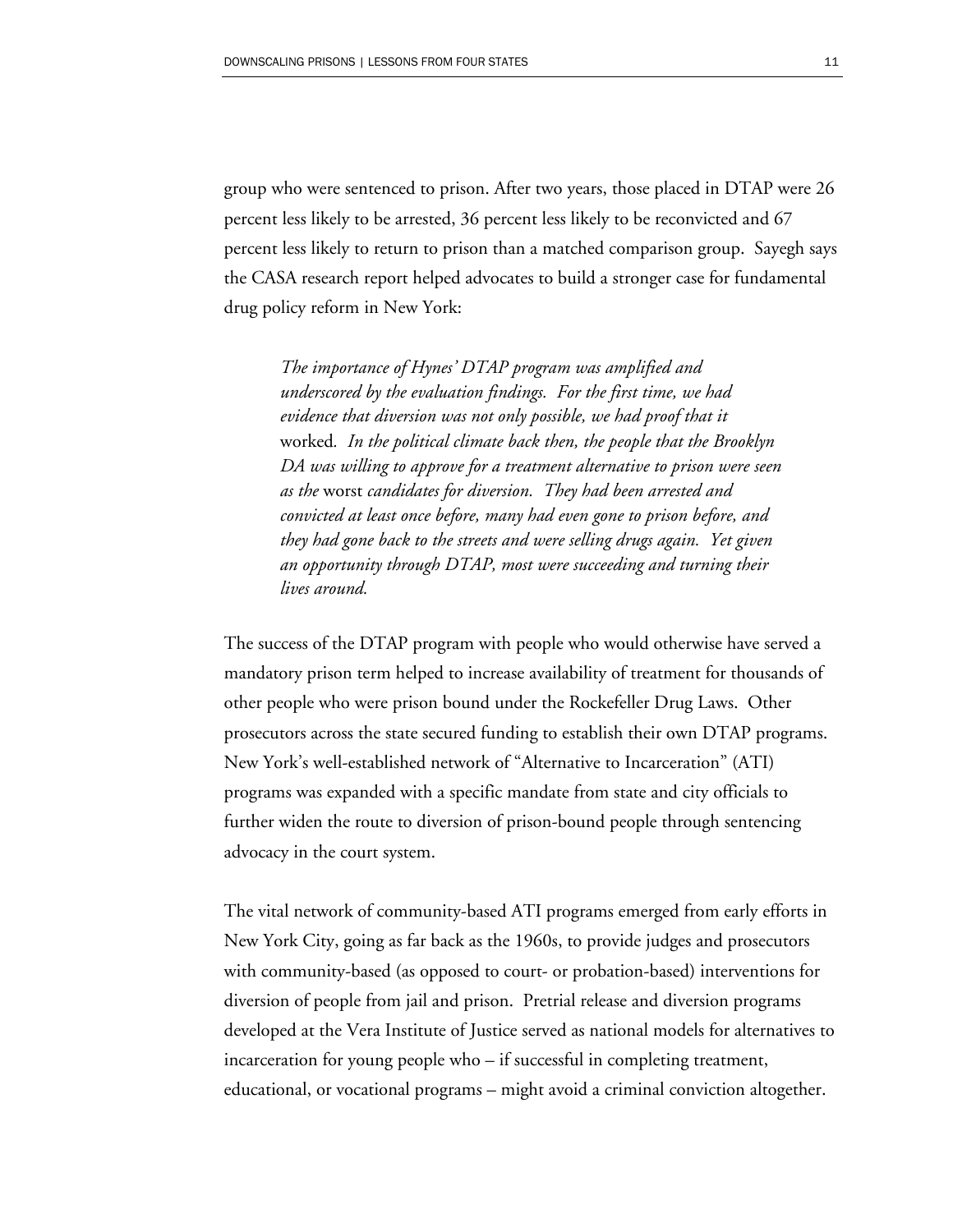group who were sentenced to prison. After two years, those placed in DTAP were 26 percent less likely to be arrested, 36 percent less likely to be reconvicted and 67 percent less likely to return to prison than a matched comparison group. Sayegh says the CASA research report helped advocates to build a stronger case for fundamental drug policy reform in New York:

*The importance of Hynes' DTAP program was amplified and underscored by the evaluation findings. For the first time, we had evidence that diversion was not only possible, we had proof that it*  worked*. In the political climate back then, the people that the Brooklyn DA was willing to approve for a treatment alternative to prison were seen as the* worst *candidates for diversion. They had been arrested and convicted at least once before, many had even gone to prison before, and they had gone back to the streets and were selling drugs again. Yet given an opportunity through DTAP, most were succeeding and turning their lives around.* 

The success of the DTAP program with people who would otherwise have served a mandatory prison term helped to increase availability of treatment for thousands of other people who were prison bound under the Rockefeller Drug Laws. Other prosecutors across the state secured funding to establish their own DTAP programs. New York's well-established network of "Alternative to Incarceration" (ATI) programs was expanded with a specific mandate from state and city officials to further widen the route to diversion of prison-bound people through sentencing advocacy in the court system.

The vital network of community-based ATI programs emerged from early efforts in New York City, going as far back as the 1960s, to provide judges and prosecutors with community-based (as opposed to court- or probation-based) interventions for diversion of people from jail and prison. Pretrial release and diversion programs developed at the Vera Institute of Justice served as national models for alternatives to incarceration for young people who – if successful in completing treatment, educational, or vocational programs – might avoid a criminal conviction altogether.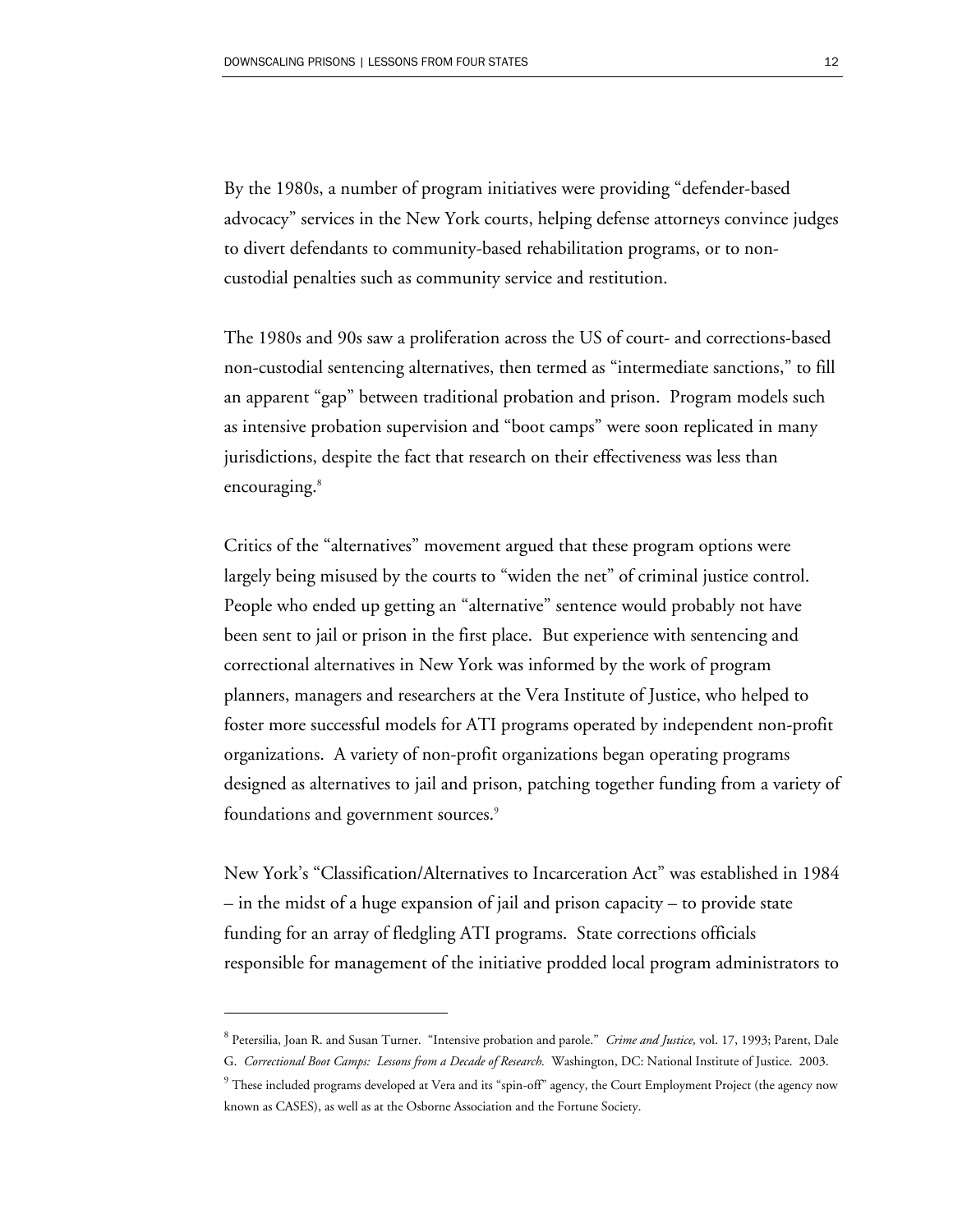By the 1980s, a number of program initiatives were providing "defender-based advocacy" services in the New York courts, helping defense attorneys convince judges to divert defendants to community-based rehabilitation programs, or to noncustodial penalties such as community service and restitution.

The 1980s and 90s saw a proliferation across the US of court- and corrections-based non-custodial sentencing alternatives, then termed as "intermediate sanctions," to fill an apparent "gap" between traditional probation and prison. Program models such as intensive probation supervision and "boot camps" were soon replicated in many jurisdictions, despite the fact that research on their effectiveness was less than encouraging.<sup>8</sup>

Critics of the "alternatives" movement argued that these program options were largely being misused by the courts to "widen the net" of criminal justice control. People who ended up getting an "alternative" sentence would probably not have been sent to jail or prison in the first place. But experience with sentencing and correctional alternatives in New York was informed by the work of program planners, managers and researchers at the Vera Institute of Justice, who helped to foster more successful models for ATI programs operated by independent non-profit organizations. A variety of non-profit organizations began operating programs designed as alternatives to jail and prison, patching together funding from a variety of foundations and government sources.<sup>9</sup>

New York's "Classification/Alternatives to Incarceration Act" was established in 1984 – in the midst of a huge expansion of jail and prison capacity – to provide state funding for an array of fledgling ATI programs. State corrections officials responsible for management of the initiative prodded local program administrators to

<sup>8</sup> Petersilia, Joan R. and Susan Turner. "Intensive probation and parole." *Crime and Justice,* vol. 17, 1993; Parent, Dale

G. *Correctional Boot Camps: Lessons from a Decade of Research.* Washington, DC: National Institute of Justice. 2003.

 $^9$  These included programs developed at Vera and its "spin-off" agency, the Court Employment Project (the agency now known as CASES), as well as at the Osborne Association and the Fortune Society.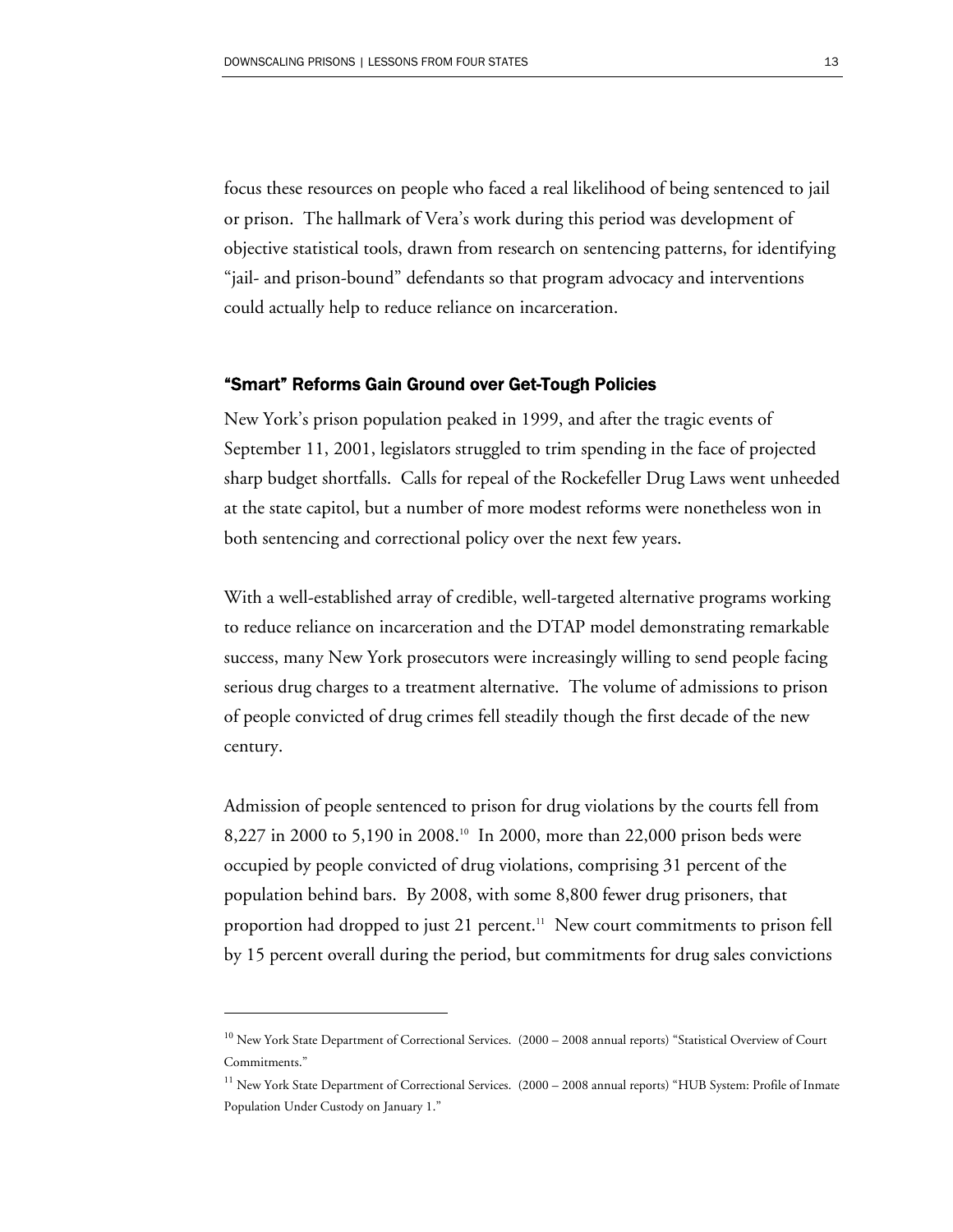focus these resources on people who faced a real likelihood of being sentenced to jail or prison. The hallmark of Vera's work during this period was development of objective statistical tools, drawn from research on sentencing patterns, for identifying "jail- and prison-bound" defendants so that program advocacy and interventions could actually help to reduce reliance on incarceration.

#### "Smart" Reforms Gain Ground over Get-Tough Policies

New York's prison population peaked in 1999, and after the tragic events of September 11, 2001, legislators struggled to trim spending in the face of projected sharp budget shortfalls. Calls for repeal of the Rockefeller Drug Laws went unheeded at the state capitol, but a number of more modest reforms were nonetheless won in both sentencing and correctional policy over the next few years.

With a well-established array of credible, well-targeted alternative programs working to reduce reliance on incarceration and the DTAP model demonstrating remarkable success, many New York prosecutors were increasingly willing to send people facing serious drug charges to a treatment alternative. The volume of admissions to prison of people convicted of drug crimes fell steadily though the first decade of the new century.

Admission of people sentenced to prison for drug violations by the courts fell from 8,227 in 2000 to 5,190 in 2008.10 In 2000, more than 22,000 prison beds were occupied by people convicted of drug violations, comprising 31 percent of the population behind bars. By 2008, with some 8,800 fewer drug prisoners, that proportion had dropped to just 21 percent.<sup>11</sup> New court commitments to prison fell by 15 percent overall during the period, but commitments for drug sales convictions

-

<sup>&</sup>lt;sup>10</sup> New York State Department of Correctional Services. (2000 – 2008 annual reports) "Statistical Overview of Court Commitments."

<sup>&</sup>lt;sup>11</sup> New York State Department of Correctional Services. (2000 – 2008 annual reports) "HUB System: Profile of Inmate Population Under Custody on January 1."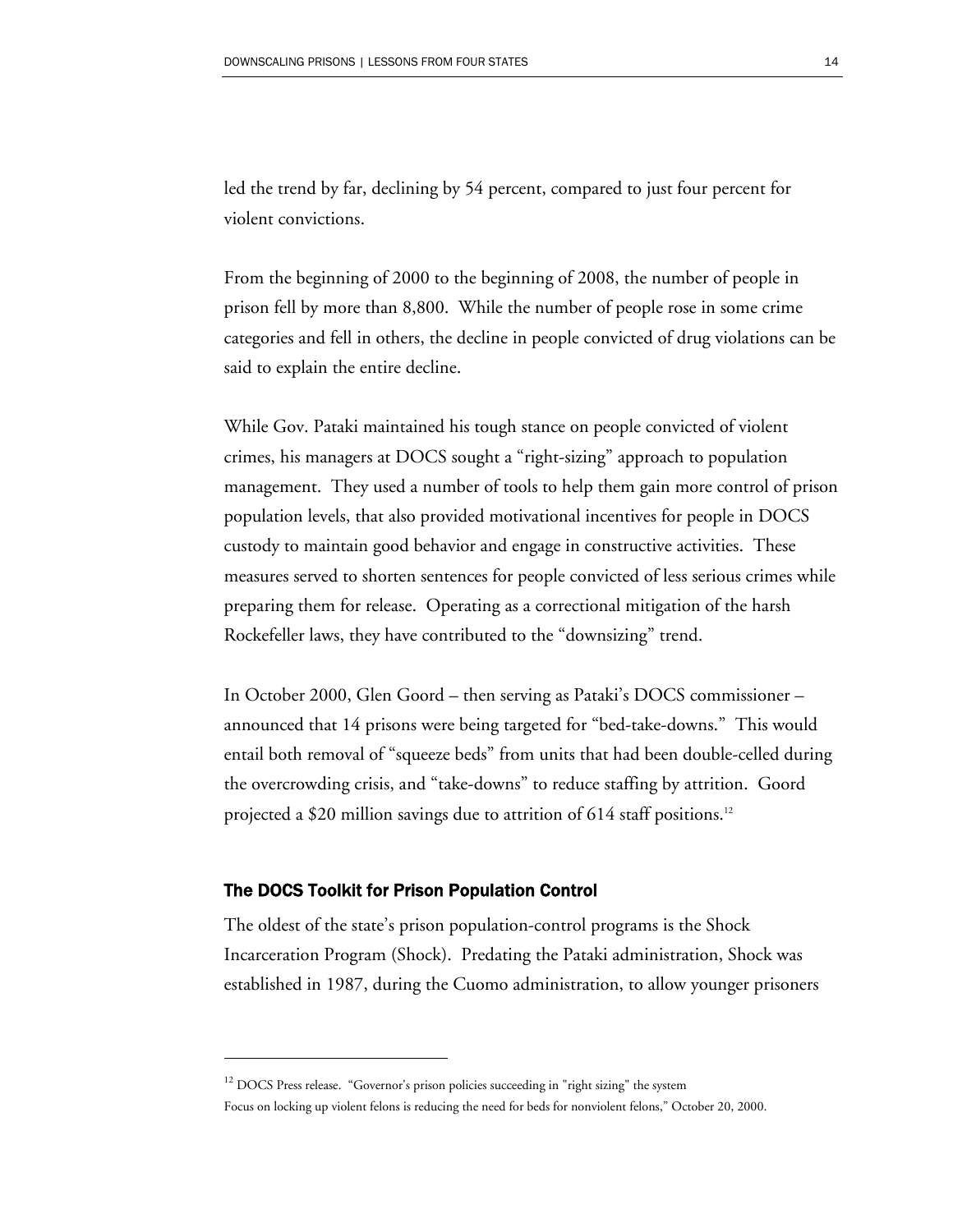led the trend by far, declining by 54 percent, compared to just four percent for violent convictions.

From the beginning of 2000 to the beginning of 2008, the number of people in prison fell by more than 8,800. While the number of people rose in some crime categories and fell in others, the decline in people convicted of drug violations can be said to explain the entire decline.

While Gov. Pataki maintained his tough stance on people convicted of violent crimes, his managers at DOCS sought a "right-sizing" approach to population management. They used a number of tools to help them gain more control of prison population levels, that also provided motivational incentives for people in DOCS custody to maintain good behavior and engage in constructive activities. These measures served to shorten sentences for people convicted of less serious crimes while preparing them for release. Operating as a correctional mitigation of the harsh Rockefeller laws, they have contributed to the "downsizing" trend.

In October 2000, Glen Goord – then serving as Pataki's DOCS commissioner – announced that 14 prisons were being targeted for "bed-take-downs." This would entail both removal of "squeeze beds" from units that had been double-celled during the overcrowding crisis, and "take-downs" to reduce staffing by attrition. Goord projected a \$20 million savings due to attrition of  $614$  staff positions.<sup>12</sup>

#### The DOCS Toolkit for Prison Population Control

 $\overline{a}$ 

The oldest of the state's prison population-control programs is the Shock Incarceration Program (Shock). Predating the Pataki administration, Shock was established in 1987, during the Cuomo administration, to allow younger prisoners

<sup>&</sup>lt;sup>12</sup> DOCS Press release. "Governor's prison policies succeeding in "right sizing" the system

Focus on locking up violent felons is reducing the need for beds for nonviolent felons," October 20, 2000.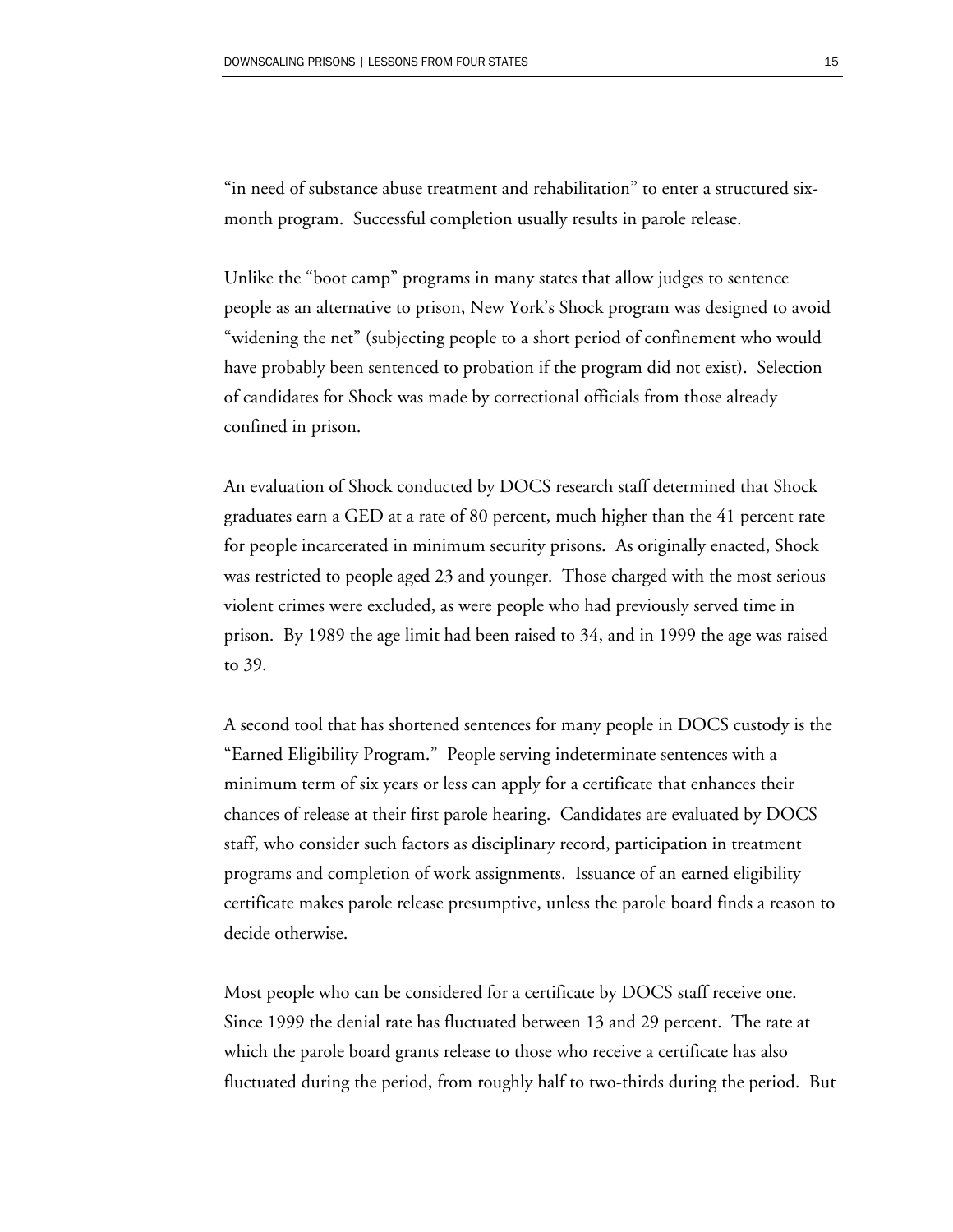"in need of substance abuse treatment and rehabilitation" to enter a structured sixmonth program. Successful completion usually results in parole release.

Unlike the "boot camp" programs in many states that allow judges to sentence people as an alternative to prison, New York's Shock program was designed to avoid "widening the net" (subjecting people to a short period of confinement who would have probably been sentenced to probation if the program did not exist). Selection of candidates for Shock was made by correctional officials from those already confined in prison.

An evaluation of Shock conducted by DOCS research staff determined that Shock graduates earn a GED at a rate of 80 percent, much higher than the 41 percent rate for people incarcerated in minimum security prisons. As originally enacted, Shock was restricted to people aged 23 and younger. Those charged with the most serious violent crimes were excluded, as were people who had previously served time in prison. By 1989 the age limit had been raised to 34, and in 1999 the age was raised to 39.

A second tool that has shortened sentences for many people in DOCS custody is the "Earned Eligibility Program." People serving indeterminate sentences with a minimum term of six years or less can apply for a certificate that enhances their chances of release at their first parole hearing. Candidates are evaluated by DOCS staff, who consider such factors as disciplinary record, participation in treatment programs and completion of work assignments. Issuance of an earned eligibility certificate makes parole release presumptive, unless the parole board finds a reason to decide otherwise.

Most people who can be considered for a certificate by DOCS staff receive one. Since 1999 the denial rate has fluctuated between 13 and 29 percent. The rate at which the parole board grants release to those who receive a certificate has also fluctuated during the period, from roughly half to two-thirds during the period. But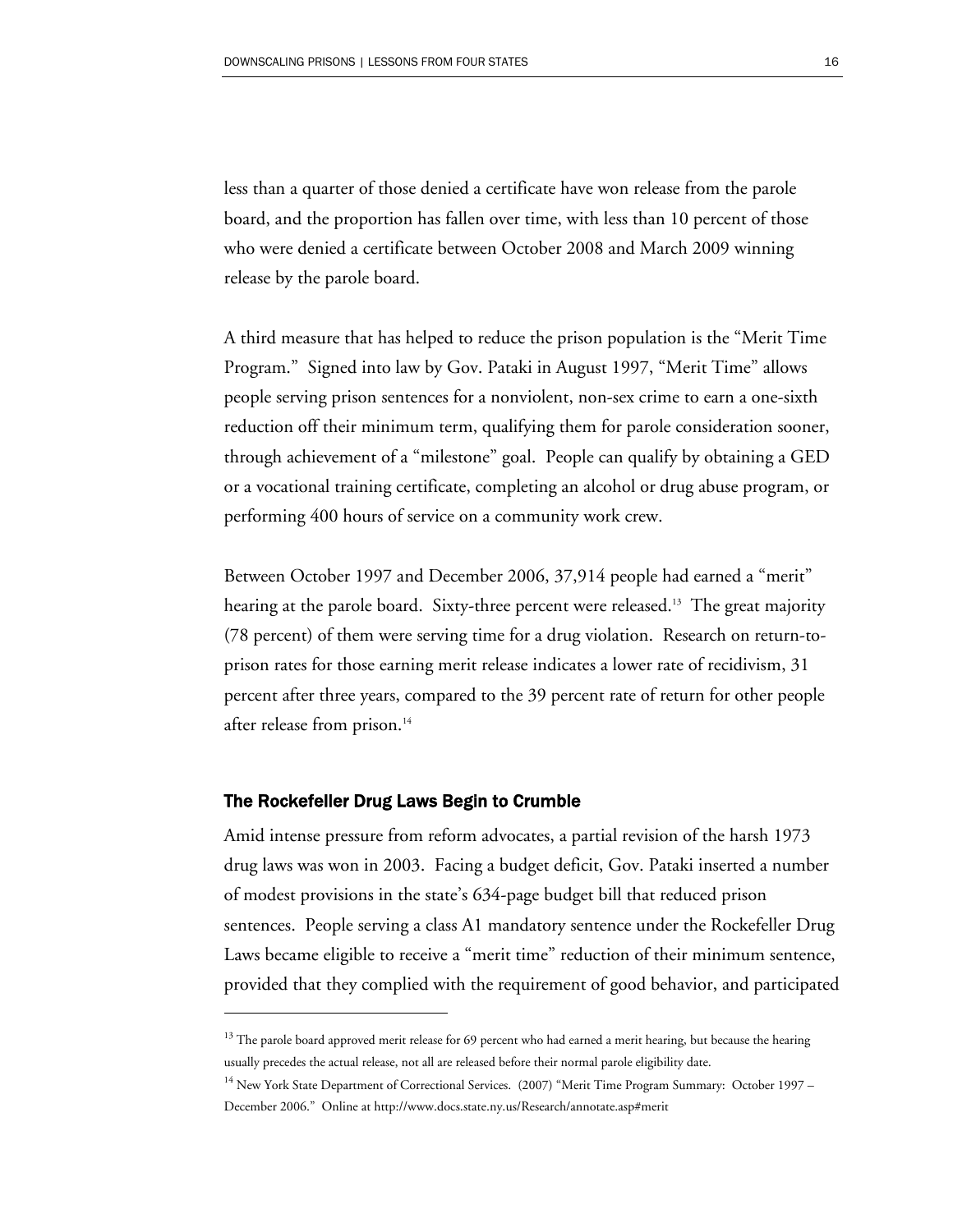less than a quarter of those denied a certificate have won release from the parole board, and the proportion has fallen over time, with less than 10 percent of those who were denied a certificate between October 2008 and March 2009 winning release by the parole board.

A third measure that has helped to reduce the prison population is the "Merit Time Program." Signed into law by Gov. Pataki in August 1997, "Merit Time" allows people serving prison sentences for a nonviolent, non-sex crime to earn a one-sixth reduction off their minimum term, qualifying them for parole consideration sooner, through achievement of a "milestone" goal. People can qualify by obtaining a GED or a vocational training certificate, completing an alcohol or drug abuse program, or performing 400 hours of service on a community work crew.

Between October 1997 and December 2006, 37,914 people had earned a "merit" hearing at the parole board. Sixty-three percent were released.<sup>13</sup> The great majority (78 percent) of them were serving time for a drug violation. Research on return-toprison rates for those earning merit release indicates a lower rate of recidivism, 31 percent after three years, compared to the 39 percent rate of return for other people after release from prison.<sup>14</sup>

#### The Rockefeller Drug Laws Begin to Crumble

 $\overline{a}$ 

Amid intense pressure from reform advocates, a partial revision of the harsh 1973 drug laws was won in 2003. Facing a budget deficit, Gov. Pataki inserted a number of modest provisions in the state's 634-page budget bill that reduced prison sentences. People serving a class A1 mandatory sentence under the Rockefeller Drug Laws became eligible to receive a "merit time" reduction of their minimum sentence, provided that they complied with the requirement of good behavior, and participated

<sup>&</sup>lt;sup>13</sup> The parole board approved merit release for 69 percent who had earned a merit hearing, but because the hearing usually precedes the actual release, not all are released before their normal parole eligibility date.

<sup>&</sup>lt;sup>14</sup> New York State Department of Correctional Services. (2007) "Merit Time Program Summary: October 1997 – December 2006." Online at http://www.docs.state.ny.us/Research/annotate.asp#merit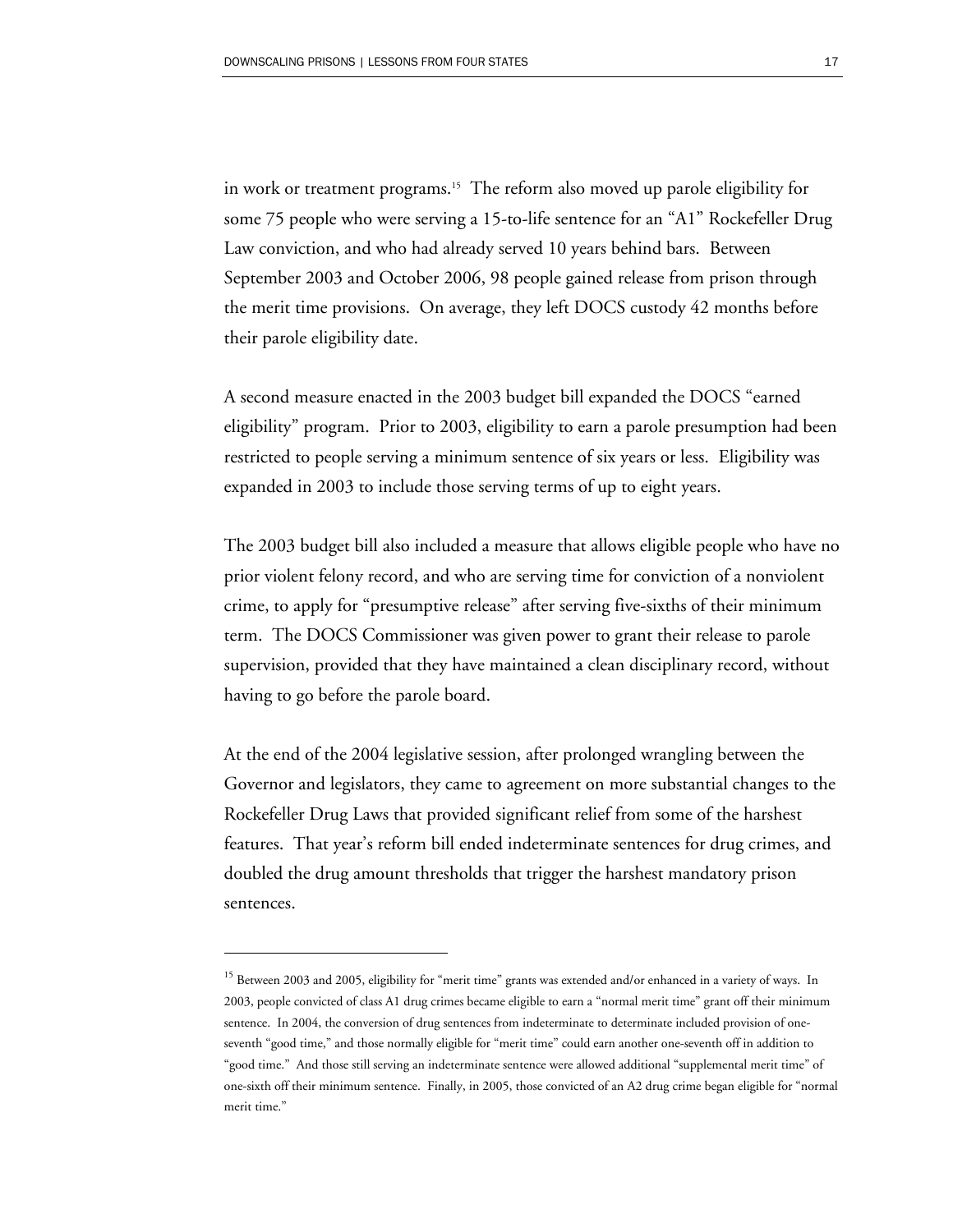in work or treatment programs.<sup>15</sup> The reform also moved up parole eligibility for some 75 people who were serving a 15-to-life sentence for an "A1" Rockefeller Drug Law conviction, and who had already served 10 years behind bars. Between September 2003 and October 2006, 98 people gained release from prison through the merit time provisions. On average, they left DOCS custody 42 months before their parole eligibility date.

A second measure enacted in the 2003 budget bill expanded the DOCS "earned eligibility" program. Prior to 2003, eligibility to earn a parole presumption had been restricted to people serving a minimum sentence of six years or less. Eligibility was expanded in 2003 to include those serving terms of up to eight years.

The 2003 budget bill also included a measure that allows eligible people who have no prior violent felony record, and who are serving time for conviction of a nonviolent crime, to apply for "presumptive release" after serving five-sixths of their minimum term. The DOCS Commissioner was given power to grant their release to parole supervision, provided that they have maintained a clean disciplinary record, without having to go before the parole board.

At the end of the 2004 legislative session, after prolonged wrangling between the Governor and legislators, they came to agreement on more substantial changes to the Rockefeller Drug Laws that provided significant relief from some of the harshest features. That year's reform bill ended indeterminate sentences for drug crimes, and doubled the drug amount thresholds that trigger the harshest mandatory prison sentences.

<sup>&</sup>lt;sup>15</sup> Between 2003 and 2005, eligibility for "merit time" grants was extended and/or enhanced in a variety of ways. In 2003, people convicted of class A1 drug crimes became eligible to earn a "normal merit time" grant off their minimum sentence. In 2004, the conversion of drug sentences from indeterminate to determinate included provision of oneseventh "good time," and those normally eligible for "merit time" could earn another one-seventh off in addition to "good time." And those still serving an indeterminate sentence were allowed additional "supplemental merit time" of one-sixth off their minimum sentence. Finally, in 2005, those convicted of an A2 drug crime began eligible for "normal merit time."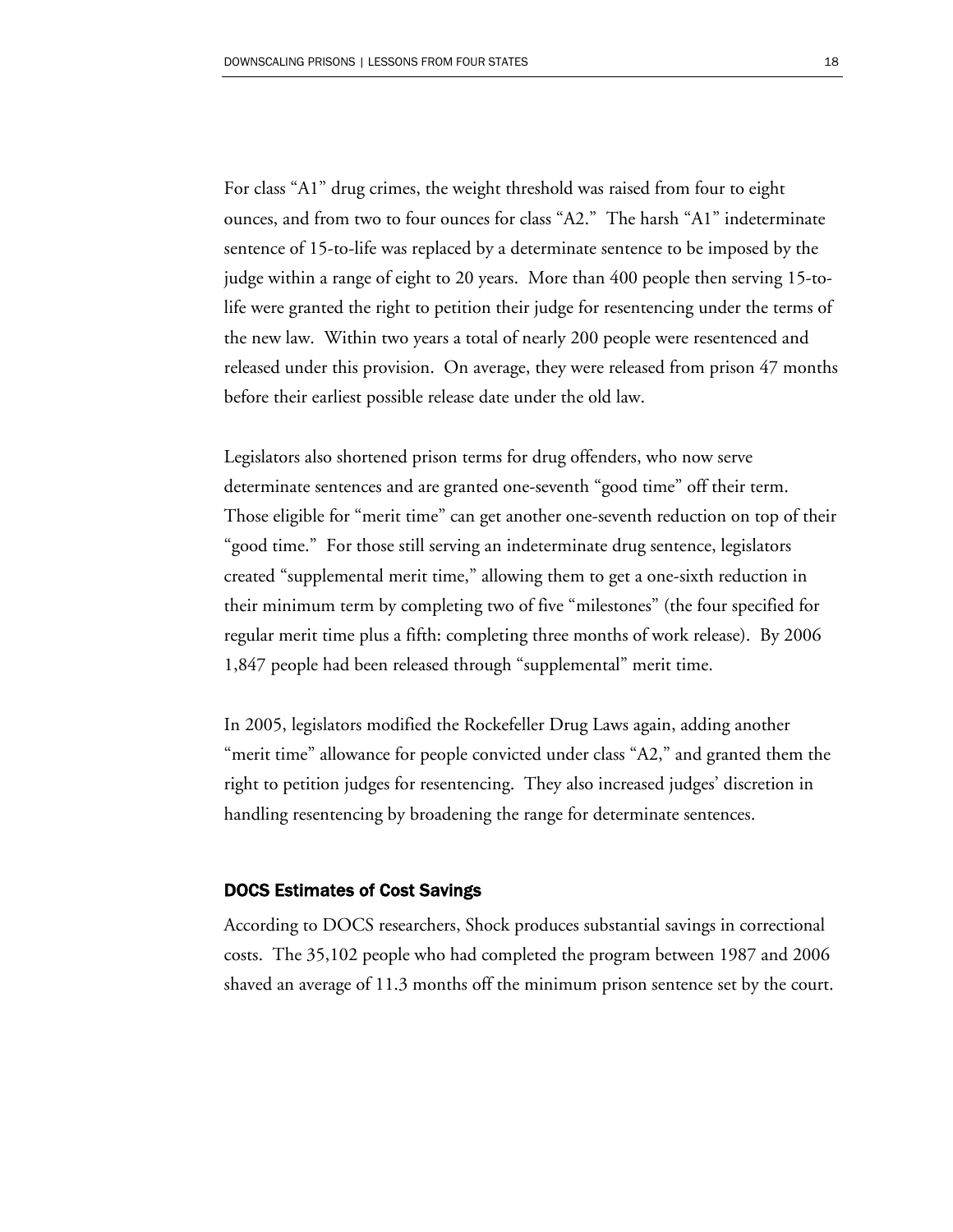For class "A1" drug crimes, the weight threshold was raised from four to eight ounces, and from two to four ounces for class "A2." The harsh "A1" indeterminate sentence of 15-to-life was replaced by a determinate sentence to be imposed by the judge within a range of eight to 20 years. More than 400 people then serving 15-tolife were granted the right to petition their judge for resentencing under the terms of the new law. Within two years a total of nearly 200 people were resentenced and released under this provision. On average, they were released from prison 47 months before their earliest possible release date under the old law.

Legislators also shortened prison terms for drug offenders, who now serve determinate sentences and are granted one-seventh "good time" off their term. Those eligible for "merit time" can get another one-seventh reduction on top of their "good time." For those still serving an indeterminate drug sentence, legislators created "supplemental merit time," allowing them to get a one-sixth reduction in their minimum term by completing two of five "milestones" (the four specified for regular merit time plus a fifth: completing three months of work release). By 2006 1,847 people had been released through "supplemental" merit time.

In 2005, legislators modified the Rockefeller Drug Laws again, adding another "merit time" allowance for people convicted under class "A2," and granted them the right to petition judges for resentencing. They also increased judges' discretion in handling resentencing by broadening the range for determinate sentences.

#### DOCS Estimates of Cost Savings

According to DOCS researchers, Shock produces substantial savings in correctional costs. The 35,102 people who had completed the program between 1987 and 2006 shaved an average of 11.3 months off the minimum prison sentence set by the court.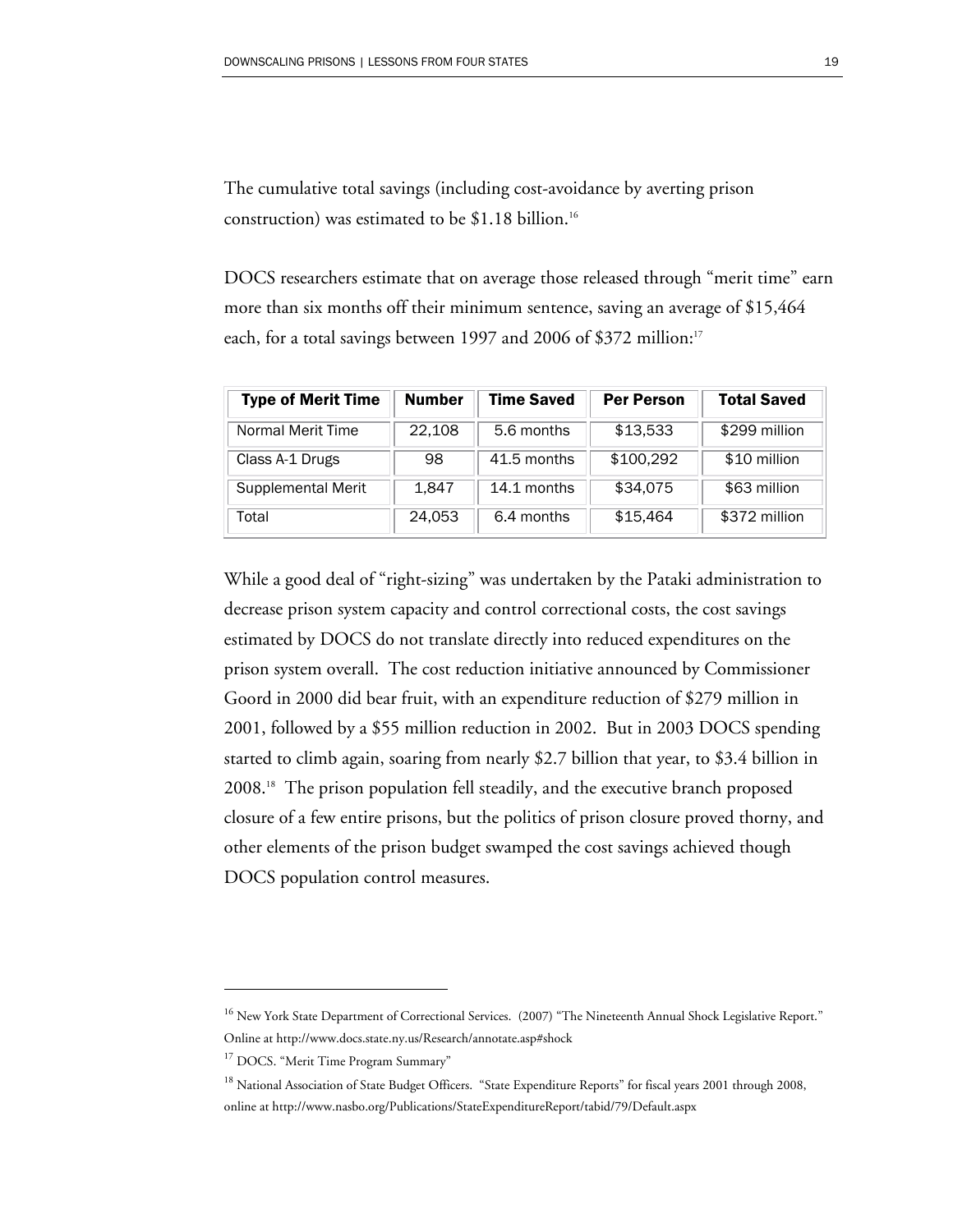The cumulative total savings (including cost-avoidance by averting prison construction) was estimated to be  $$1.18$  billion.<sup>16</sup>

DOCS researchers estimate that on average those released through "merit time" earn more than six months off their minimum sentence, saving an average of \$15,464 each, for a total savings between 1997 and 2006 of \$372 million:<sup>17</sup>

| <b>Type of Merit Time</b> | <b>Number</b> | <b>Time Saved</b> | <b>Per Person</b> | <b>Total Saved</b> |
|---------------------------|---------------|-------------------|-------------------|--------------------|
| Normal Merit Time         | 22,108        | 5.6 months        | \$13,533          | \$299 million      |
| Class A-1 Drugs           | 98            | 41.5 months       | \$100,292         | \$10 million       |
| Supplemental Merit        | 1,847         | 14.1 months       | \$34,075          | \$63 million       |
| Total                     | 24,053        | 6.4 months        | \$15,464          | \$372 million      |

While a good deal of "right-sizing" was undertaken by the Pataki administration to decrease prison system capacity and control correctional costs, the cost savings estimated by DOCS do not translate directly into reduced expenditures on the prison system overall. The cost reduction initiative announced by Commissioner Goord in 2000 did bear fruit, with an expenditure reduction of \$279 million in 2001, followed by a \$55 million reduction in 2002. But in 2003 DOCS spending started to climb again, soaring from nearly \$2.7 billion that year, to \$3.4 billion in 2008.18 The prison population fell steadily, and the executive branch proposed closure of a few entire prisons, but the politics of prison closure proved thorny, and other elements of the prison budget swamped the cost savings achieved though DOCS population control measures.

<sup>&</sup>lt;sup>16</sup> New York State Department of Correctional Services. (2007) "The Nineteenth Annual Shock Legislative Report." Online at http://www.docs.state.ny.us/Research/annotate.asp#shock

<sup>&</sup>lt;sup>17</sup> DOCS. "Merit Time Program Summary"

<sup>&</sup>lt;sup>18</sup> National Association of State Budget Officers. "State Expenditure Reports" for fiscal years 2001 through 2008, online at http://www.nasbo.org/Publications/StateExpenditureReport/tabid/79/Default.aspx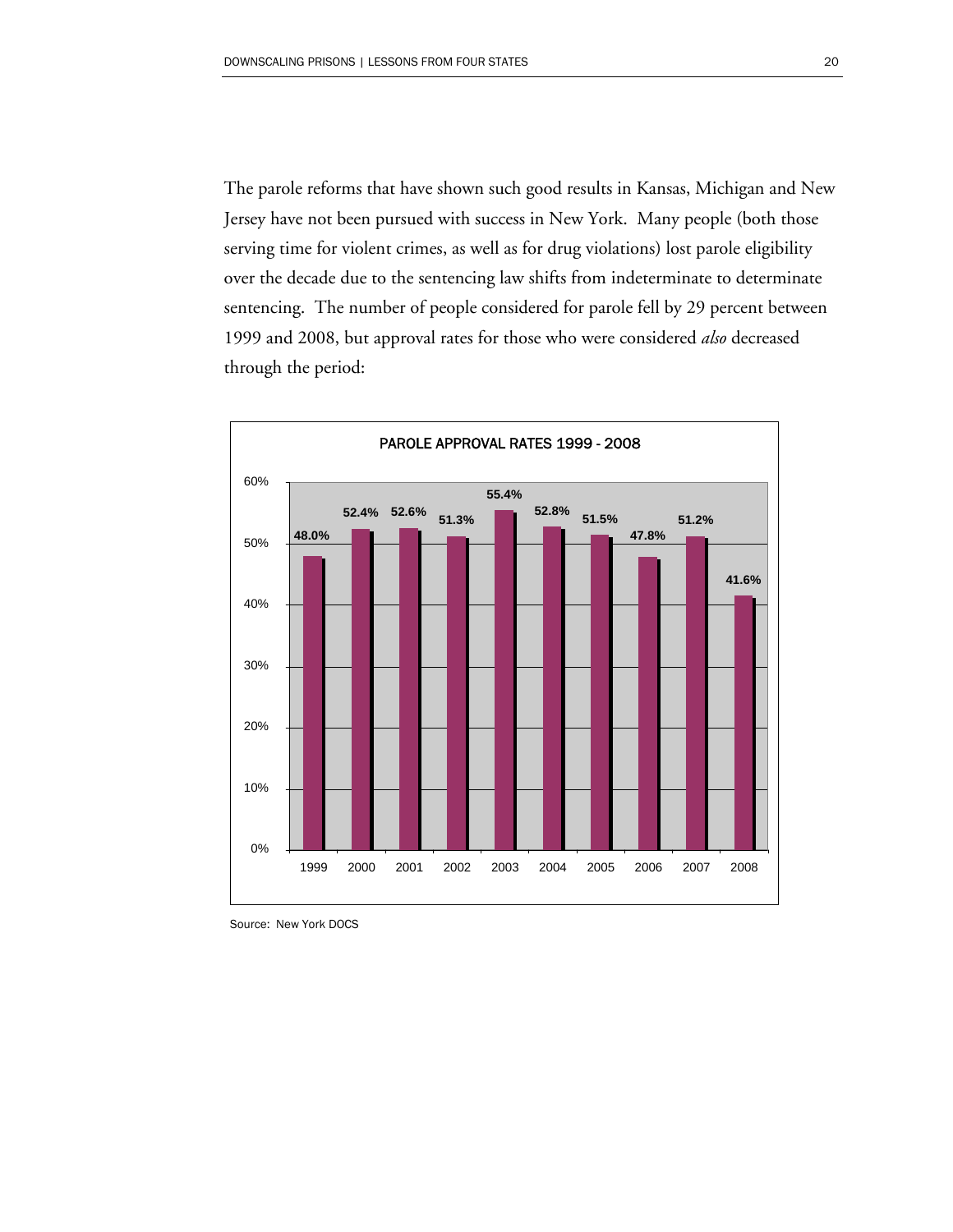The parole reforms that have shown such good results in Kansas, Michigan and New Jersey have not been pursued with success in New York. Many people (both those serving time for violent crimes, as well as for drug violations) lost parole eligibility over the decade due to the sentencing law shifts from indeterminate to determinate sentencing. The number of people considered for parole fell by 29 percent between 1999 and 2008, but approval rates for those who were considered *also* decreased through the period:



Source: New York DOCS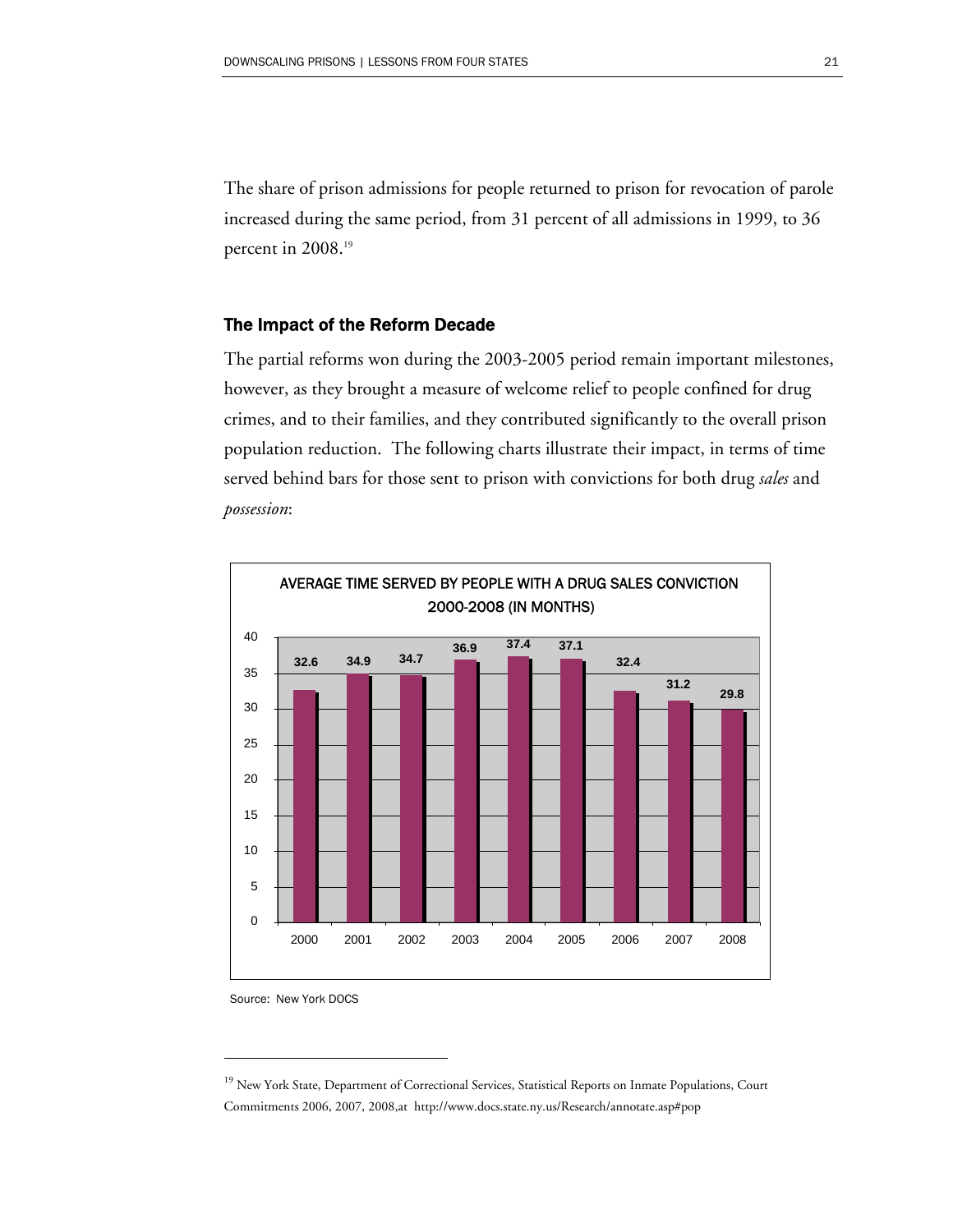The share of prison admissions for people returned to prison for revocation of parole increased during the same period, from 31 percent of all admissions in 1999, to 36 percent in 2008.<sup>19</sup>

#### The Impact of the Reform Decade

The partial reforms won during the 2003-2005 period remain important milestones, however, as they brought a measure of welcome relief to people confined for drug crimes, and to their families, and they contributed significantly to the overall prison population reduction. The following charts illustrate their impact, in terms of time served behind bars for those sent to prison with convictions for both drug *sales* and *possession*:



Source: New York DOCS

<sup>&</sup>lt;sup>19</sup> New York State, Department of Correctional Services, Statistical Reports on Inmate Populations, Court Commitments 2006, 2007, 2008,at http://www.docs.state.ny.us/Research/annotate.asp#pop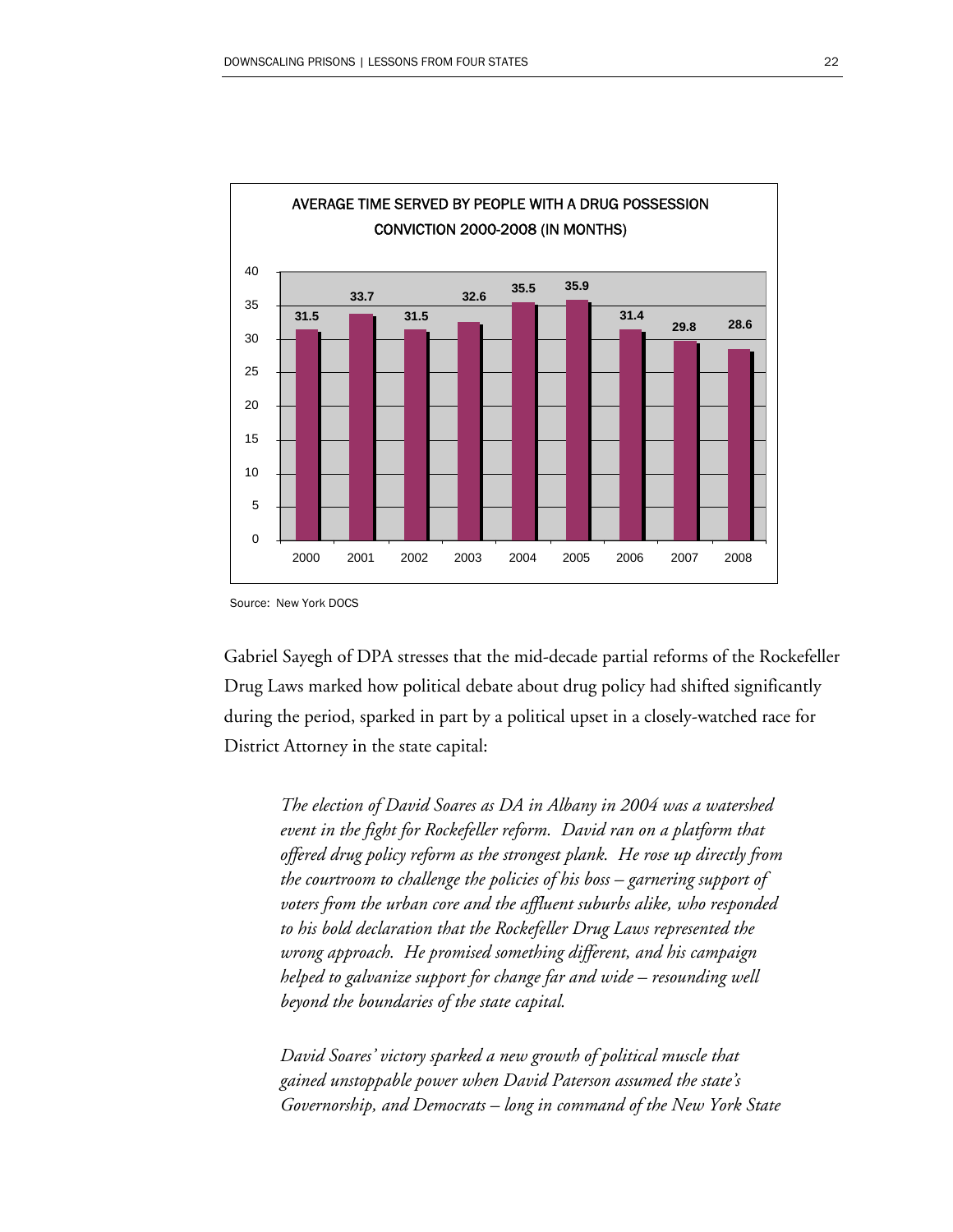

Source: New York DOCS

Gabriel Sayegh of DPA stresses that the mid-decade partial reforms of the Rockefeller Drug Laws marked how political debate about drug policy had shifted significantly during the period, sparked in part by a political upset in a closely-watched race for District Attorney in the state capital:

*The election of David Soares as DA in Albany in 2004 was a watershed event in the fight for Rockefeller reform. David ran on a platform that offered drug policy reform as the strongest plank. He rose up directly from the courtroom to challenge the policies of his boss – garnering support of voters from the urban core and the affluent suburbs alike, who responded to his bold declaration that the Rockefeller Drug Laws represented the wrong approach. He promised something different, and his campaign helped to galvanize support for change far and wide – resounding well beyond the boundaries of the state capital.* 

*David Soares' victory sparked a new growth of political muscle that gained unstoppable power when David Paterson assumed the state's Governorship, and Democrats – long in command of the New York State*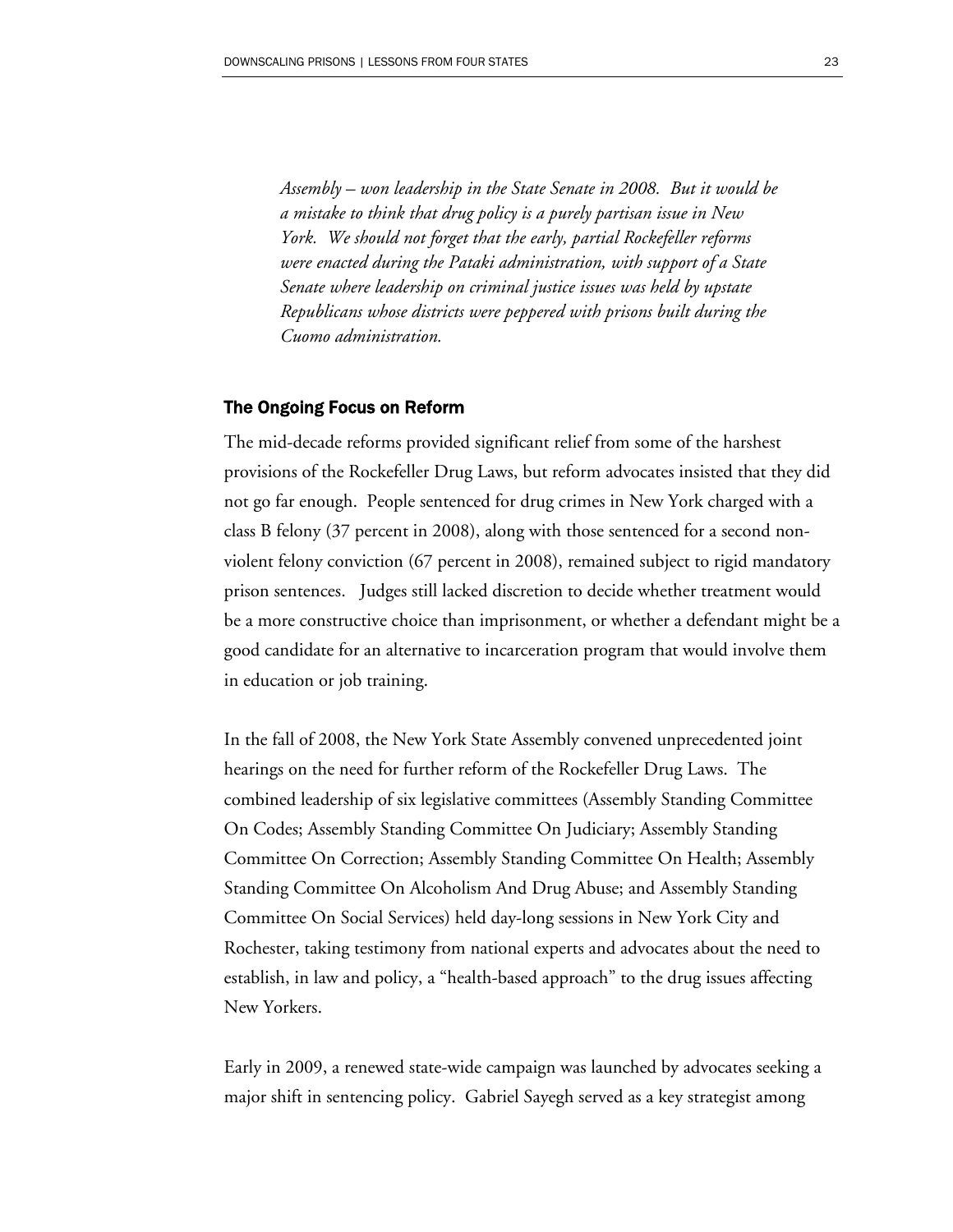*Assembly – won leadership in the State Senate in 2008. But it would be a mistake to think that drug policy is a purely partisan issue in New York. We should not forget that the early, partial Rockefeller reforms were enacted during the Pataki administration, with support of a State Senate where leadership on criminal justice issues was held by upstate Republicans whose districts were peppered with prisons built during the Cuomo administration.* 

#### The Ongoing Focus on Reform

The mid-decade reforms provided significant relief from some of the harshest provisions of the Rockefeller Drug Laws, but reform advocates insisted that they did not go far enough. People sentenced for drug crimes in New York charged with a class B felony (37 percent in 2008), along with those sentenced for a second nonviolent felony conviction (67 percent in 2008), remained subject to rigid mandatory prison sentences. Judges still lacked discretion to decide whether treatment would be a more constructive choice than imprisonment, or whether a defendant might be a good candidate for an alternative to incarceration program that would involve them in education or job training.

In the fall of 2008, the New York State Assembly convened unprecedented joint hearings on the need for further reform of the Rockefeller Drug Laws. The combined leadership of six legislative committees (Assembly Standing Committee On Codes; Assembly Standing Committee On Judiciary; Assembly Standing Committee On Correction; Assembly Standing Committee On Health; Assembly Standing Committee On Alcoholism And Drug Abuse; and Assembly Standing Committee On Social Services) held day-long sessions in New York City and Rochester, taking testimony from national experts and advocates about the need to establish, in law and policy, a "health-based approach" to the drug issues affecting New Yorkers.

Early in 2009, a renewed state-wide campaign was launched by advocates seeking a major shift in sentencing policy. Gabriel Sayegh served as a key strategist among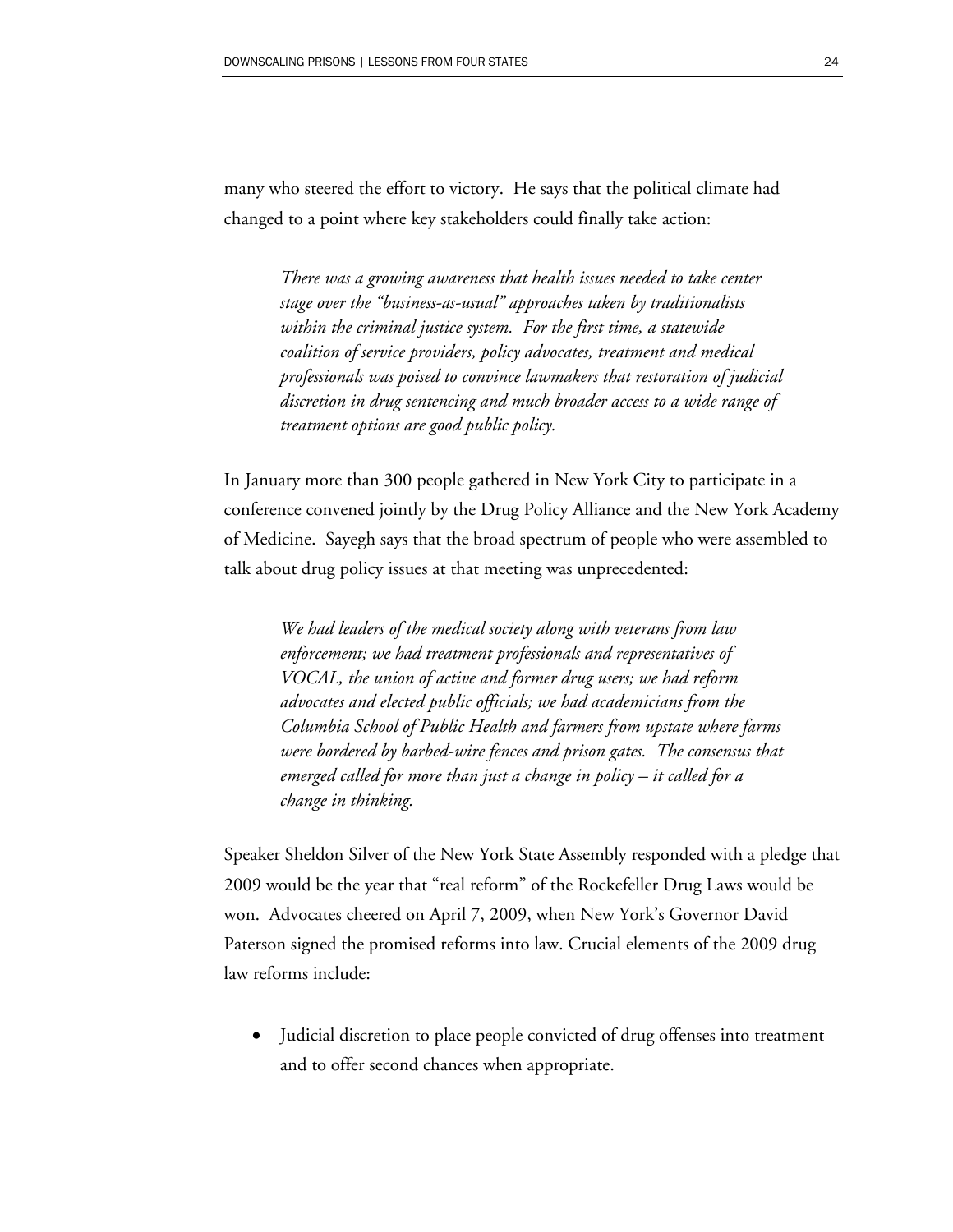many who steered the effort to victory. He says that the political climate had changed to a point where key stakeholders could finally take action:

> *There was a growing awareness that health issues needed to take center stage over the "business-as-usual" approaches taken by traditionalists within the criminal justice system. For the first time, a statewide coalition of service providers, policy advocates, treatment and medical professionals was poised to convince lawmakers that restoration of judicial discretion in drug sentencing and much broader access to a wide range of treatment options are good public policy.*

In January more than 300 people gathered in New York City to participate in a conference convened jointly by the Drug Policy Alliance and the New York Academy of Medicine. Sayegh says that the broad spectrum of people who were assembled to talk about drug policy issues at that meeting was unprecedented:

*We had leaders of the medical society along with veterans from law enforcement; we had treatment professionals and representatives of VOCAL, the union of active and former drug users; we had reform advocates and elected public officials; we had academicians from the Columbia School of Public Health and farmers from upstate where farms were bordered by barbed-wire fences and prison gates. The consensus that emerged called for more than just a change in policy – it called for a change in thinking.* 

Speaker Sheldon Silver of the New York State Assembly responded with a pledge that 2009 would be the year that "real reform" of the Rockefeller Drug Laws would be won. Advocates cheered on April 7, 2009, when New York's Governor David Paterson signed the promised reforms into law. Crucial elements of the 2009 drug law reforms include:

• Judicial discretion to place people convicted of drug offenses into treatment and to offer second chances when appropriate.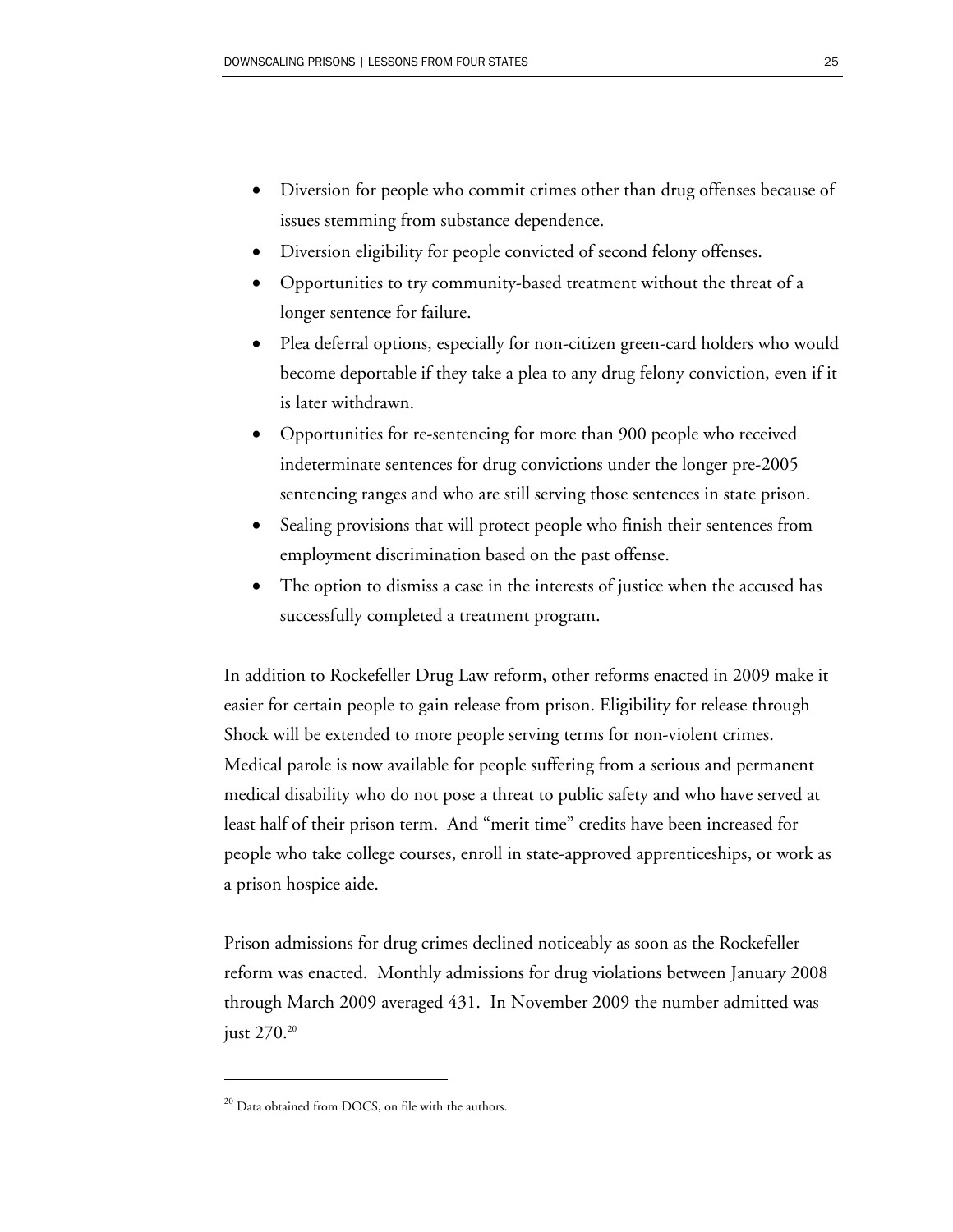- Diversion for people who commit crimes other than drug offenses because of issues stemming from substance dependence.
- Diversion eligibility for people convicted of second felony offenses.
- Opportunities to try community-based treatment without the threat of a longer sentence for failure.
- Plea deferral options, especially for non-citizen green-card holders who would become deportable if they take a plea to any drug felony conviction, even if it is later withdrawn.
- Opportunities for re-sentencing for more than 900 people who received indeterminate sentences for drug convictions under the longer pre-2005 sentencing ranges and who are still serving those sentences in state prison.
- Sealing provisions that will protect people who finish their sentences from employment discrimination based on the past offense.
- The option to dismiss a case in the interests of justice when the accused has successfully completed a treatment program.

In addition to Rockefeller Drug Law reform, other reforms enacted in 2009 make it easier for certain people to gain release from prison. Eligibility for release through Shock will be extended to more people serving terms for non-violent crimes. Medical parole is now available for people suffering from a serious and permanent medical disability who do not pose a threat to public safety and who have served at least half of their prison term. And "merit time" credits have been increased for people who take college courses, enroll in state-approved apprenticeships, or work as a prison hospice aide.

Prison admissions for drug crimes declined noticeably as soon as the Rockefeller reform was enacted. Monthly admissions for drug violations between January 2008 through March 2009 averaged 431. In November 2009 the number admitted was just 270.<sup>20</sup>

<sup>&</sup>lt;sup>20</sup> Data obtained from DOCS, on file with the authors.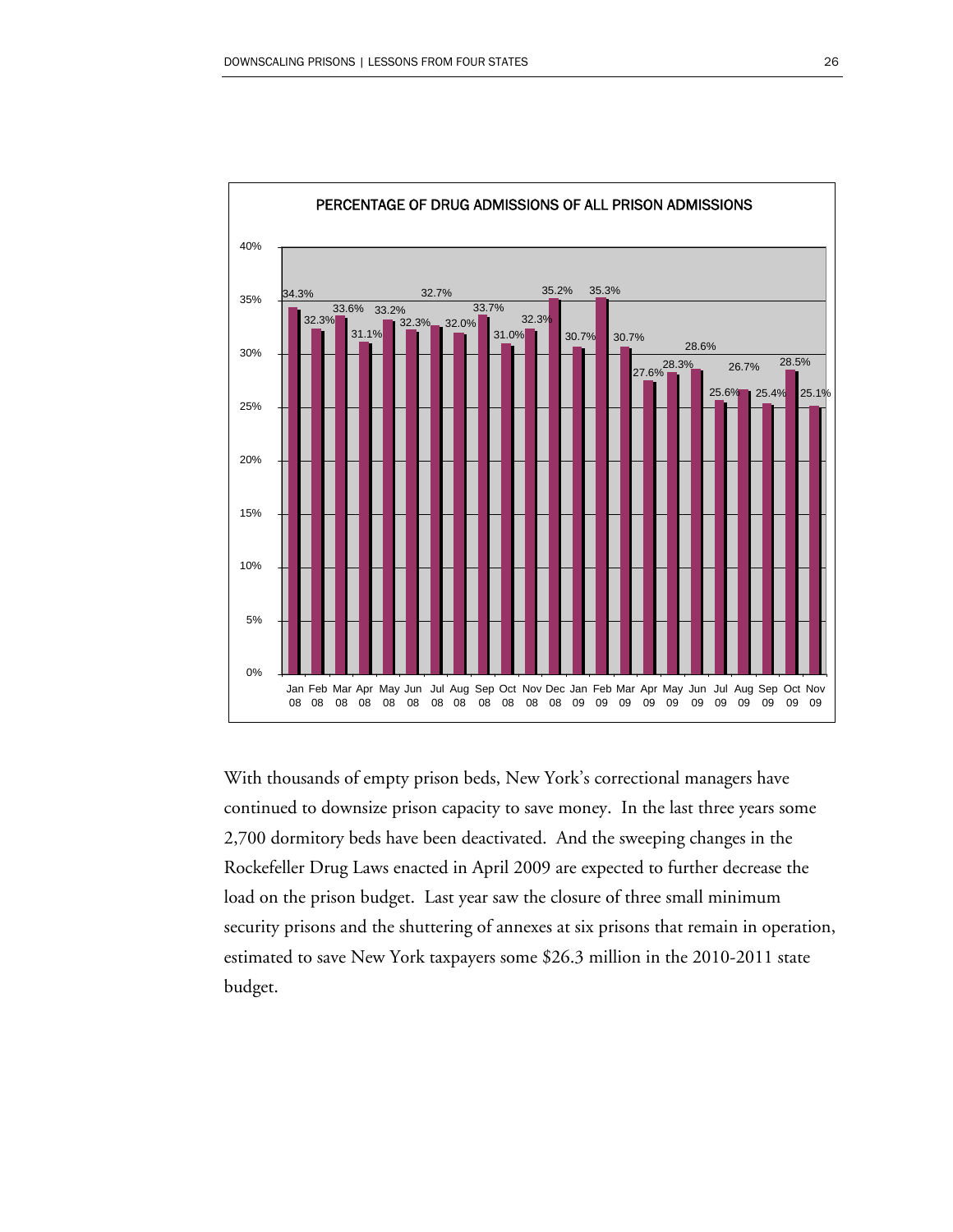

With thousands of empty prison beds, New York's correctional managers have continued to downsize prison capacity to save money. In the last three years some 2,700 dormitory beds have been deactivated. And the sweeping changes in the Rockefeller Drug Laws enacted in April 2009 are expected to further decrease the load on the prison budget. Last year saw the closure of three small minimum security prisons and the shuttering of annexes at six prisons that remain in operation, estimated to save New York taxpayers some \$26.3 million in the 2010-2011 state budget.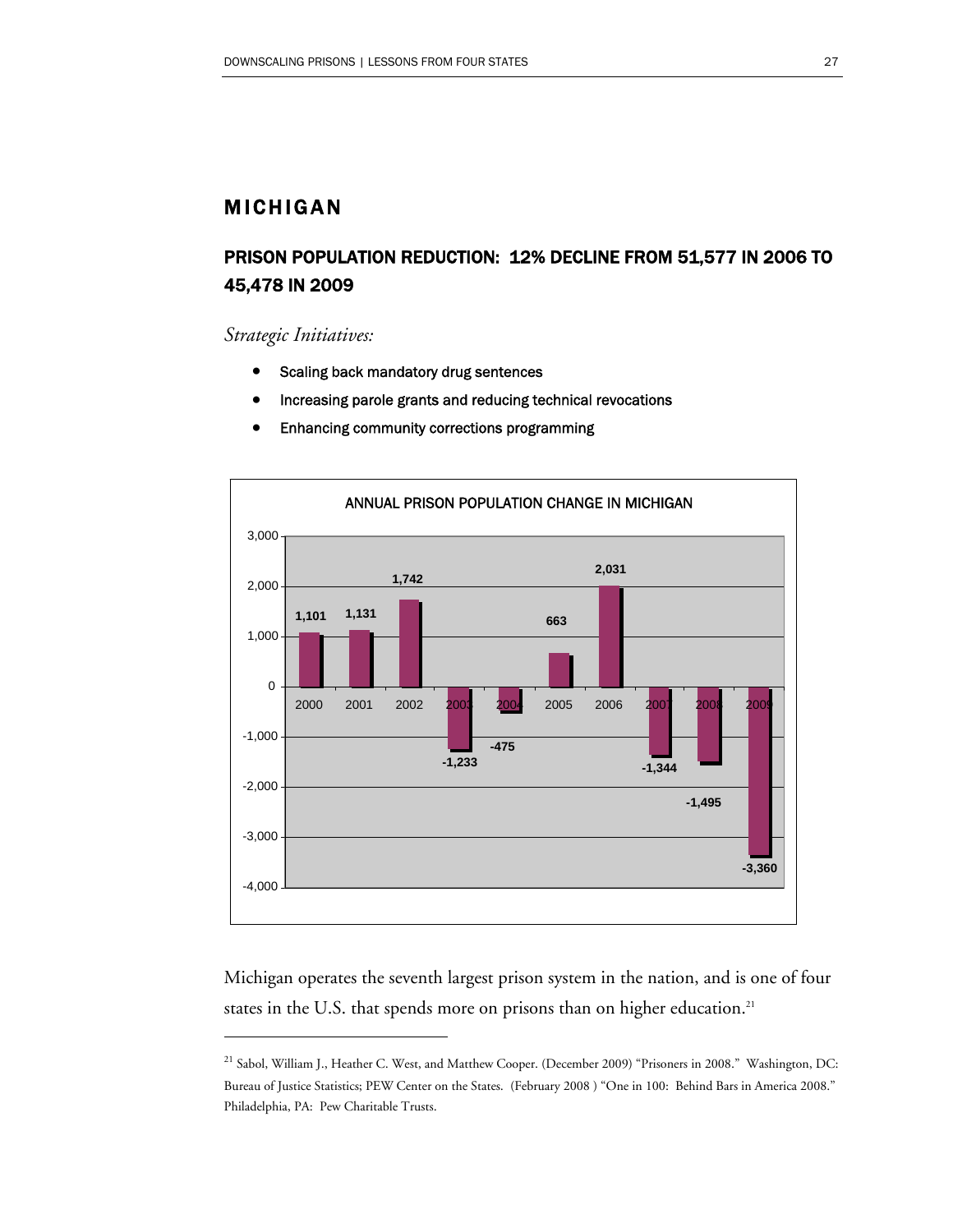### MICHIGAN

## PRISON POPULATION REDUCTION: 12% DECLINE FROM 51,577 IN 2006 TO 45,478 IN 2009

*Strategic Initiatives:* 

 $\overline{a}$ 

- Scaling back mandatory drug sentences
- Increasing parole grants and reducing technical revocations
- Enhancing community corrections programming



Michigan operates the seventh largest prison system in the nation, and is one of four states in the U.S. that spends more on prisons than on higher education.<sup>21</sup>

<sup>&</sup>lt;sup>21</sup> Sabol, William J., Heather C. West, and Matthew Cooper. (December 2009) "Prisoners in 2008." Washington, DC: Bureau of Justice Statistics; PEW Center on the States. (February 2008 ) "One in 100: Behind Bars in America 2008." Philadelphia, PA: Pew Charitable Trusts.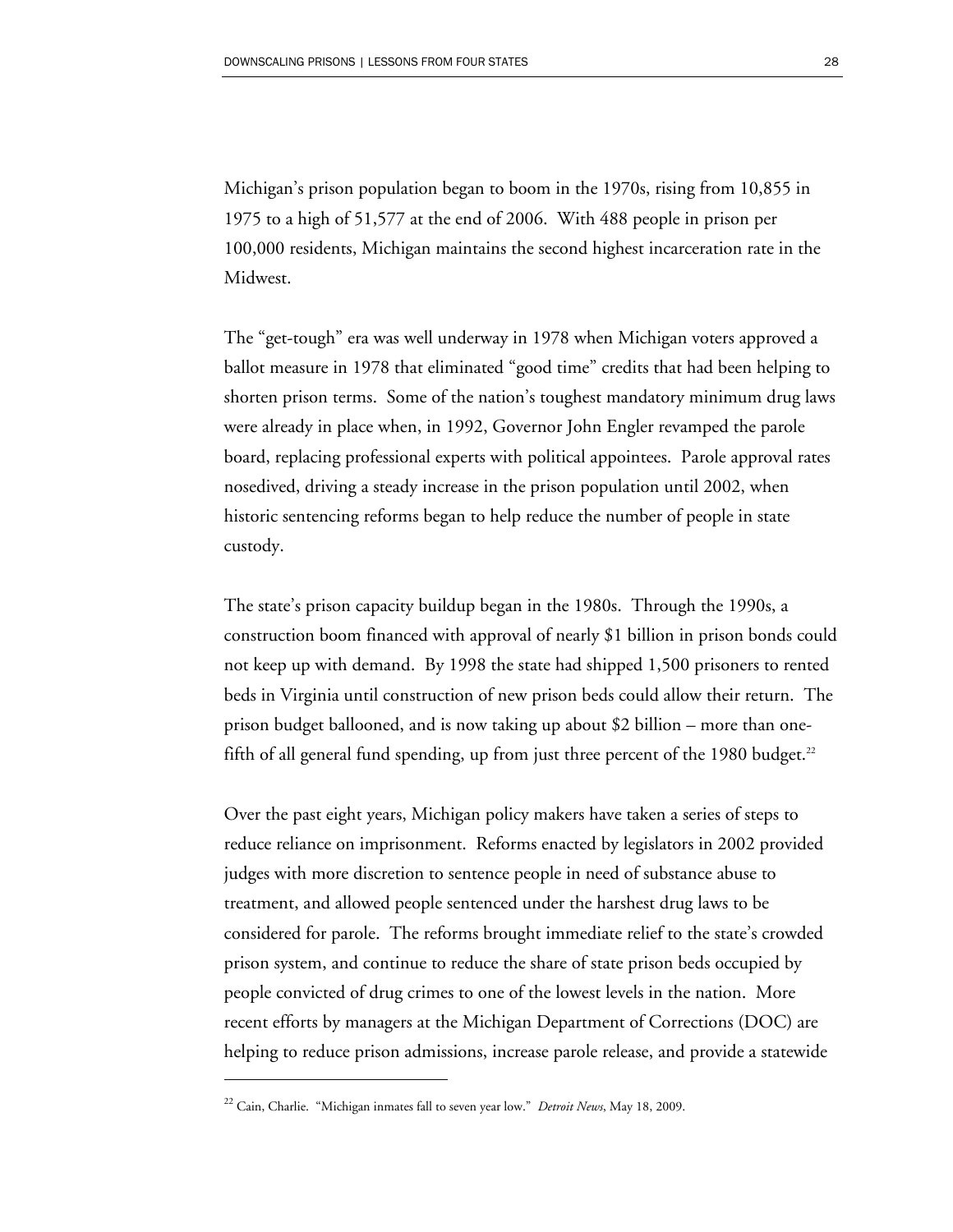Michigan's prison population began to boom in the 1970s, rising from 10,855 in 1975 to a high of 51,577 at the end of 2006. With 488 people in prison per 100,000 residents, Michigan maintains the second highest incarceration rate in the Midwest.

The "get-tough" era was well underway in 1978 when Michigan voters approved a ballot measure in 1978 that eliminated "good time" credits that had been helping to shorten prison terms. Some of the nation's toughest mandatory minimum drug laws were already in place when, in 1992, Governor John Engler revamped the parole board, replacing professional experts with political appointees. Parole approval rates nosedived, driving a steady increase in the prison population until 2002, when historic sentencing reforms began to help reduce the number of people in state custody.

The state's prison capacity buildup began in the 1980s. Through the 1990s, a construction boom financed with approval of nearly \$1 billion in prison bonds could not keep up with demand. By 1998 the state had shipped 1,500 prisoners to rented beds in Virginia until construction of new prison beds could allow their return. The prison budget ballooned, and is now taking up about \$2 billion – more than onefifth of all general fund spending, up from just three percent of the 1980 budget.<sup>22</sup>

Over the past eight years, Michigan policy makers have taken a series of steps to reduce reliance on imprisonment. Reforms enacted by legislators in 2002 provided judges with more discretion to sentence people in need of substance abuse to treatment, and allowed people sentenced under the harshest drug laws to be considered for parole. The reforms brought immediate relief to the state's crowded prison system, and continue to reduce the share of state prison beds occupied by people convicted of drug crimes to one of the lowest levels in the nation. More recent efforts by managers at the Michigan Department of Corrections (DOC) are helping to reduce prison admissions, increase parole release, and provide a statewide

<sup>22</sup> Cain, Charlie. "Michigan inmates fall to seven year low." *Detroit News*, May 18, 2009.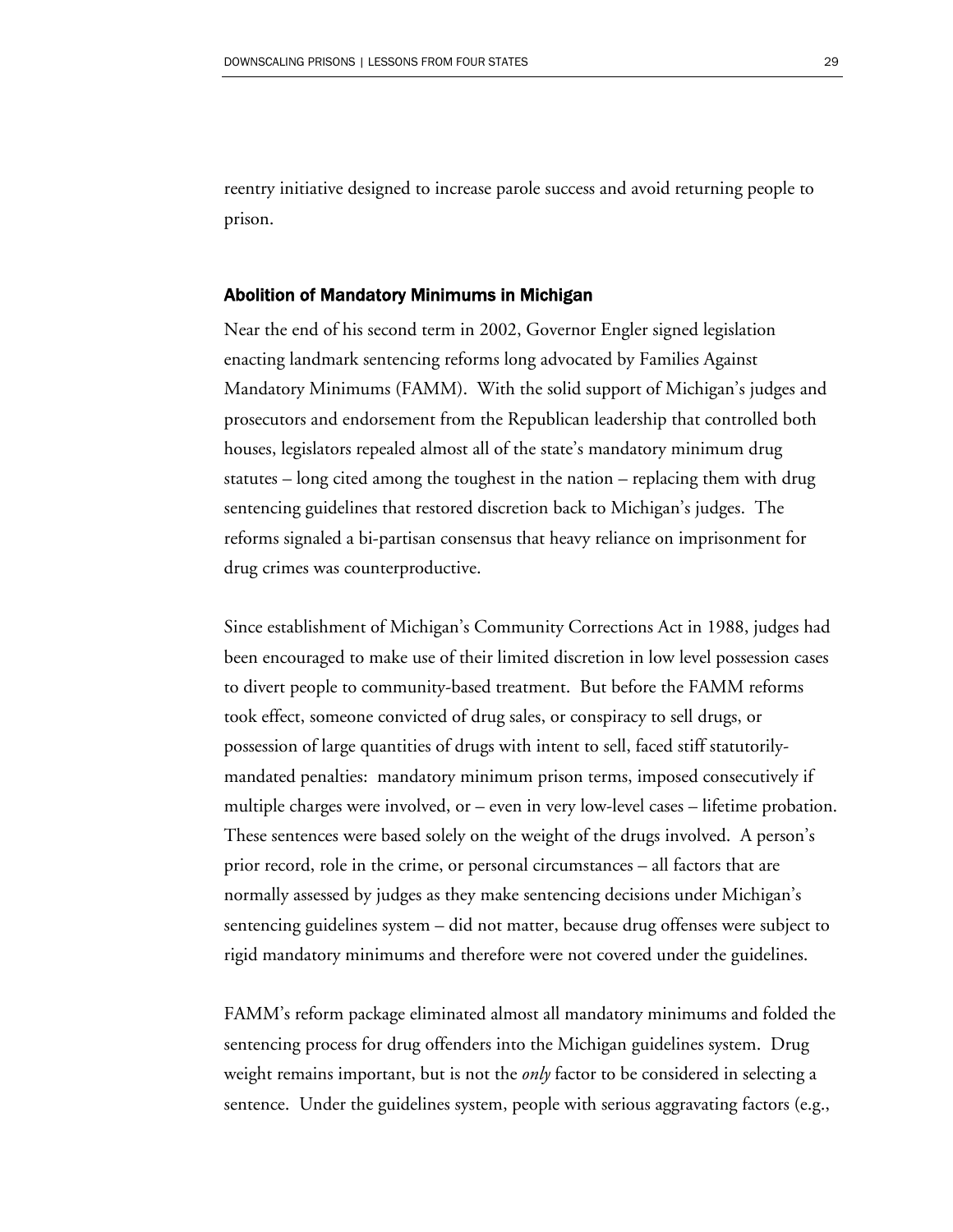reentry initiative designed to increase parole success and avoid returning people to prison.

#### Abolition of Mandatory Minimums in Michigan

Near the end of his second term in 2002, Governor Engler signed legislation enacting landmark sentencing reforms long advocated by Families Against Mandatory Minimums (FAMM). With the solid support of Michigan's judges and prosecutors and endorsement from the Republican leadership that controlled both houses, legislators repealed almost all of the state's mandatory minimum drug statutes – long cited among the toughest in the nation – replacing them with drug sentencing guidelines that restored discretion back to Michigan's judges. The reforms signaled a bi-partisan consensus that heavy reliance on imprisonment for drug crimes was counterproductive.

Since establishment of Michigan's Community Corrections Act in 1988, judges had been encouraged to make use of their limited discretion in low level possession cases to divert people to community-based treatment. But before the FAMM reforms took effect, someone convicted of drug sales, or conspiracy to sell drugs, or possession of large quantities of drugs with intent to sell, faced stiff statutorilymandated penalties: mandatory minimum prison terms, imposed consecutively if multiple charges were involved, or – even in very low-level cases – lifetime probation. These sentences were based solely on the weight of the drugs involved. A person's prior record, role in the crime, or personal circumstances – all factors that are normally assessed by judges as they make sentencing decisions under Michigan's sentencing guidelines system – did not matter, because drug offenses were subject to rigid mandatory minimums and therefore were not covered under the guidelines.

FAMM's reform package eliminated almost all mandatory minimums and folded the sentencing process for drug offenders into the Michigan guidelines system. Drug weight remains important, but is not the *only* factor to be considered in selecting a sentence. Under the guidelines system, people with serious aggravating factors (e.g.,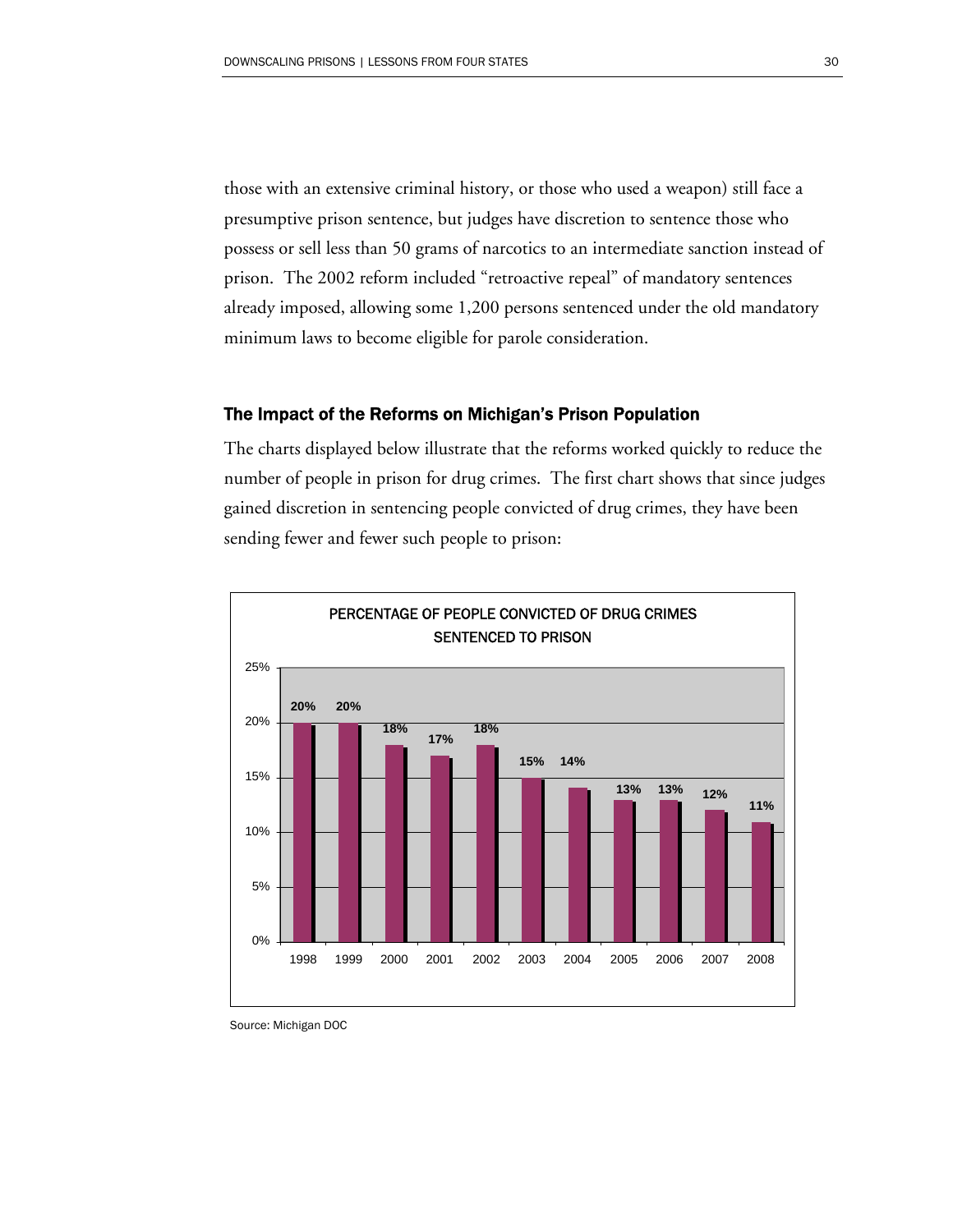those with an extensive criminal history, or those who used a weapon) still face a presumptive prison sentence, but judges have discretion to sentence those who possess or sell less than 50 grams of narcotics to an intermediate sanction instead of prison. The 2002 reform included "retroactive repeal" of mandatory sentences already imposed, allowing some 1,200 persons sentenced under the old mandatory minimum laws to become eligible for parole consideration.

#### The Impact of the Reforms on Michigan's Prison Population

The charts displayed below illustrate that the reforms worked quickly to reduce the number of people in prison for drug crimes. The first chart shows that since judges gained discretion in sentencing people convicted of drug crimes, they have been sending fewer and fewer such people to prison:



Source: Michigan DOC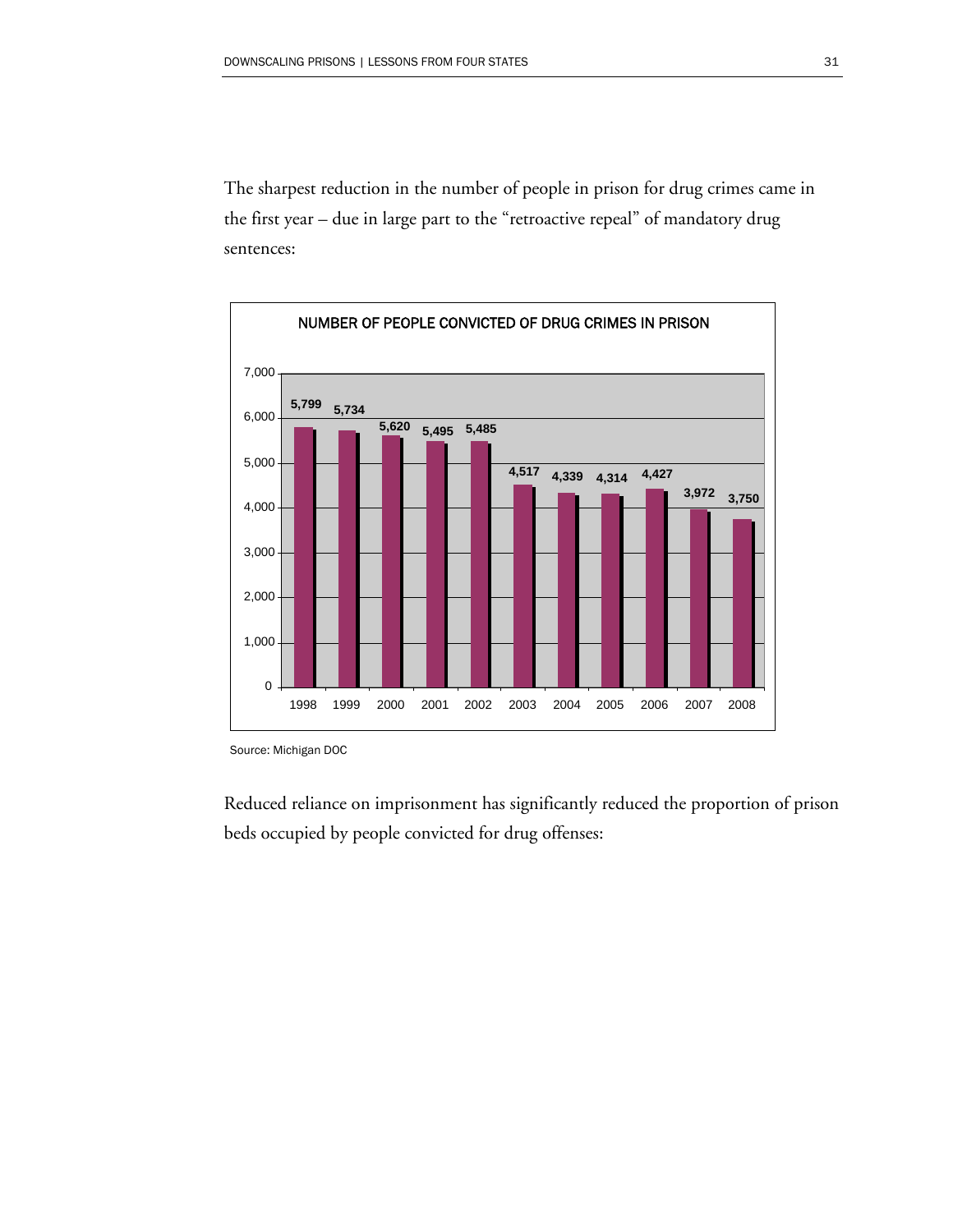The sharpest reduction in the number of people in prison for drug crimes came in the first year – due in large part to the "retroactive repeal" of mandatory drug sentences:



Source: Michigan DOC

Reduced reliance on imprisonment has significantly reduced the proportion of prison beds occupied by people convicted for drug offenses: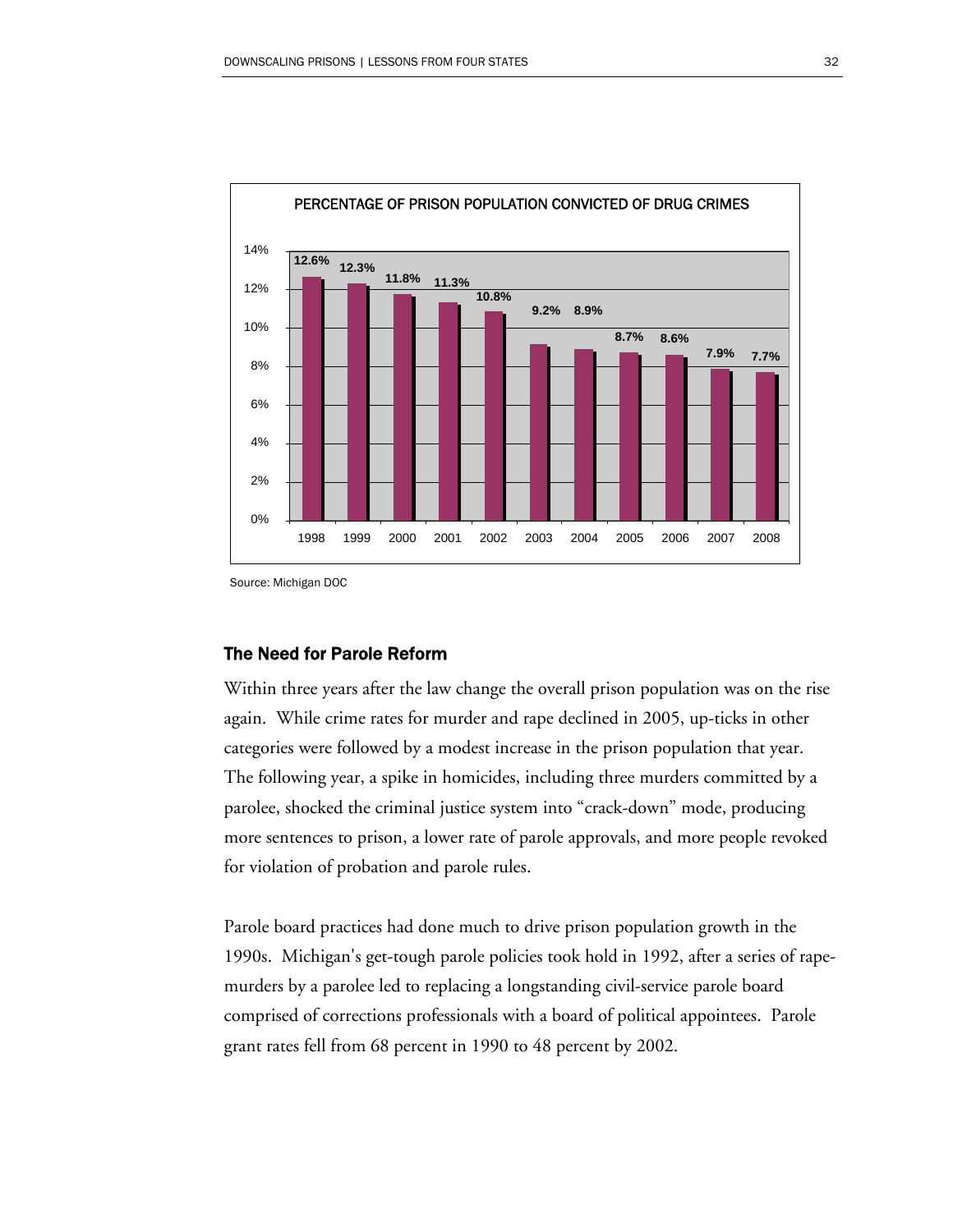

Source: Michigan DOC

### The Need for Parole Reform

Within three years after the law change the overall prison population was on the rise again. While crime rates for murder and rape declined in 2005, up-ticks in other categories were followed by a modest increase in the prison population that year. The following year, a spike in homicides, including three murders committed by a parolee, shocked the criminal justice system into "crack-down" mode, producing more sentences to prison, a lower rate of parole approvals, and more people revoked for violation of probation and parole rules.

Parole board practices had done much to drive prison population growth in the 1990s. Michigan's get-tough parole policies took hold in 1992, after a series of rapemurders by a parolee led to replacing a longstanding civil-service parole board comprised of corrections professionals with a board of political appointees. Parole grant rates fell from 68 percent in 1990 to 48 percent by 2002.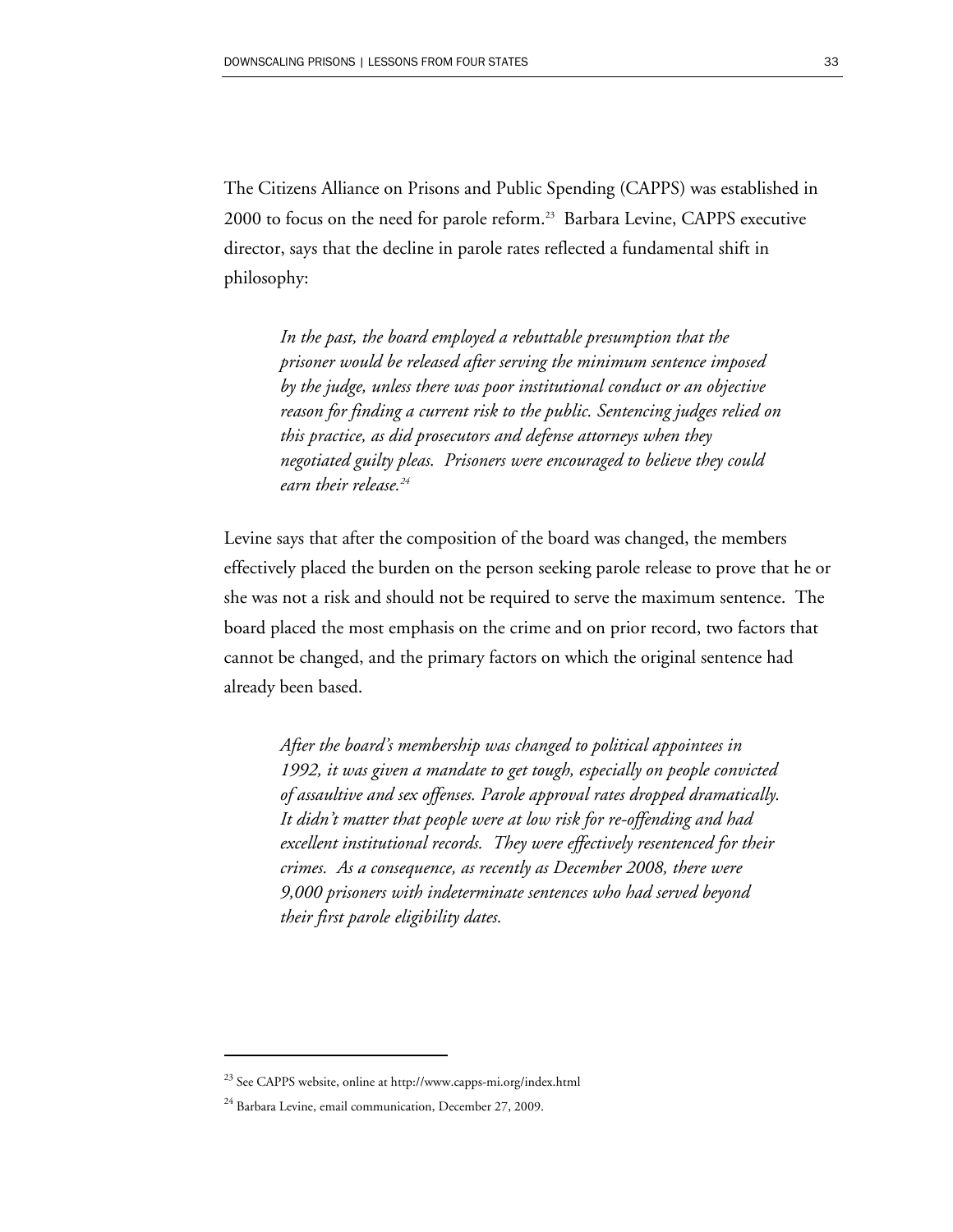The Citizens Alliance on Prisons and Public Spending (CAPPS) was established in 2000 to focus on the need for parole reform.<sup>23</sup> Barbara Levine, CAPPS executive director, says that the decline in parole rates reflected a fundamental shift in philosophy:

*In the past, the board employed a rebuttable presumption that the prisoner would be released after serving the minimum sentence imposed by the judge, unless there was poor institutional conduct or an objective reason for finding a current risk to the public. Sentencing judges relied on this practice, as did prosecutors and defense attorneys when they negotiated guilty pleas. Prisoners were encouraged to believe they could earn their release.24* 

Levine says that after the composition of the board was changed, the members effectively placed the burden on the person seeking parole release to prove that he or she was not a risk and should not be required to serve the maximum sentence. The board placed the most emphasis on the crime and on prior record, two factors that cannot be changed, and the primary factors on which the original sentence had already been based.

*After the board's membership was changed to political appointees in 1992, it was given a mandate to get tough, especially on people convicted of assaultive and sex offenses. Parole approval rates dropped dramatically. It didn't matter that people were at low risk for re-offending and had excellent institutional records. They were effectively resentenced for their crimes. As a consequence, as recently as December 2008, there were 9,000 prisoners with indeterminate sentences who had served beyond their first parole eligibility dates.* 

<sup>&</sup>lt;sup>23</sup> See CAPPS website, online at http://www.capps-mi.org/index.html

<sup>&</sup>lt;sup>24</sup> Barbara Levine, email communication, December 27, 2009.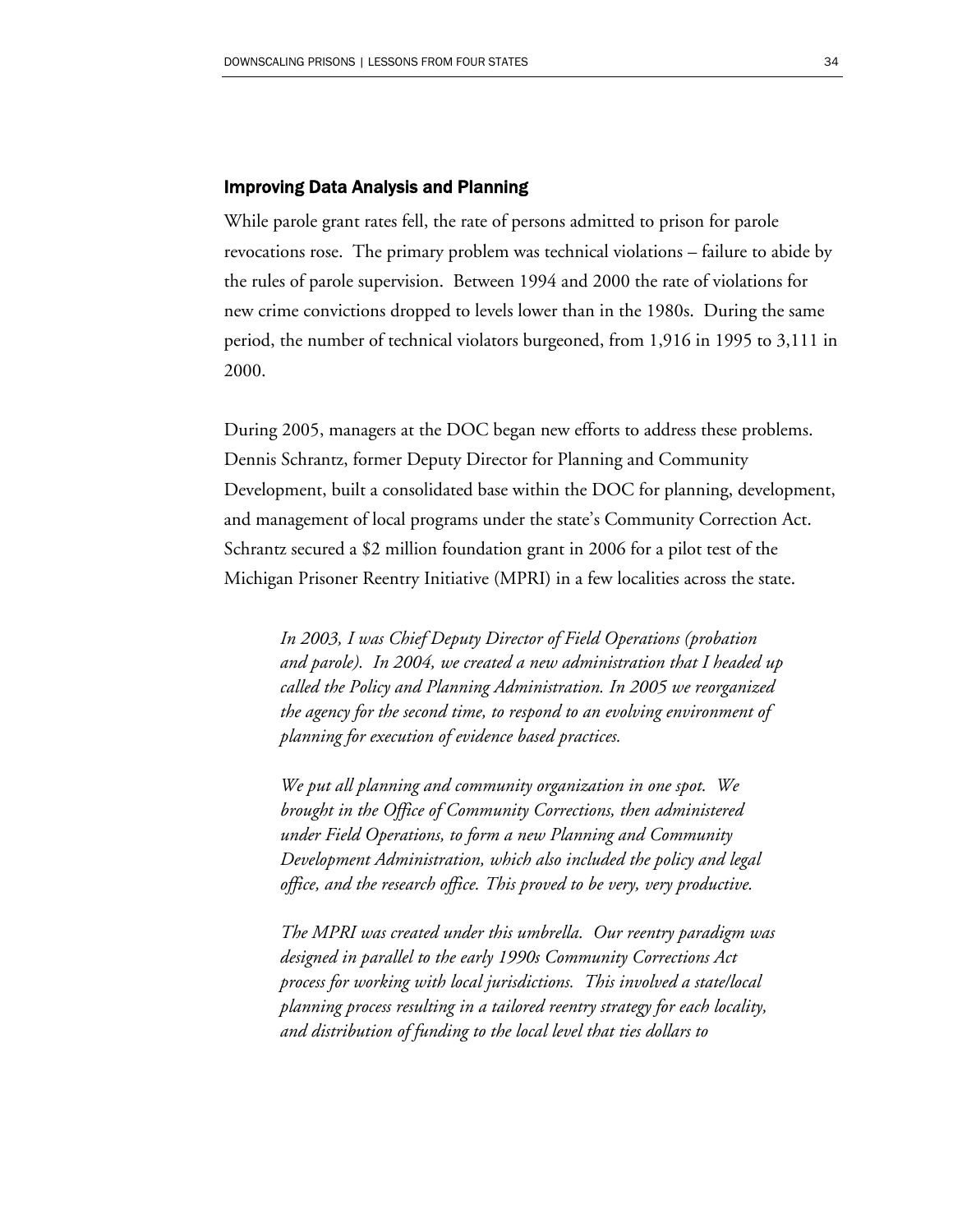#### Improving Data Analysis and Planning

While parole grant rates fell, the rate of persons admitted to prison for parole revocations rose. The primary problem was technical violations – failure to abide by the rules of parole supervision. Between 1994 and 2000 the rate of violations for new crime convictions dropped to levels lower than in the 1980s. During the same period, the number of technical violators burgeoned, from 1,916 in 1995 to 3,111 in 2000.

During 2005, managers at the DOC began new efforts to address these problems. Dennis Schrantz, former Deputy Director for Planning and Community Development, built a consolidated base within the DOC for planning, development, and management of local programs under the state's Community Correction Act. Schrantz secured a \$2 million foundation grant in 2006 for a pilot test of the Michigan Prisoner Reentry Initiative (MPRI) in a few localities across the state.

*In 2003, I was Chief Deputy Director of Field Operations (probation and parole). In 2004, we created a new administration that I headed up called the Policy and Planning Administration. In 2005 we reorganized the agency for the second time, to respond to an evolving environment of planning for execution of evidence based practices.* 

*We put all planning and community organization in one spot. We brought in the Office of Community Corrections, then administered under Field Operations, to form a new Planning and Community Development Administration, which also included the policy and legal office, and the research office. This proved to be very, very productive.* 

*The MPRI was created under this umbrella. Our reentry paradigm was designed in parallel to the early 1990s Community Corrections Act process for working with local jurisdictions. This involved a state/local planning process resulting in a tailored reentry strategy for each locality, and distribution of funding to the local level that ties dollars to*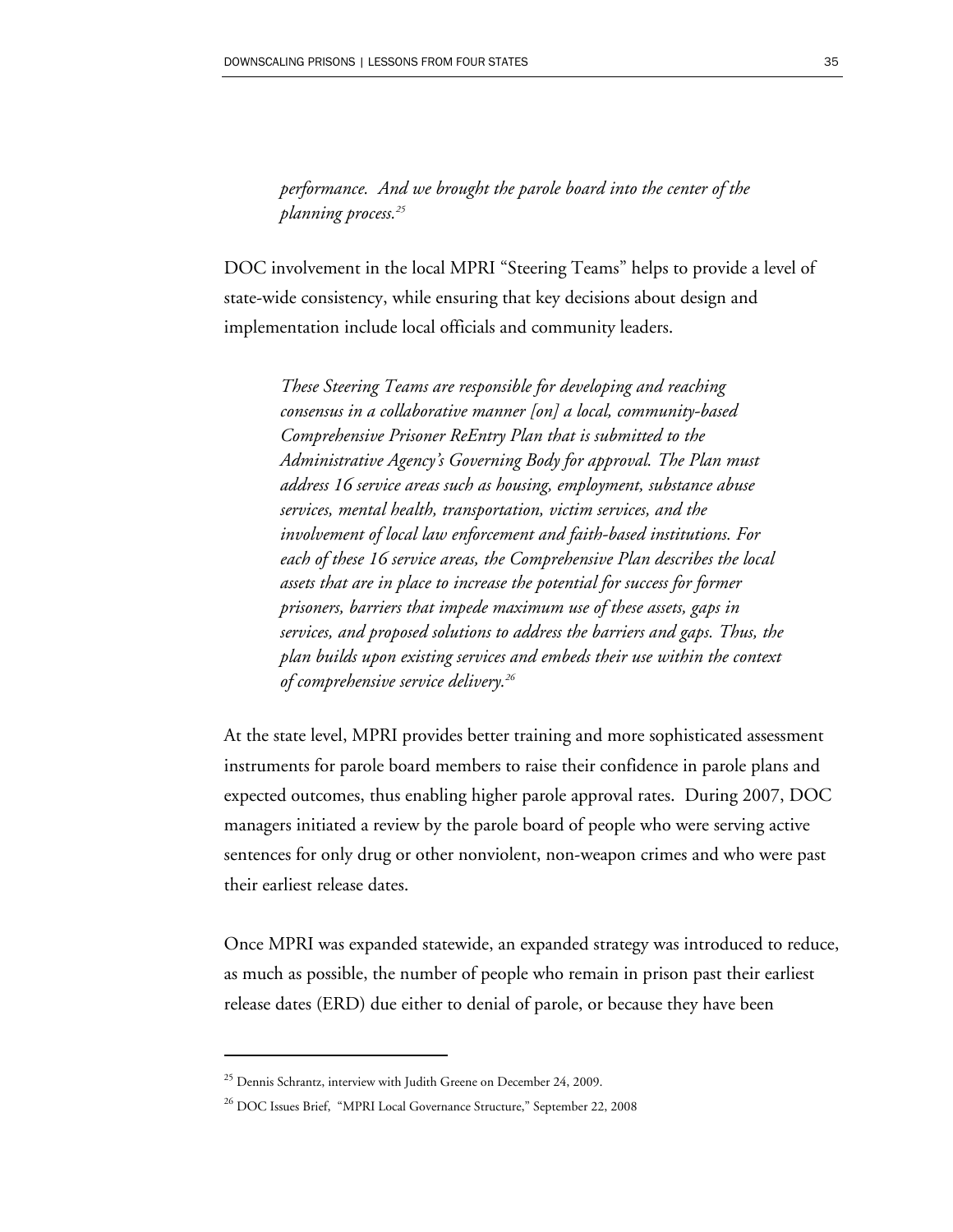*performance. And we brought the parole board into the center of the planning process.25* 

DOC involvement in the local MPRI "Steering Teams" helps to provide a level of state-wide consistency, while ensuring that key decisions about design and implementation include local officials and community leaders.

*These Steering Teams are responsible for developing and reaching consensus in a collaborative manner [on] a local, community-based Comprehensive Prisoner ReEntry Plan that is submitted to the Administrative Agency's Governing Body for approval. The Plan must address 16 service areas such as housing, employment, substance abuse services, mental health, transportation, victim services, and the involvement of local law enforcement and faith-based institutions. For each of these 16 service areas, the Comprehensive Plan describes the local assets that are in place to increase the potential for success for former prisoners, barriers that impede maximum use of these assets, gaps in services, and proposed solutions to address the barriers and gaps. Thus, the plan builds upon existing services and embeds their use within the context of comprehensive service delivery.26* 

At the state level, MPRI provides better training and more sophisticated assessment instruments for parole board members to raise their confidence in parole plans and expected outcomes, thus enabling higher parole approval rates. During 2007, DOC managers initiated a review by the parole board of people who were serving active sentences for only drug or other nonviolent, non-weapon crimes and who were past their earliest release dates.

Once MPRI was expanded statewide, an expanded strategy was introduced to reduce, as much as possible, the number of people who remain in prison past their earliest release dates (ERD) due either to denial of parole, or because they have been

 $^{25}$  Dennis Schrantz, interview with Judith Greene on December 24, 2009.

<sup>&</sup>lt;sup>26</sup> DOC Issues Brief, "MPRI Local Governance Structure," September 22, 2008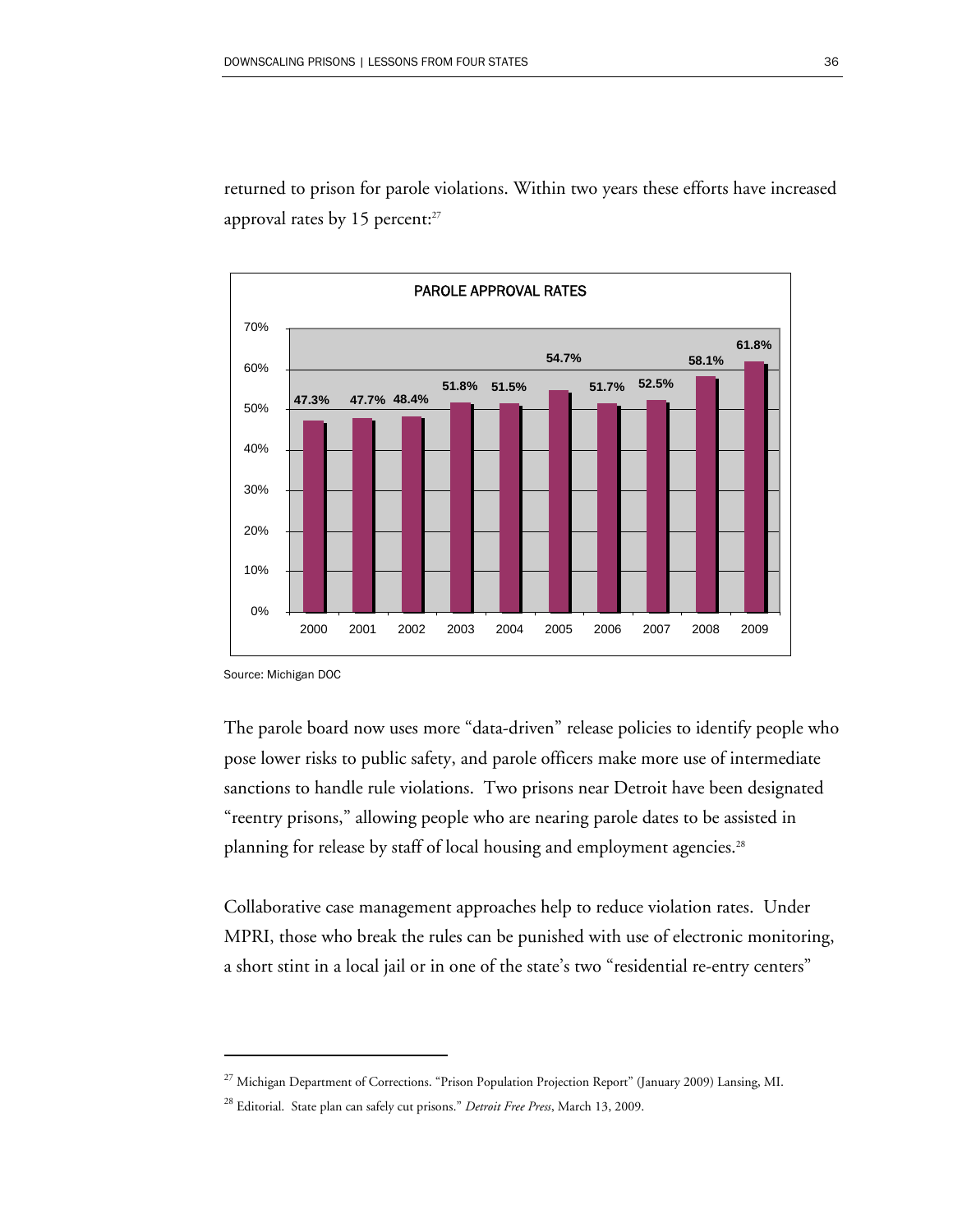returned to prison for parole violations. Within two years these efforts have increased approval rates by 15 percent: $27$ 



Source: Michigan DOC

 $\overline{a}$ 

The parole board now uses more "data-driven" release policies to identify people who pose lower risks to public safety, and parole officers make more use of intermediate sanctions to handle rule violations. Two prisons near Detroit have been designated "reentry prisons," allowing people who are nearing parole dates to be assisted in planning for release by staff of local housing and employment agencies.<sup>28</sup>

Collaborative case management approaches help to reduce violation rates. Under MPRI, those who break the rules can be punished with use of electronic monitoring, a short stint in a local jail or in one of the state's two "residential re-entry centers"

<sup>&</sup>lt;sup>27</sup> Michigan Department of Corrections. "Prison Population Projection Report" (January 2009) Lansing, MI.

<sup>28</sup> Editorial. State plan can safely cut prisons." *Detroit Free Press*, March 13, 2009.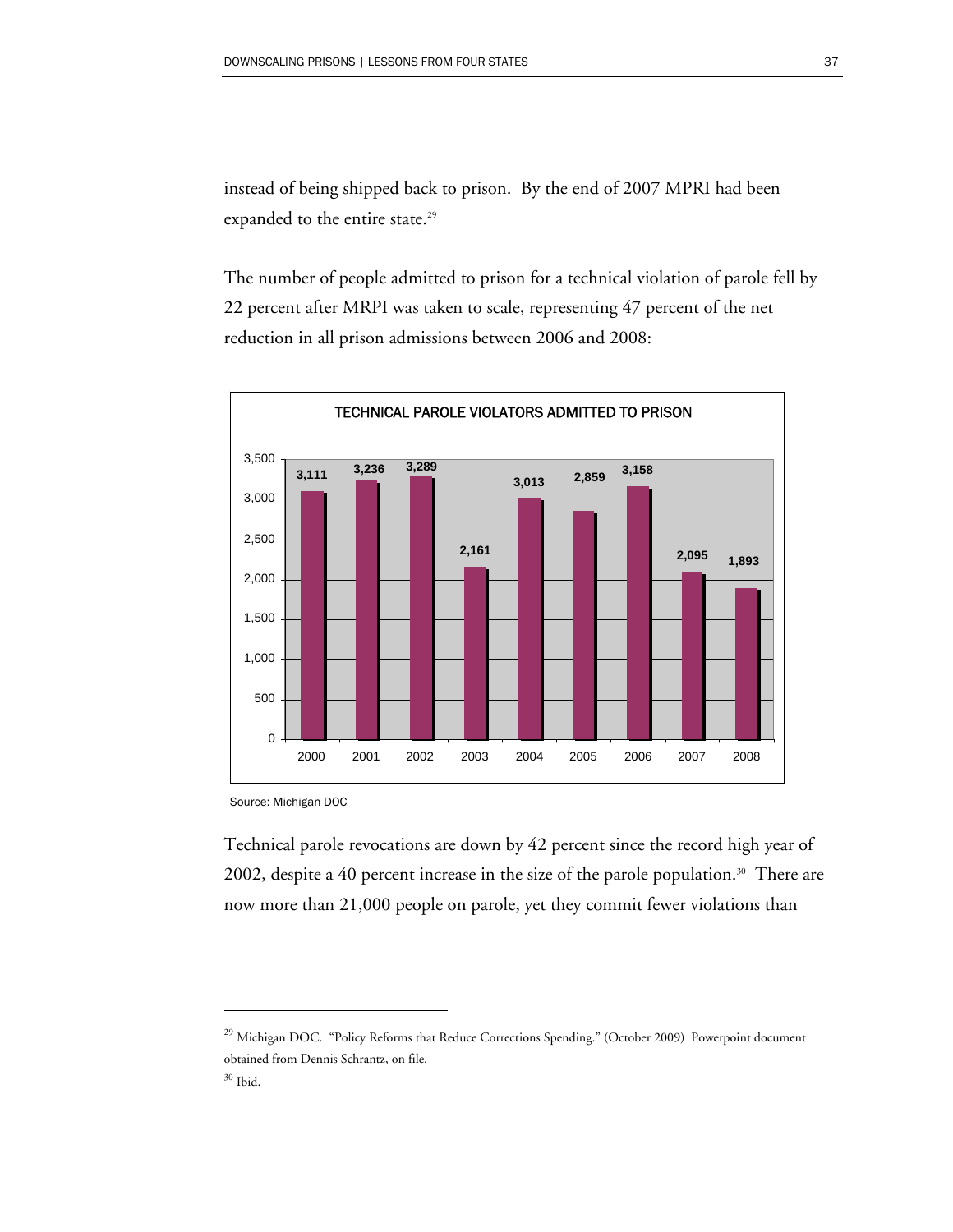instead of being shipped back to prison. By the end of 2007 MPRI had been expanded to the entire state.<sup>29</sup>

The number of people admitted to prison for a technical violation of parole fell by 22 percent after MRPI was taken to scale, representing 47 percent of the net reduction in all prison admissions between 2006 and 2008:



Source: Michigan DOC

Technical parole revocations are down by 42 percent since the record high year of 2002, despite a 40 percent increase in the size of the parole population.<sup>30</sup> There are now more than 21,000 people on parole, yet they commit fewer violations than

<sup>29</sup> Michigan DOC. "Policy Reforms that Reduce Corrections Spending." (October 2009) Powerpoint document obtained from Dennis Schrantz, on file.

 $30$  Ibid.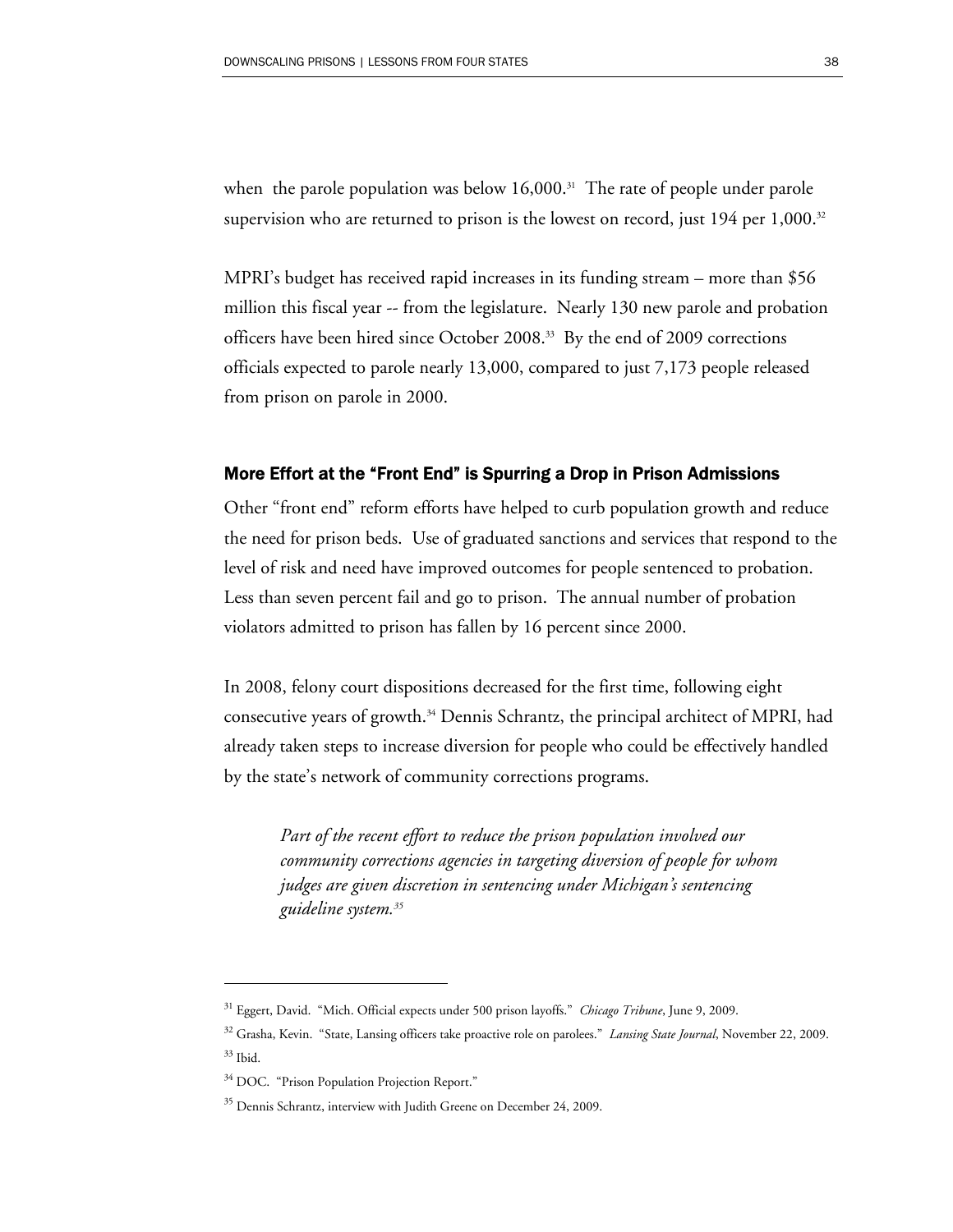when the parole population was below  $16,000$ .<sup>31</sup> The rate of people under parole supervision who are returned to prison is the lowest on record, just  $194$  per  $1,000$ .<sup>32</sup>

MPRI's budget has received rapid increases in its funding stream – more than \$56 million this fiscal year -- from the legislature. Nearly 130 new parole and probation officers have been hired since October 2008.<sup>33</sup> By the end of 2009 corrections officials expected to parole nearly 13,000, compared to just 7,173 people released from prison on parole in 2000.

#### More Effort at the "Front End" is Spurring a Drop in Prison Admissions

Other "front end" reform efforts have helped to curb population growth and reduce the need for prison beds. Use of graduated sanctions and services that respond to the level of risk and need have improved outcomes for people sentenced to probation. Less than seven percent fail and go to prison. The annual number of probation violators admitted to prison has fallen by 16 percent since 2000.

In 2008, felony court dispositions decreased for the first time, following eight consecutive years of growth.<sup>34</sup> Dennis Schrantz, the principal architect of MPRI, had already taken steps to increase diversion for people who could be effectively handled by the state's network of community corrections programs.

*Part of the recent effort to reduce the prison population involved our community corrections agencies in targeting diversion of people for whom judges are given discretion in sentencing under Michigan's sentencing guideline system.35* 

<sup>31</sup> Eggert, David. "Mich. Official expects under 500 prison layoffs." *Chicago Tribune*, June 9, 2009.

<sup>32</sup> Grasha, Kevin. "State, Lansing officers take proactive role on parolees." *Lansing State Journal*, November 22, 2009. 33 Ibid.

<sup>&</sup>lt;sup>34</sup> DOC. "Prison Population Projection Report."

<sup>&</sup>lt;sup>35</sup> Dennis Schrantz, interview with Judith Greene on December 24, 2009.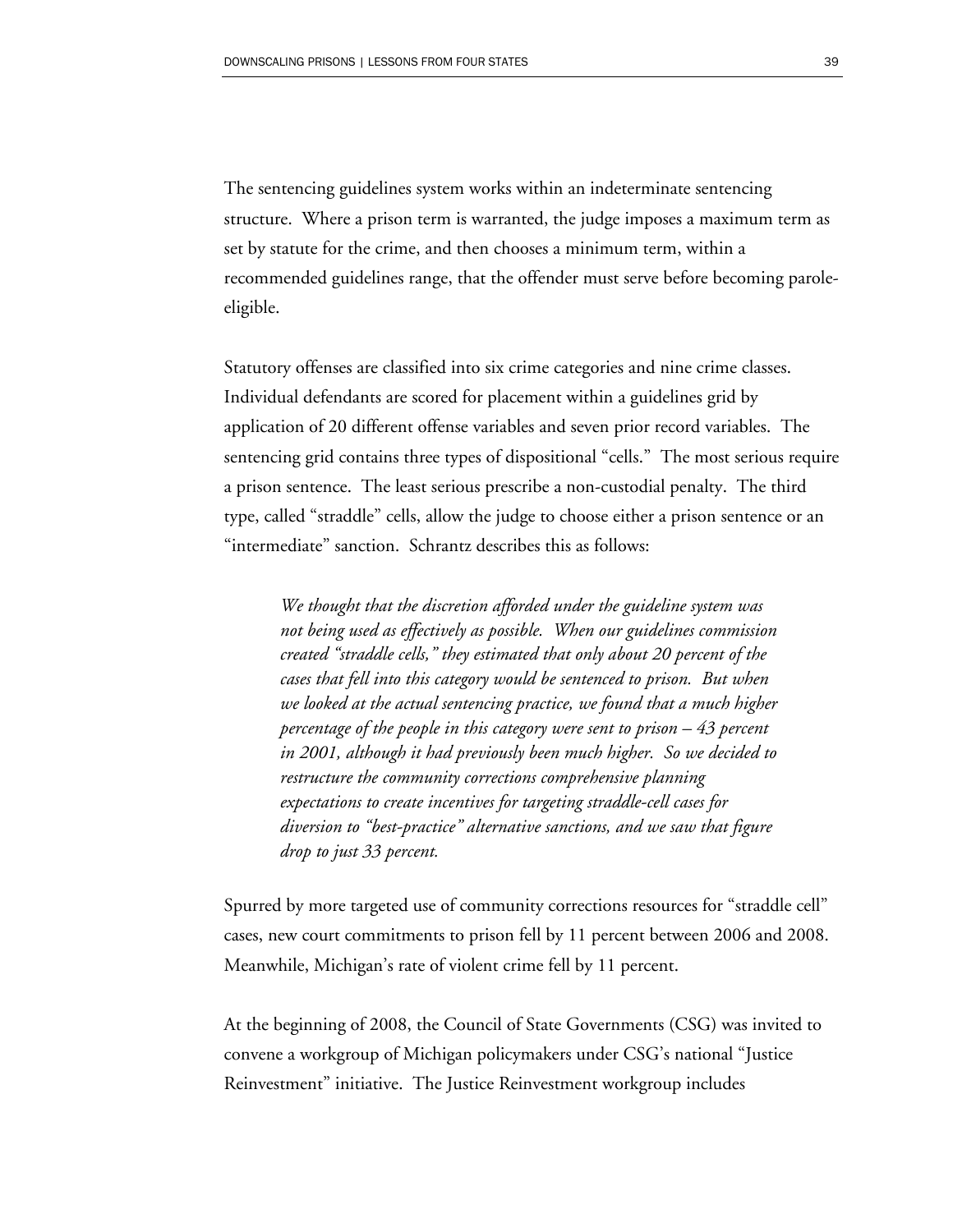The sentencing guidelines system works within an indeterminate sentencing structure. Where a prison term is warranted, the judge imposes a maximum term as set by statute for the crime, and then chooses a minimum term, within a recommended guidelines range, that the offender must serve before becoming paroleeligible.

Statutory offenses are classified into six crime categories and nine crime classes. Individual defendants are scored for placement within a guidelines grid by application of 20 different offense variables and seven prior record variables. The sentencing grid contains three types of dispositional "cells." The most serious require a prison sentence. The least serious prescribe a non-custodial penalty. The third type, called "straddle" cells, allow the judge to choose either a prison sentence or an "intermediate" sanction. Schrantz describes this as follows:

*We thought that the discretion afforded under the guideline system was not being used as effectively as possible. When our guidelines commission created "straddle cells," they estimated that only about 20 percent of the cases that fell into this category would be sentenced to prison. But when we looked at the actual sentencing practice, we found that a much higher percentage of the people in this category were sent to prison – 43 percent in 2001, although it had previously been much higher. So we decided to restructure the community corrections comprehensive planning expectations to create incentives for targeting straddle-cell cases for diversion to "best-practice" alternative sanctions, and we saw that figure drop to just 33 percent.* 

Spurred by more targeted use of community corrections resources for "straddle cell" cases, new court commitments to prison fell by 11 percent between 2006 and 2008. Meanwhile, Michigan's rate of violent crime fell by 11 percent.

At the beginning of 2008, the Council of State Governments (CSG) was invited to convene a workgroup of Michigan policymakers under CSG's national "Justice Reinvestment" initiative. The Justice Reinvestment workgroup includes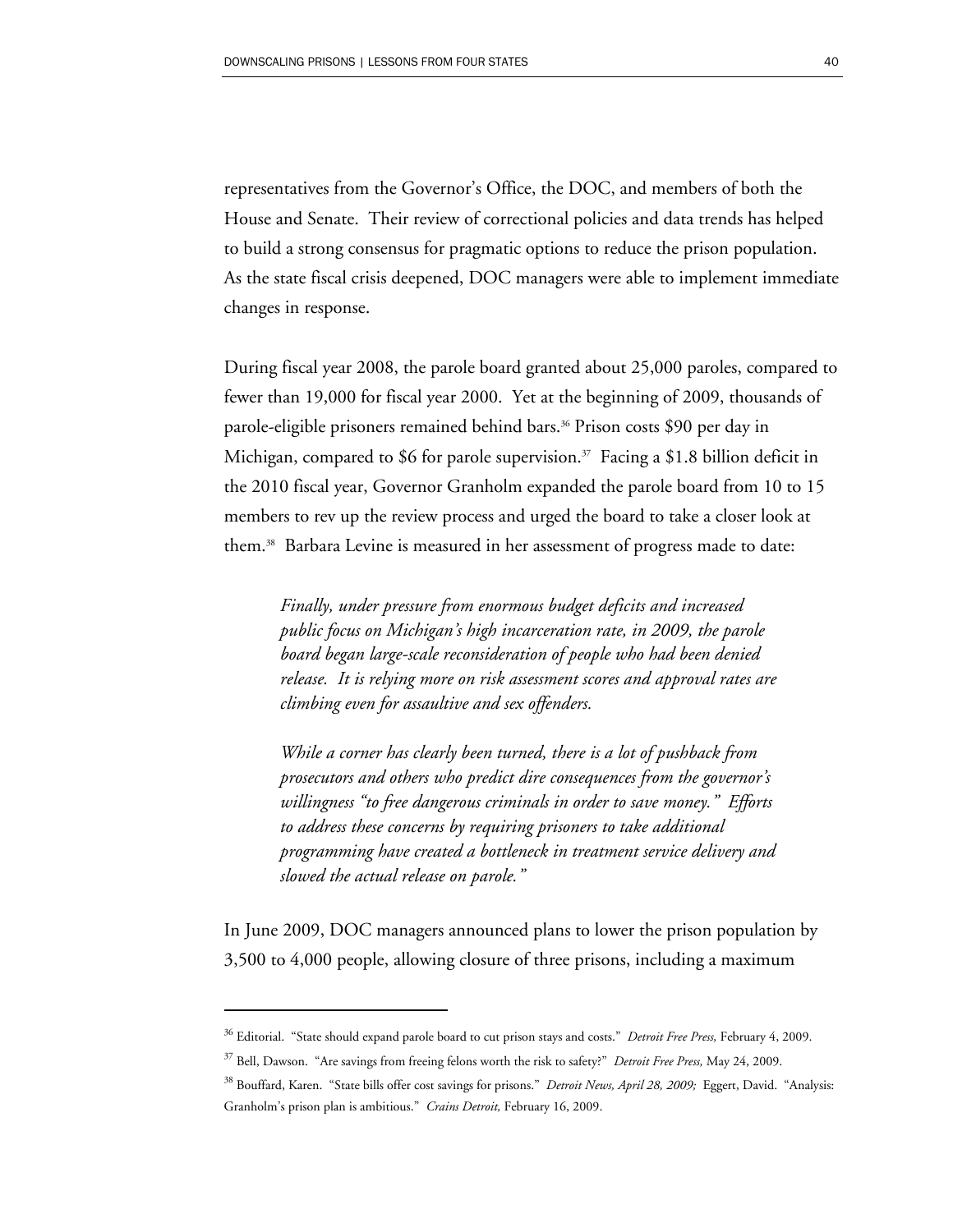representatives from the Governor's Office, the DOC, and members of both the House and Senate. Their review of correctional policies and data trends has helped to build a strong consensus for pragmatic options to reduce the prison population. As the state fiscal crisis deepened, DOC managers were able to implement immediate changes in response.

During fiscal year 2008, the parole board granted about 25,000 paroles, compared to fewer than 19,000 for fiscal year 2000. Yet at the beginning of 2009, thousands of parole-eligible prisoners remained behind bars.<sup>36</sup> Prison costs \$90 per day in Michigan, compared to \$6 for parole supervision.<sup>37</sup> Facing a \$1.8 billion deficit in the 2010 fiscal year, Governor Granholm expanded the parole board from 10 to 15 members to rev up the review process and urged the board to take a closer look at them.38 Barbara Levine is measured in her assessment of progress made to date:

*Finally, under pressure from enormous budget deficits and increased public focus on Michigan's high incarceration rate, in 2009, the parole board began large-scale reconsideration of people who had been denied release. It is relying more on risk assessment scores and approval rates are climbing even for assaultive and sex offenders.* 

*While a corner has clearly been turned, there is a lot of pushback from prosecutors and others who predict dire consequences from the governor's willingness "to free dangerous criminals in order to save money." Efforts to address these concerns by requiring prisoners to take additional programming have created a bottleneck in treatment service delivery and slowed the actual release on parole."* 

In June 2009, DOC managers announced plans to lower the prison population by 3,500 to 4,000 people, allowing closure of three prisons, including a maximum

<sup>36</sup> Editorial. "State should expand parole board to cut prison stays and costs." *Detroit Free Press,* February 4, 2009.

<sup>37</sup> Bell, Dawson. "Are savings from freeing felons worth the risk to safety?" *Detroit Free Press,* May 24, 2009.

<sup>38</sup> Bouffard, Karen. "State bills offer cost savings for prisons." *Detroit News, April 28, 2009;* Eggert, David. "Analysis: Granholm's prison plan is ambitious." *Crains Detroit,* February 16, 2009.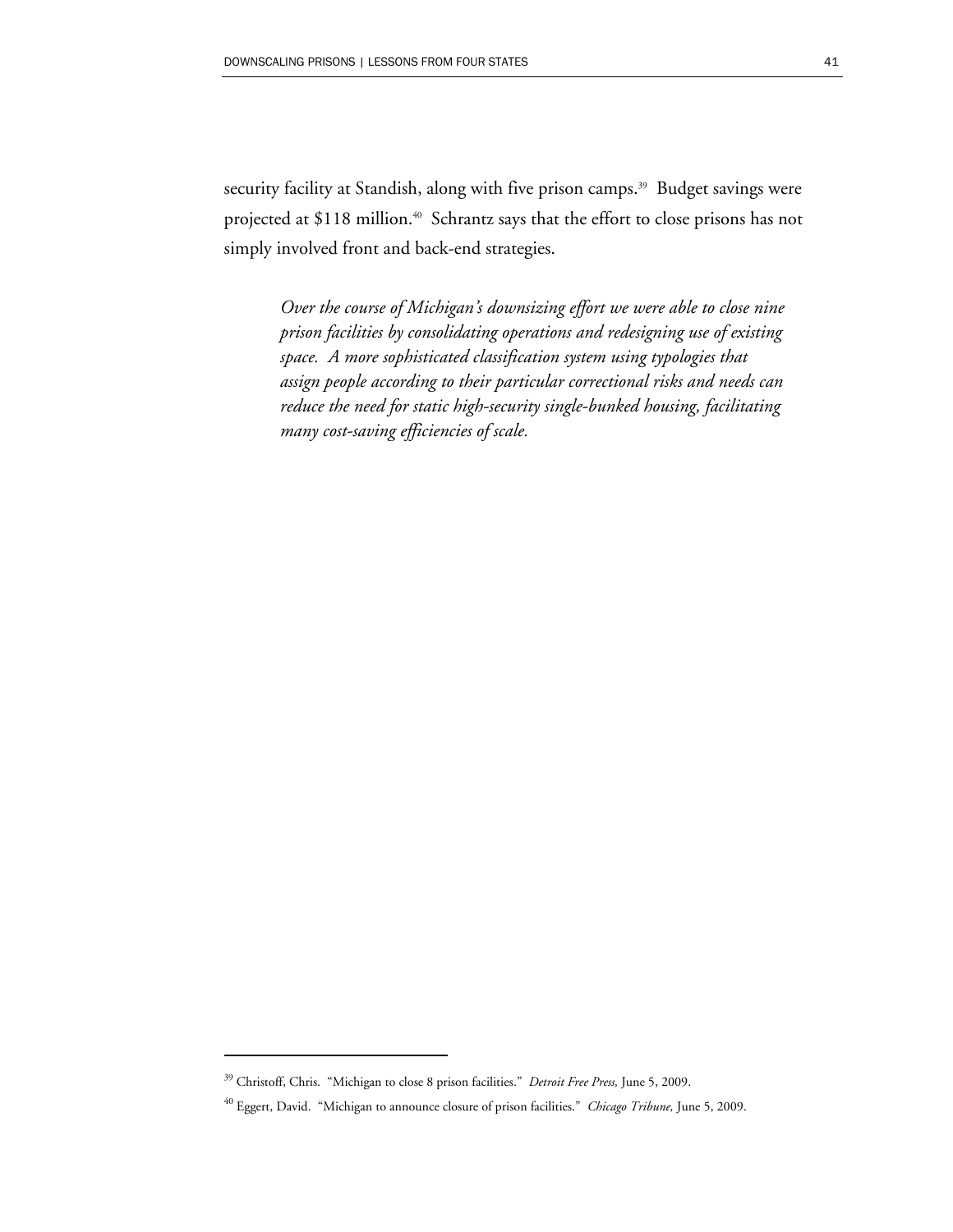security facility at Standish, along with five prison camps.<sup>39</sup> Budget savings were projected at \$118 million.<sup>40</sup> Schrantz says that the effort to close prisons has not simply involved front and back-end strategies.

*Over the course of Michigan's downsizing effort we were able to close nine prison facilities by consolidating operations and redesigning use of existing space. A more sophisticated classification system using typologies that assign people according to their particular correctional risks and needs can reduce the need for static high-security single-bunked housing, facilitating many cost-saving efficiencies of scale.* 

<sup>39</sup> Christoff, Chris. "Michigan to close 8 prison facilities." *Detroit Free Press,* June 5, 2009.

<sup>40</sup> Eggert, David. "Michigan to announce closure of prison facilities." *Chicago Tribune,* June 5, 2009.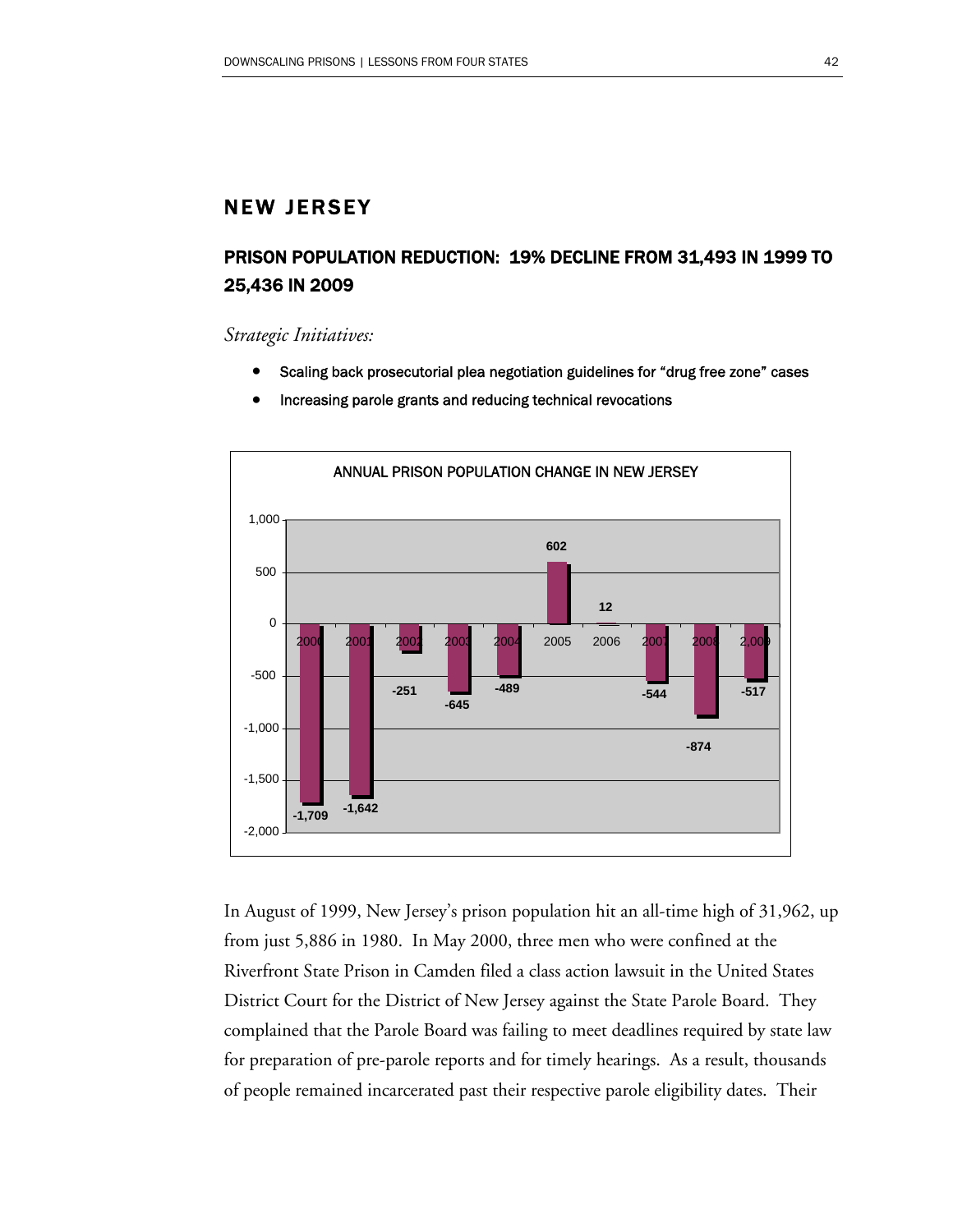### NEW JERSEY

# PRISON POPULATION REDUCTION: 19% DECLINE FROM 31,493 IN 1999 TO 25,436 IN 2009

#### *Strategic Initiatives:*

- Scaling back prosecutorial plea negotiation guidelines for "drug free zone" cases
- ANNUAL PRISON POPULATION CHANGE IN NEW JERSEY **-1,709 -1,642 -251 -645 -489 602 12 -544 -517 -874** -2,000 -1,500 -1,000 -500 0 500 1,000 2000 2001 2002 2003 2004 2005 2006 2007 2008 2,009
- Increasing parole grants and reducing technical revocations

In August of 1999, New Jersey's prison population hit an all-time high of 31,962, up from just 5,886 in 1980. In May 2000, three men who were confined at the Riverfront State Prison in Camden filed a class action lawsuit in the United States District Court for the District of New Jersey against the State Parole Board. They complained that the Parole Board was failing to meet deadlines required by state law for preparation of pre-parole reports and for timely hearings. As a result, thousands of people remained incarcerated past their respective parole eligibility dates. Their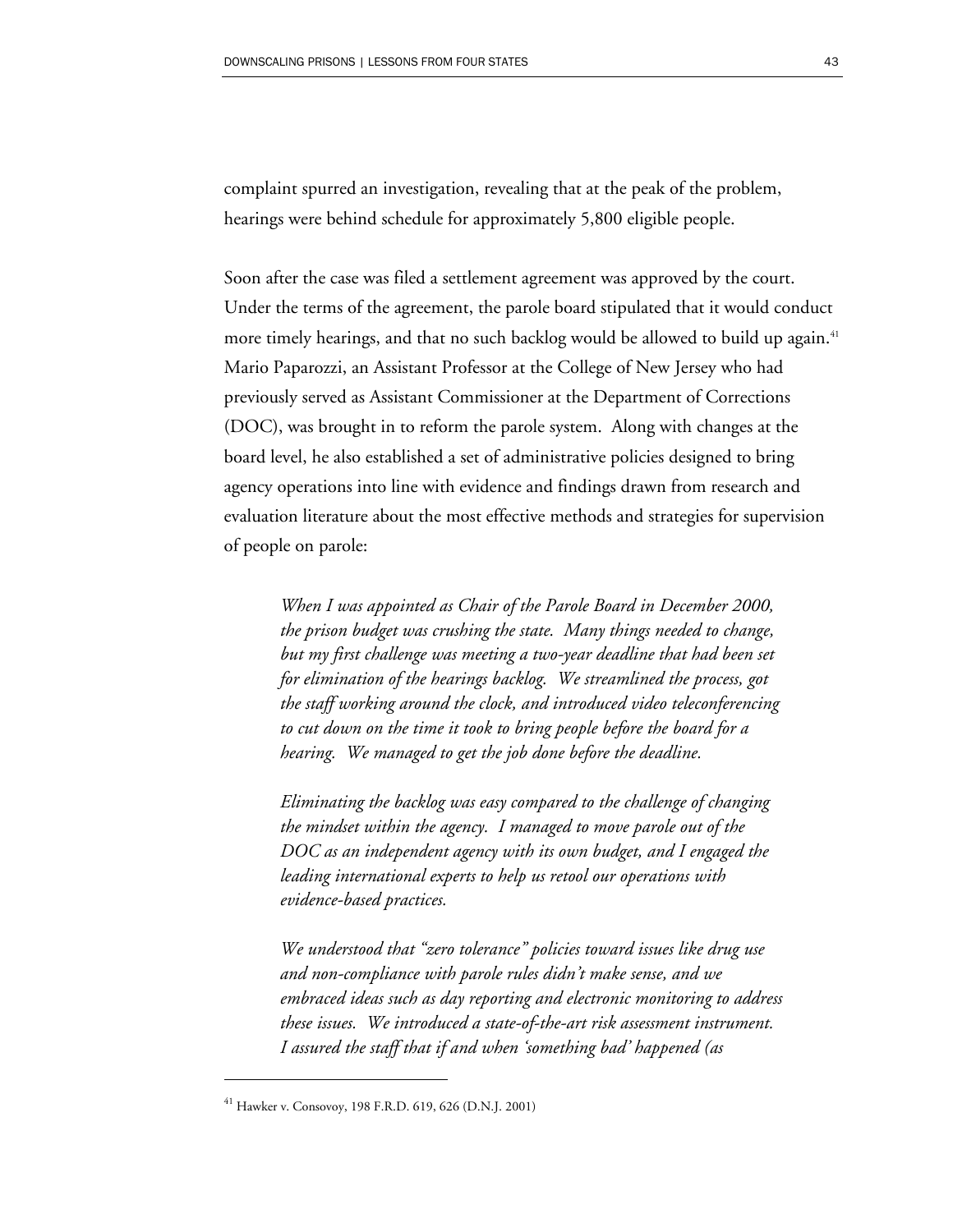complaint spurred an investigation, revealing that at the peak of the problem, hearings were behind schedule for approximately 5,800 eligible people.

Soon after the case was filed a settlement agreement was approved by the court. Under the terms of the agreement, the parole board stipulated that it would conduct more timely hearings, and that no such backlog would be allowed to build up again.<sup>41</sup> Mario Paparozzi, an Assistant Professor at the College of New Jersey who had previously served as Assistant Commissioner at the Department of Corrections (DOC), was brought in to reform the parole system. Along with changes at the board level, he also established a set of administrative policies designed to bring agency operations into line with evidence and findings drawn from research and evaluation literature about the most effective methods and strategies for supervision of people on parole:

*When I was appointed as Chair of the Parole Board in December 2000, the prison budget was crushing the state. Many things needed to change, but my first challenge was meeting a two-year deadline that had been set for elimination of the hearings backlog. We streamlined the process, got the staff working around the clock, and introduced video teleconferencing to cut down on the time it took to bring people before the board for a hearing. We managed to get the job done before the deadline.* 

*Eliminating the backlog was easy compared to the challenge of changing the mindset within the agency. I managed to move parole out of the DOC as an independent agency with its own budget, and I engaged the leading international experts to help us retool our operations with evidence-based practices.* 

*We understood that "zero tolerance" policies toward issues like drug use and non-compliance with parole rules didn't make sense, and we embraced ideas such as day reporting and electronic monitoring to address these issues. We introduced a state-of-the-art risk assessment instrument. I assured the staff that if and when 'something bad' happened (as* 

<sup>41</sup> Hawker v. Consovoy, 198 F.R.D. 619, 626 (D.N.J. 2001)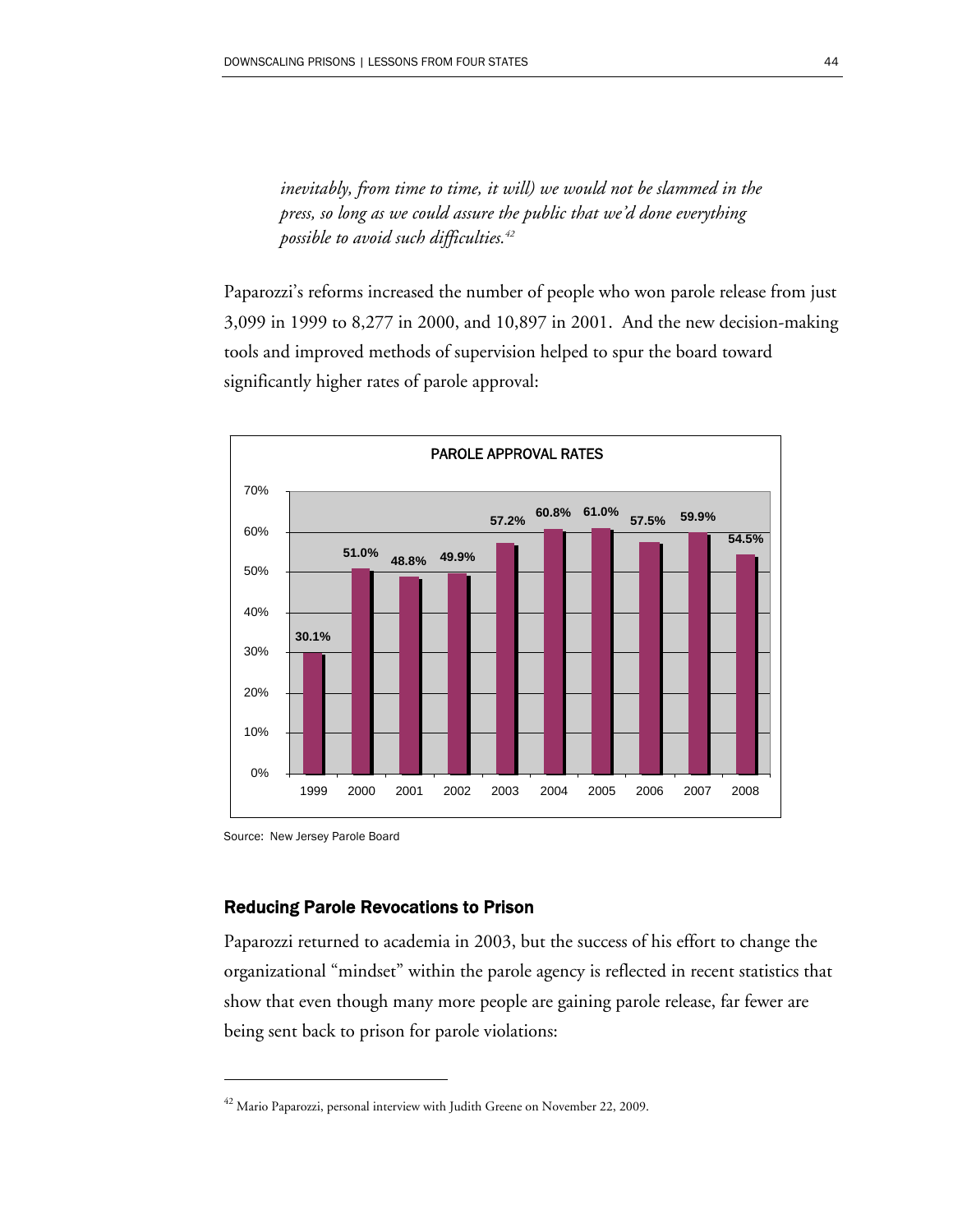*inevitably, from time to time, it will) we would not be slammed in the press, so long as we could assure the public that we'd done everything possible to avoid such difficulties.42*

Paparozzi's reforms increased the number of people who won parole release from just 3,099 in 1999 to 8,277 in 2000, and 10,897 in 2001. And the new decision-making tools and improved methods of supervision helped to spur the board toward significantly higher rates of parole approval:



Source: New Jersey Parole Board

 $\overline{a}$ 

#### Reducing Parole Revocations to Prison

Paparozzi returned to academia in 2003, but the success of his effort to change the organizational "mindset" within the parole agency is reflected in recent statistics that show that even though many more people are gaining parole release, far fewer are being sent back to prison for parole violations:

 $^{42}$  Mario Paparozzi, personal interview with Judith Greene on November 22, 2009.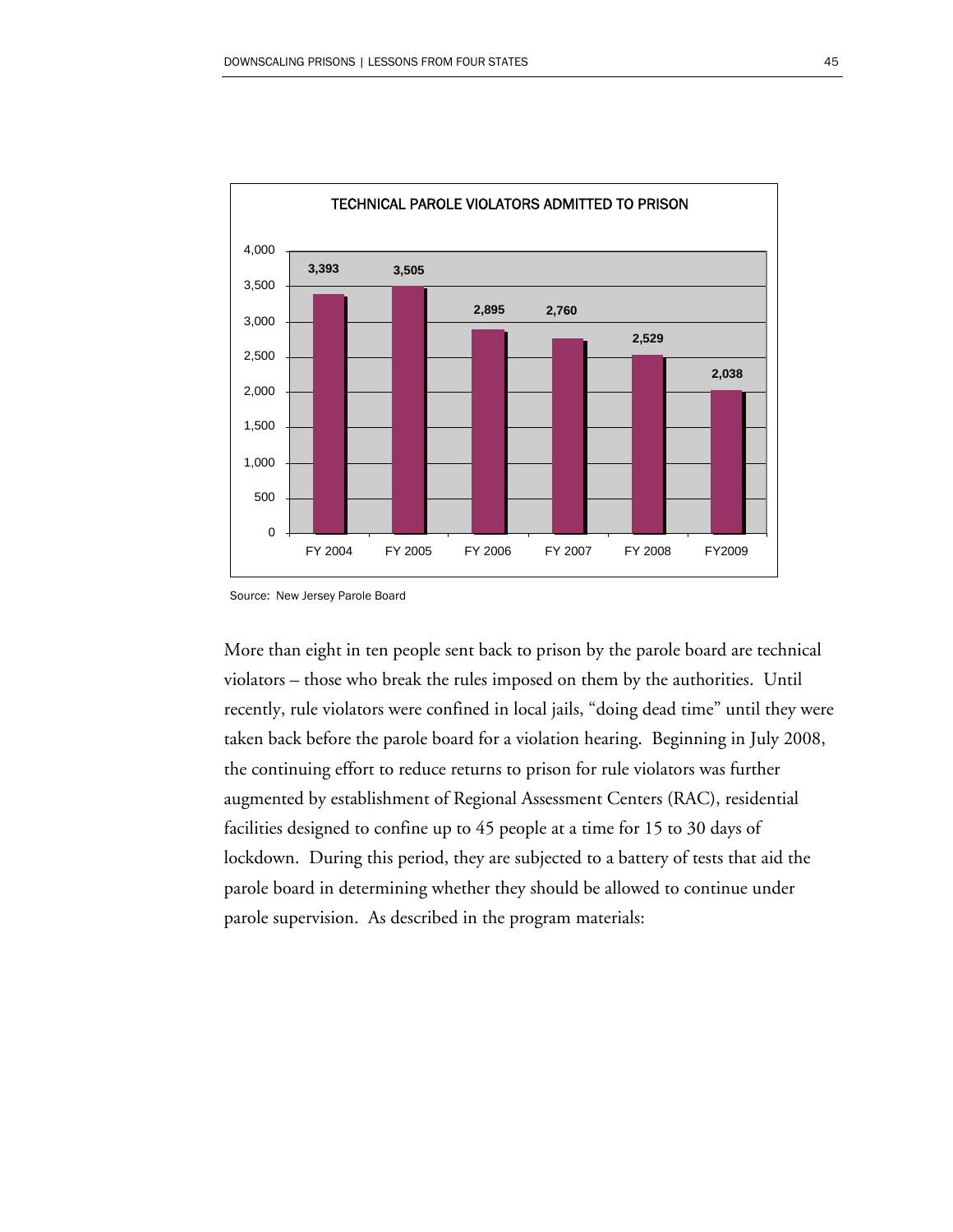

Source: New Jersey Parole Board

More than eight in ten people sent back to prison by the parole board are technical violators – those who break the rules imposed on them by the authorities. Until recently, rule violators were confined in local jails, "doing dead time" until they were taken back before the parole board for a violation hearing. Beginning in July 2008, the continuing effort to reduce returns to prison for rule violators was further augmented by establishment of Regional Assessment Centers (RAC), residential facilities designed to confine up to 45 people at a time for 15 to 30 days of lockdown. During this period, they are subjected to a battery of tests that aid the parole board in determining whether they should be allowed to continue under parole supervision. As described in the program materials: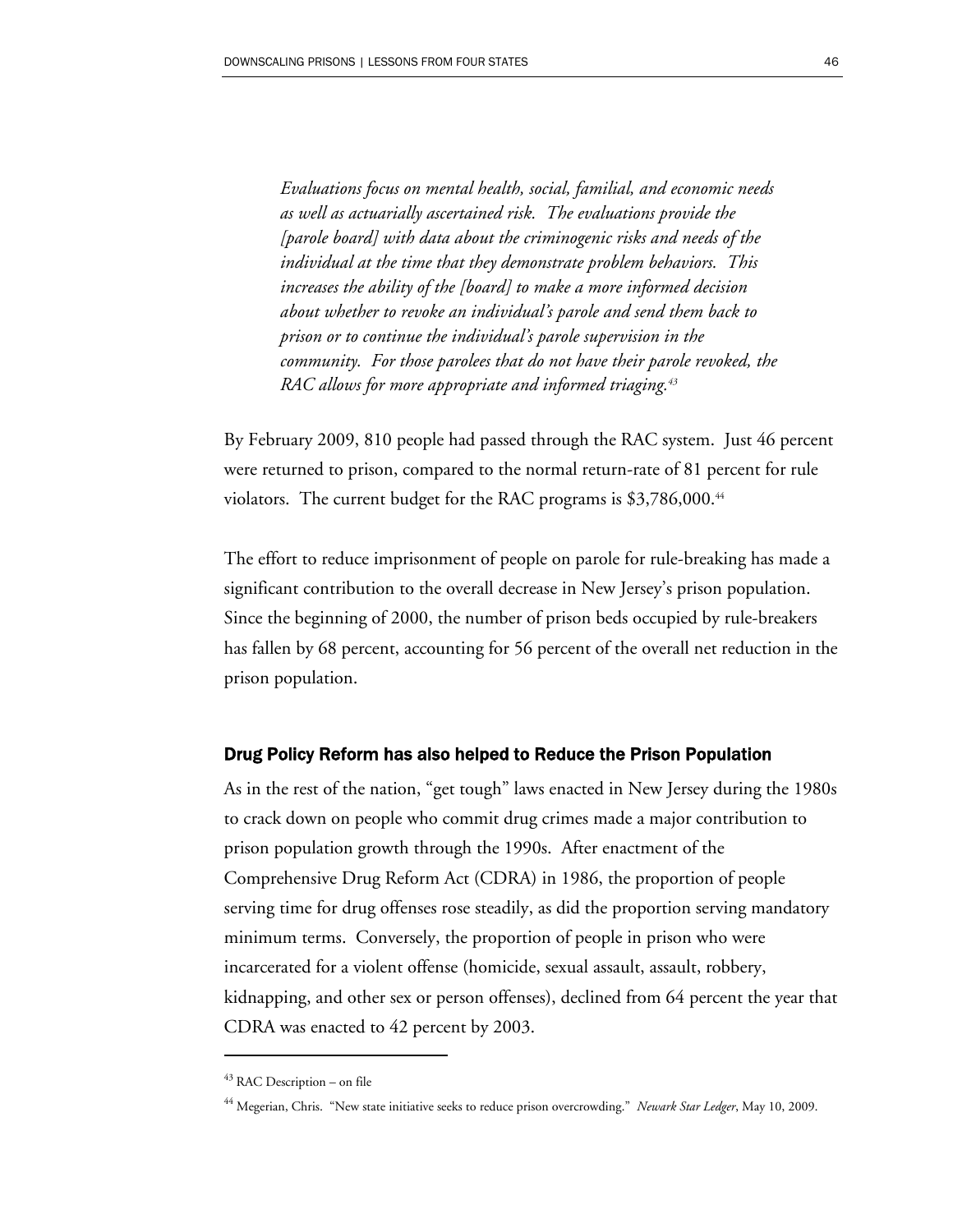*Evaluations focus on mental health, social, familial, and economic needs as well as actuarially ascertained risk. The evaluations provide the [parole board] with data about the criminogenic risks and needs of the individual at the time that they demonstrate problem behaviors. This increases the ability of the [board] to make a more informed decision about whether to revoke an individual's parole and send them back to prison or to continue the individual's parole supervision in the community. For those parolees that do not have their parole revoked, the RAC allows for more appropriate and informed triaging.43*

By February 2009, 810 people had passed through the RAC system. Just 46 percent were returned to prison, compared to the normal return-rate of 81 percent for rule violators. The current budget for the RAC programs is  $$3,786,000.<sup>44</sup>$ 

The effort to reduce imprisonment of people on parole for rule-breaking has made a significant contribution to the overall decrease in New Jersey's prison population. Since the beginning of 2000, the number of prison beds occupied by rule-breakers has fallen by 68 percent, accounting for 56 percent of the overall net reduction in the prison population.

#### Drug Policy Reform has also helped to Reduce the Prison Population

As in the rest of the nation, "get tough" laws enacted in New Jersey during the 1980s to crack down on people who commit drug crimes made a major contribution to prison population growth through the 1990s. After enactment of the Comprehensive Drug Reform Act (CDRA) in 1986, the proportion of people serving time for drug offenses rose steadily, as did the proportion serving mandatory minimum terms. Conversely, the proportion of people in prison who were incarcerated for a violent offense (homicide, sexual assault, assault, robbery, kidnapping, and other sex or person offenses), declined from 64 percent the year that CDRA was enacted to 42 percent by 2003.

 $43$  RAC Description – on file

<sup>44</sup> Megerian, Chris. "New state initiative seeks to reduce prison overcrowding." *Newark Star Ledger*, May 10, 2009.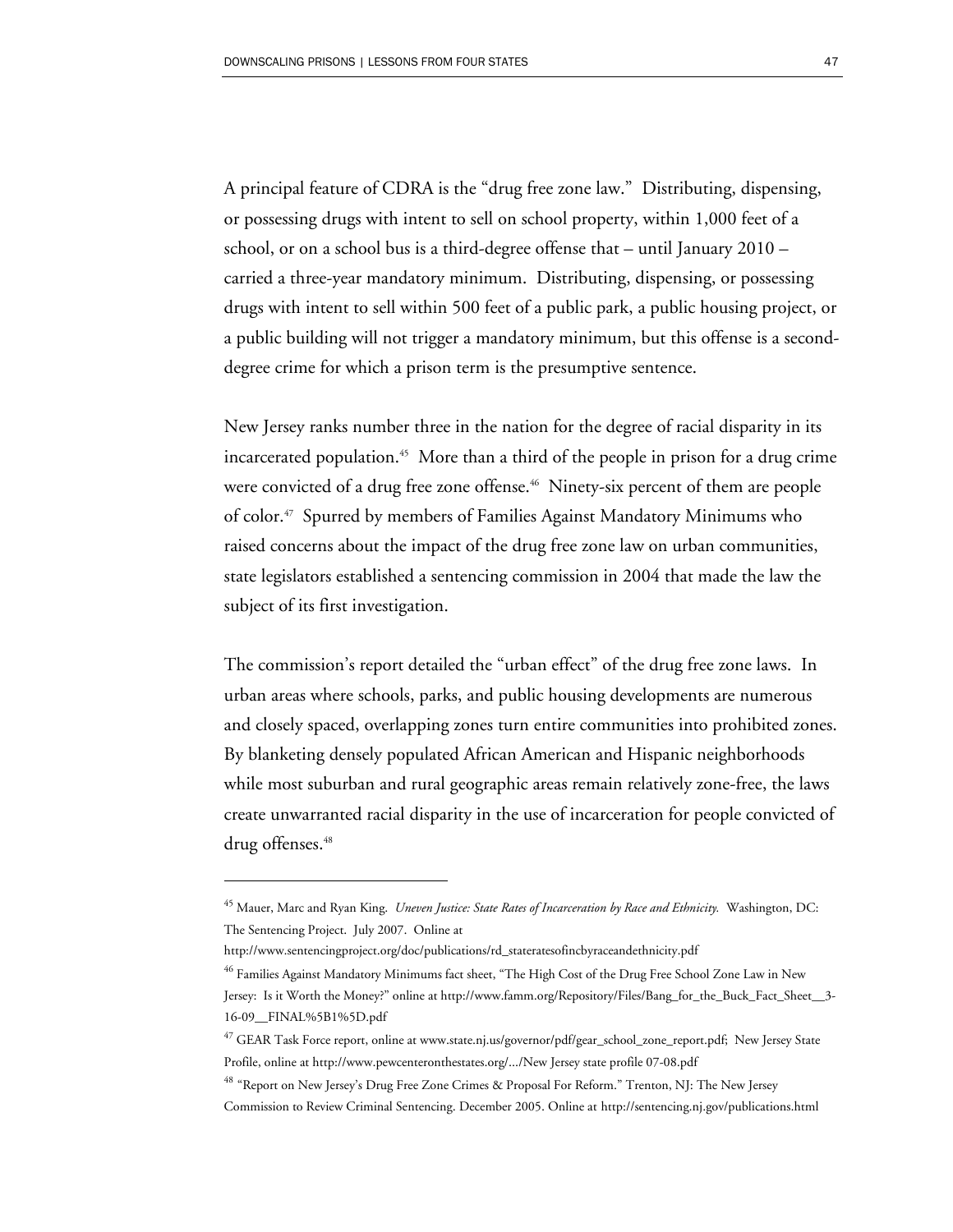A principal feature of CDRA is the "drug free zone law." Distributing, dispensing, or possessing drugs with intent to sell on school property, within 1,000 feet of a school, or on a school bus is a third-degree offense that – until January 2010 – carried a three-year mandatory minimum. Distributing, dispensing, or possessing drugs with intent to sell within 500 feet of a public park, a public housing project, or a public building will not trigger a mandatory minimum, but this offense is a seconddegree crime for which a prison term is the presumptive sentence.

New Jersey ranks number three in the nation for the degree of racial disparity in its incarcerated population.45 More than a third of the people in prison for a drug crime were convicted of a drug free zone offense.<sup>46</sup> Ninety-six percent of them are people of color.47 Spurred by members of Families Against Mandatory Minimums who raised concerns about the impact of the drug free zone law on urban communities, state legislators established a sentencing commission in 2004 that made the law the subject of its first investigation.

The commission's report detailed the "urban effect" of the drug free zone laws. In urban areas where schools, parks, and public housing developments are numerous and closely spaced, overlapping zones turn entire communities into prohibited zones. By blanketing densely populated African American and Hispanic neighborhoods while most suburban and rural geographic areas remain relatively zone-free, the laws create unwarranted racial disparity in the use of incarceration for people convicted of drug offenses.<sup>48</sup>

<sup>45</sup> Mauer, Marc and Ryan King. *Uneven Justice: State Rates of Incarceration by Race and Ethnicity.* Washington, DC: The Sentencing Project. July 2007. Online at

http://www.sentencingproject.org/doc/publications/rd\_stateratesofincbyraceandethnicity.pdf

<sup>&</sup>lt;sup>46</sup> Families Against Mandatory Minimums fact sheet, "The High Cost of the Drug Free School Zone Law in New Jersey: Is it Worth the Money?" online at http://www.famm.org/Repository/Files/Bang\_for\_the\_Buck\_Fact\_Sheet\_\_3- 16-09\_\_FINAL%5B1%5D.pdf

<sup>&</sup>lt;sup>47</sup> GEAR Task Force report, online at www.state.nj.us/governor/pdf/gear\_school\_zone\_report.pdf; New Jersey State Profile, online at http://www.pewcenteronthestates.org/.../New Jersey state profile 07-08.pdf

<sup>48</sup> "Report on New Jersey's Drug Free Zone Crimes & Proposal For Reform." Trenton, NJ: The New Jersey Commission to Review Criminal Sentencing. December 2005. Online at http://sentencing.nj.gov/publications.html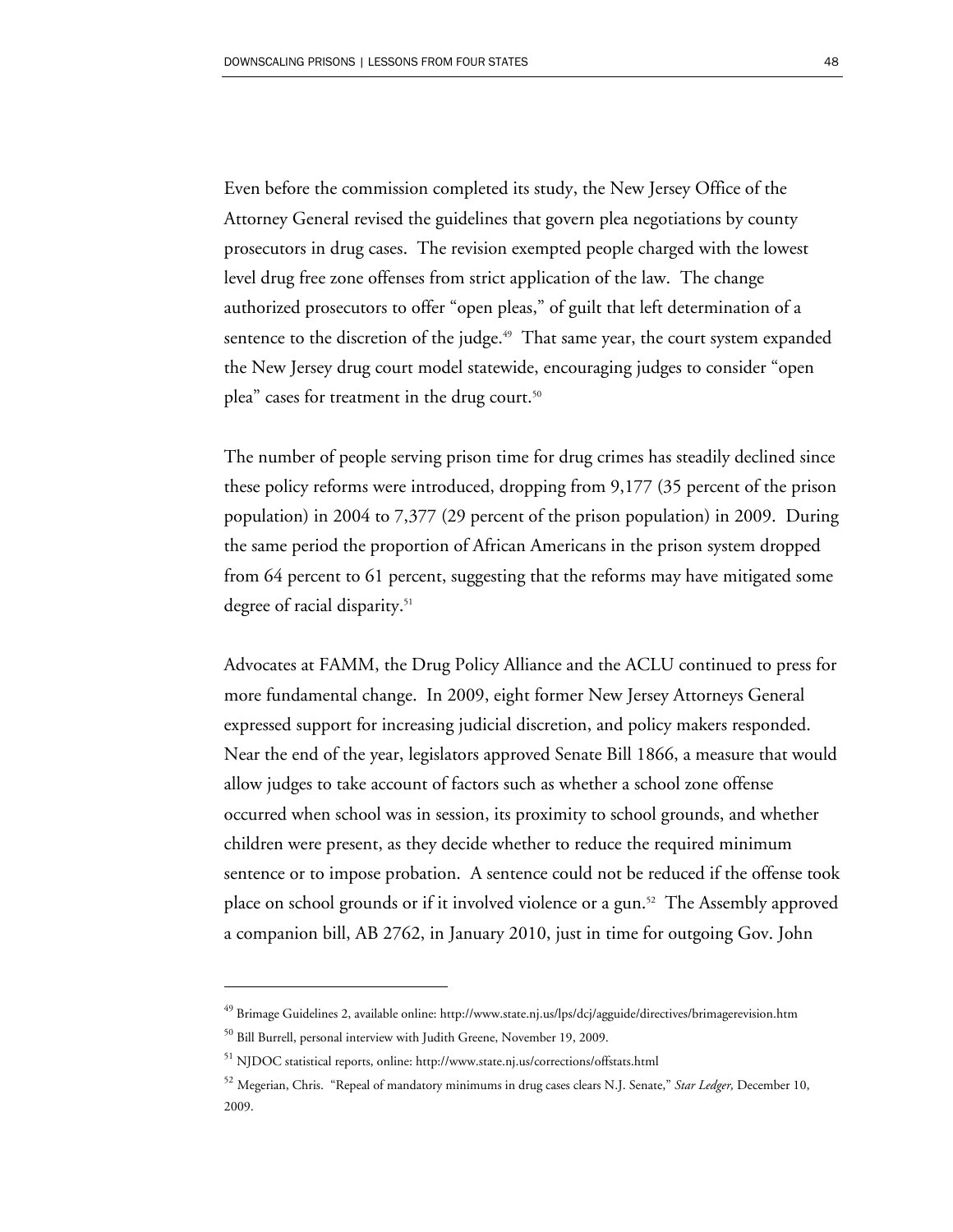Even before the commission completed its study, the New Jersey Office of the Attorney General revised the guidelines that govern plea negotiations by county prosecutors in drug cases. The revision exempted people charged with the lowest level drug free zone offenses from strict application of the law. The change authorized prosecutors to offer "open pleas," of guilt that left determination of a sentence to the discretion of the judge. $49$  That same year, the court system expanded the New Jersey drug court model statewide, encouraging judges to consider "open plea" cases for treatment in the drug court.<sup>50</sup>

The number of people serving prison time for drug crimes has steadily declined since these policy reforms were introduced, dropping from 9,177 (35 percent of the prison population) in 2004 to 7,377 (29 percent of the prison population) in 2009. During the same period the proportion of African Americans in the prison system dropped from 64 percent to 61 percent, suggesting that the reforms may have mitigated some degree of racial disparity.<sup>51</sup>

Advocates at FAMM, the Drug Policy Alliance and the ACLU continued to press for more fundamental change. In 2009, eight former New Jersey Attorneys General expressed support for increasing judicial discretion, and policy makers responded. Near the end of the year, legislators approved Senate Bill 1866, a measure that would allow judges to take account of factors such as whether a school zone offense occurred when school was in session, its proximity to school grounds, and whether children were present, as they decide whether to reduce the required minimum sentence or to impose probation. A sentence could not be reduced if the offense took place on school grounds or if it involved violence or a gun.52 The Assembly approved a companion bill, AB 2762, in January 2010, just in time for outgoing Gov. John

-

<sup>49</sup> Brimage Guidelines 2, available online: http://www.state.nj.us/lps/dcj/agguide/directives/brimagerevision.htm

<sup>&</sup>lt;sup>50</sup> Bill Burrell, personal interview with Judith Greene, November 19, 2009.

<sup>51</sup> NJDOC statistical reports, online: http://www.state.nj.us/corrections/offstats.html

<sup>52</sup> Megerian, Chris. "Repeal of mandatory minimums in drug cases clears N.J. Senate," *Star Ledger,* December 10, 2009.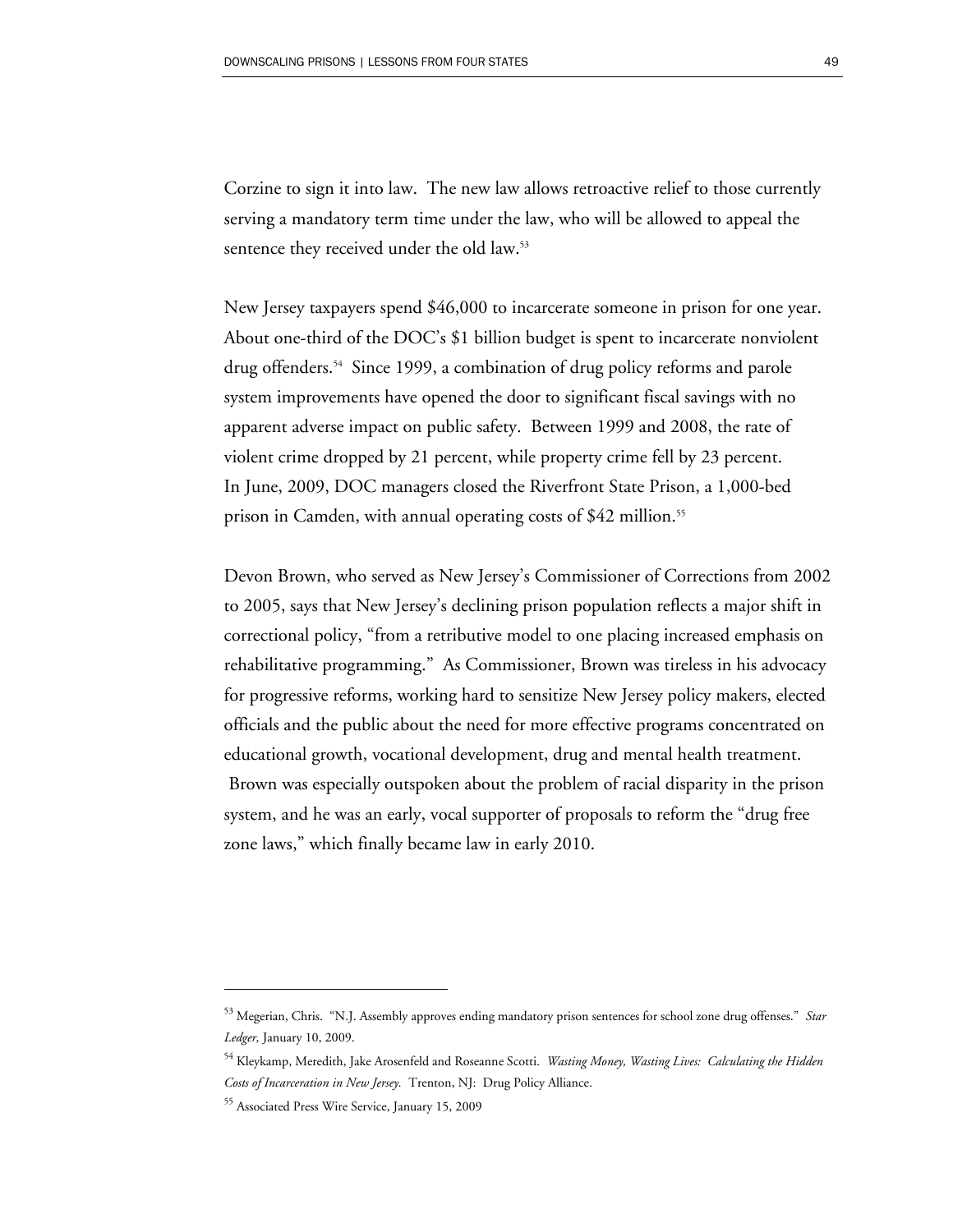Corzine to sign it into law. The new law allows retroactive relief to those currently serving a mandatory term time under the law, who will be allowed to appeal the sentence they received under the old law.<sup>53</sup>

New Jersey taxpayers spend \$46,000 to incarcerate someone in prison for one year. About one-third of the DOC's \$1 billion budget is spent to incarcerate nonviolent drug offenders.54 Since 1999, a combination of drug policy reforms and parole system improvements have opened the door to significant fiscal savings with no apparent adverse impact on public safety. Between 1999 and 2008, the rate of violent crime dropped by 21 percent, while property crime fell by 23 percent. In June, 2009, DOC managers closed the Riverfront State Prison, a 1,000-bed prison in Camden, with annual operating costs of \$42 million.<sup>55</sup>

Devon Brown, who served as New Jersey's Commissioner of Corrections from 2002 to 2005, says that New Jersey's declining prison population reflects a major shift in correctional policy, "from a retributive model to one placing increased emphasis on rehabilitative programming." As Commissioner, Brown was tireless in his advocacy for progressive reforms, working hard to sensitize New Jersey policy makers, elected officials and the public about the need for more effective programs concentrated on educational growth, vocational development, drug and mental health treatment. Brown was especially outspoken about the problem of racial disparity in the prison system, and he was an early, vocal supporter of proposals to reform the "drug free zone laws," which finally became law in early 2010.

<sup>53</sup> Megerian, Chris. "N.J. Assembly approves ending mandatory prison sentences for school zone drug offenses." *Star Ledger,* January 10, 2009.

<sup>54</sup> Kleykamp, Meredith, Jake Arosenfeld and Roseanne Scotti. *Wasting Money, Wasting Lives: Calculating the Hidden Costs of Incarceration in New Jersey.* Trenton, NJ: Drug Policy Alliance.

<sup>55</sup> Associated Press Wire Service, January 15, 2009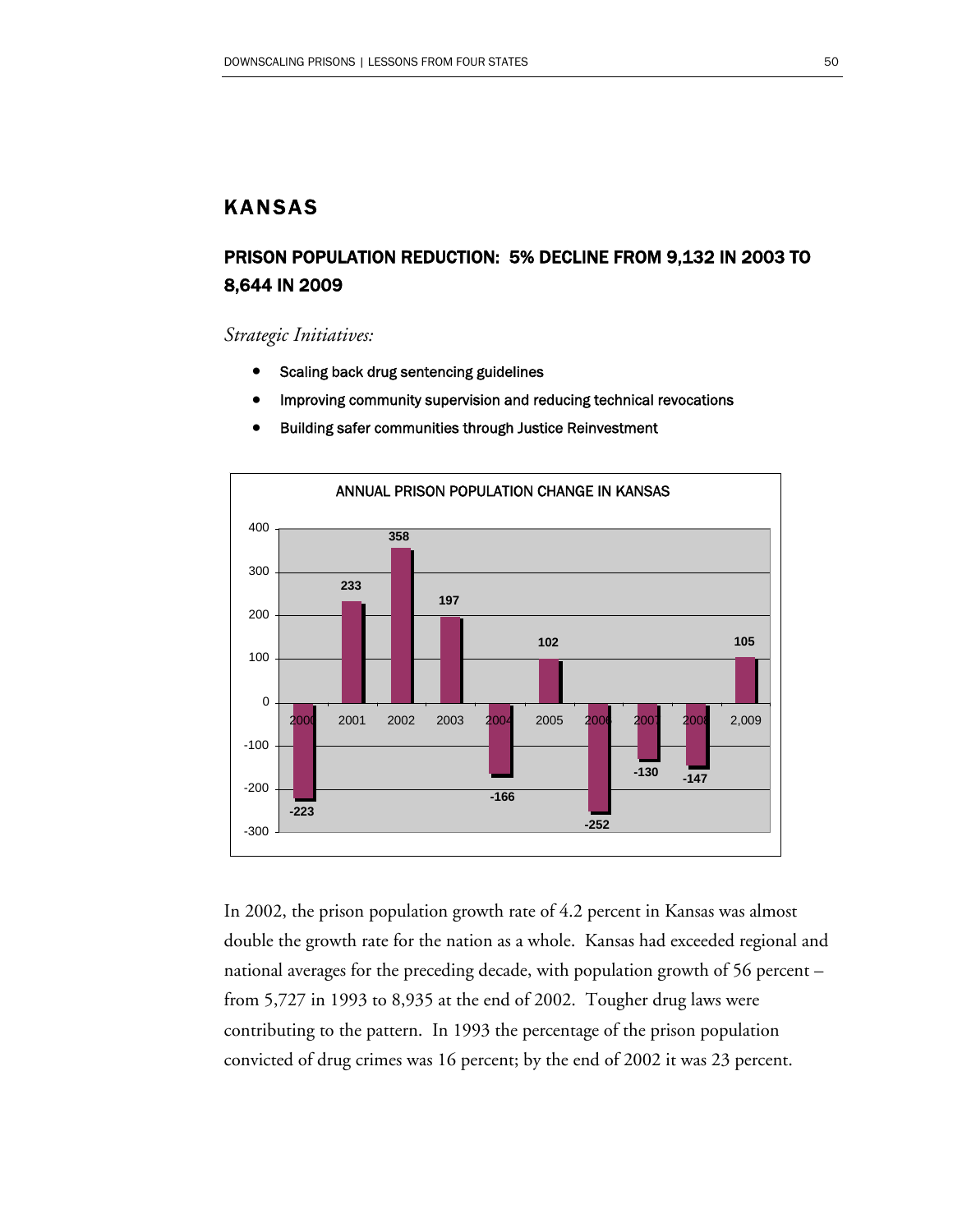# KANSAS

# PRISON POPULATION REDUCTION: 5% DECLINE FROM 9,132 IN 2003 TO 8,644 IN 2009

*Strategic Initiatives:* 

- Scaling back drug sentencing guidelines
- Improving community supervision and reducing technical revocations



• Building safer communities through Justice Reinvestment

In 2002, the prison population growth rate of 4.2 percent in Kansas was almost double the growth rate for the nation as a whole. Kansas had exceeded regional and national averages for the preceding decade, with population growth of 56 percent – from 5,727 in 1993 to 8,935 at the end of 2002. Tougher drug laws were contributing to the pattern. In 1993 the percentage of the prison population convicted of drug crimes was 16 percent; by the end of 2002 it was 23 percent.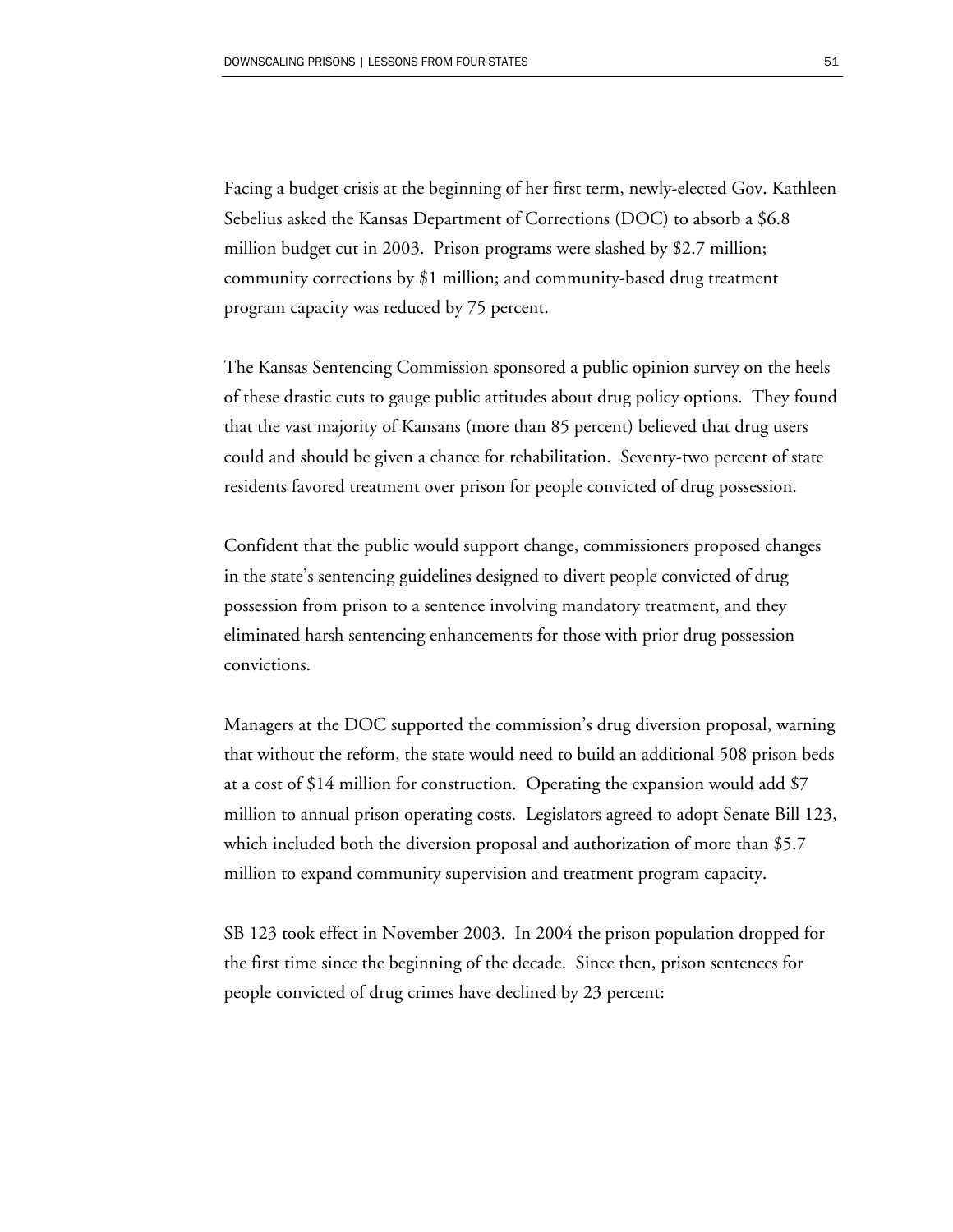Facing a budget crisis at the beginning of her first term, newly-elected Gov. Kathleen Sebelius asked the Kansas Department of Corrections (DOC) to absorb a \$6.8 million budget cut in 2003. Prison programs were slashed by \$2.7 million; community corrections by \$1 million; and community-based drug treatment program capacity was reduced by 75 percent.

The Kansas Sentencing Commission sponsored a public opinion survey on the heels of these drastic cuts to gauge public attitudes about drug policy options. They found that the vast majority of Kansans (more than 85 percent) believed that drug users could and should be given a chance for rehabilitation. Seventy-two percent of state residents favored treatment over prison for people convicted of drug possession.

Confident that the public would support change, commissioners proposed changes in the state's sentencing guidelines designed to divert people convicted of drug possession from prison to a sentence involving mandatory treatment, and they eliminated harsh sentencing enhancements for those with prior drug possession convictions.

Managers at the DOC supported the commission's drug diversion proposal, warning that without the reform, the state would need to build an additional 508 prison beds at a cost of \$14 million for construction. Operating the expansion would add \$7 million to annual prison operating costs. Legislators agreed to adopt Senate Bill 123, which included both the diversion proposal and authorization of more than \$5.7 million to expand community supervision and treatment program capacity.

SB 123 took effect in November 2003. In 2004 the prison population dropped for the first time since the beginning of the decade. Since then, prison sentences for people convicted of drug crimes have declined by 23 percent: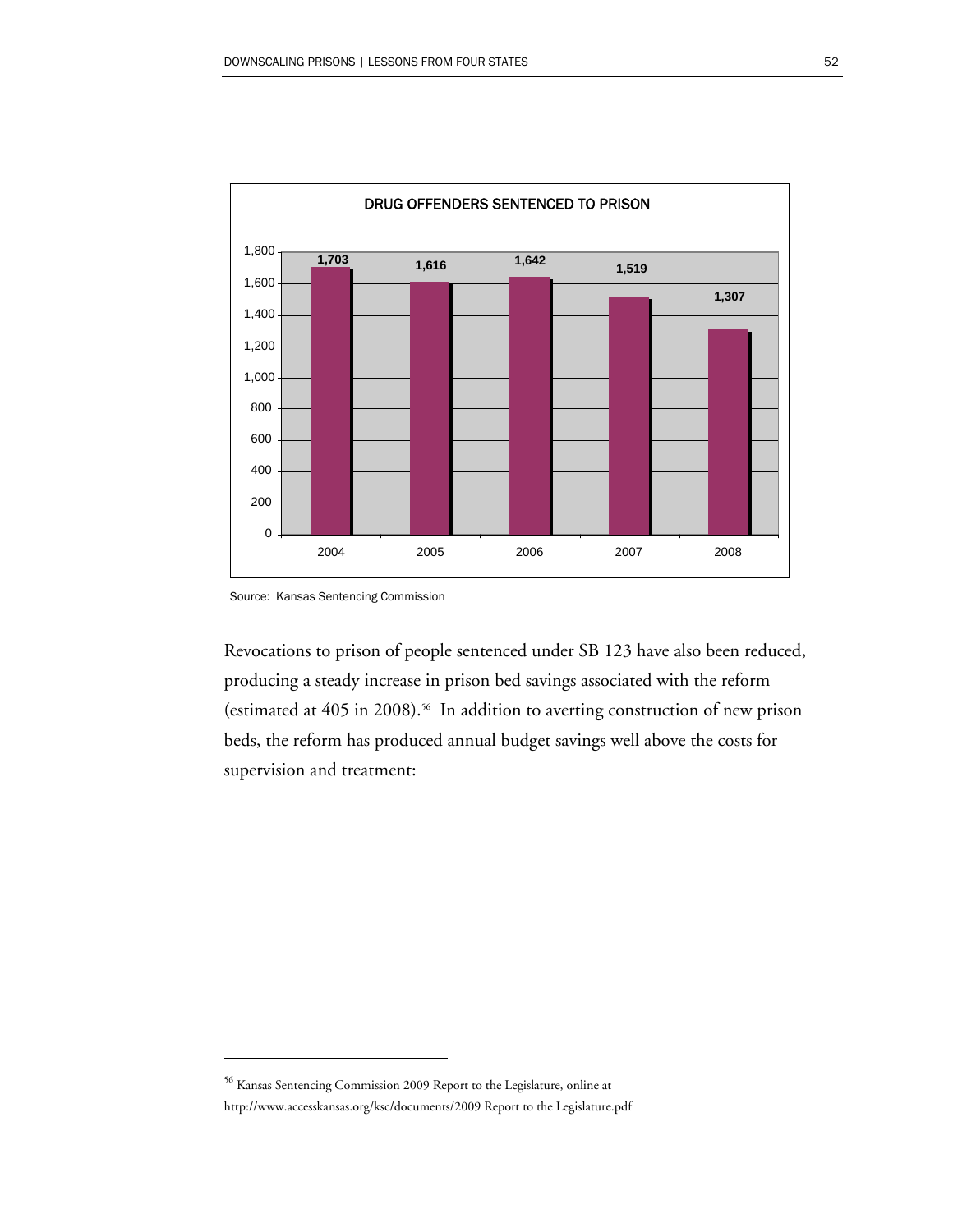

Source: Kansas Sentencing Commission

 $\overline{a}$ 

Revocations to prison of people sentenced under SB 123 have also been reduced, producing a steady increase in prison bed savings associated with the reform (estimated at 405 in 2008).<sup>56</sup> In addition to averting construction of new prison beds, the reform has produced annual budget savings well above the costs for supervision and treatment:

<sup>56</sup> Kansas Sentencing Commission 2009 Report to the Legislature, online at http://www.accesskansas.org/ksc/documents/2009 Report to the Legislature.pdf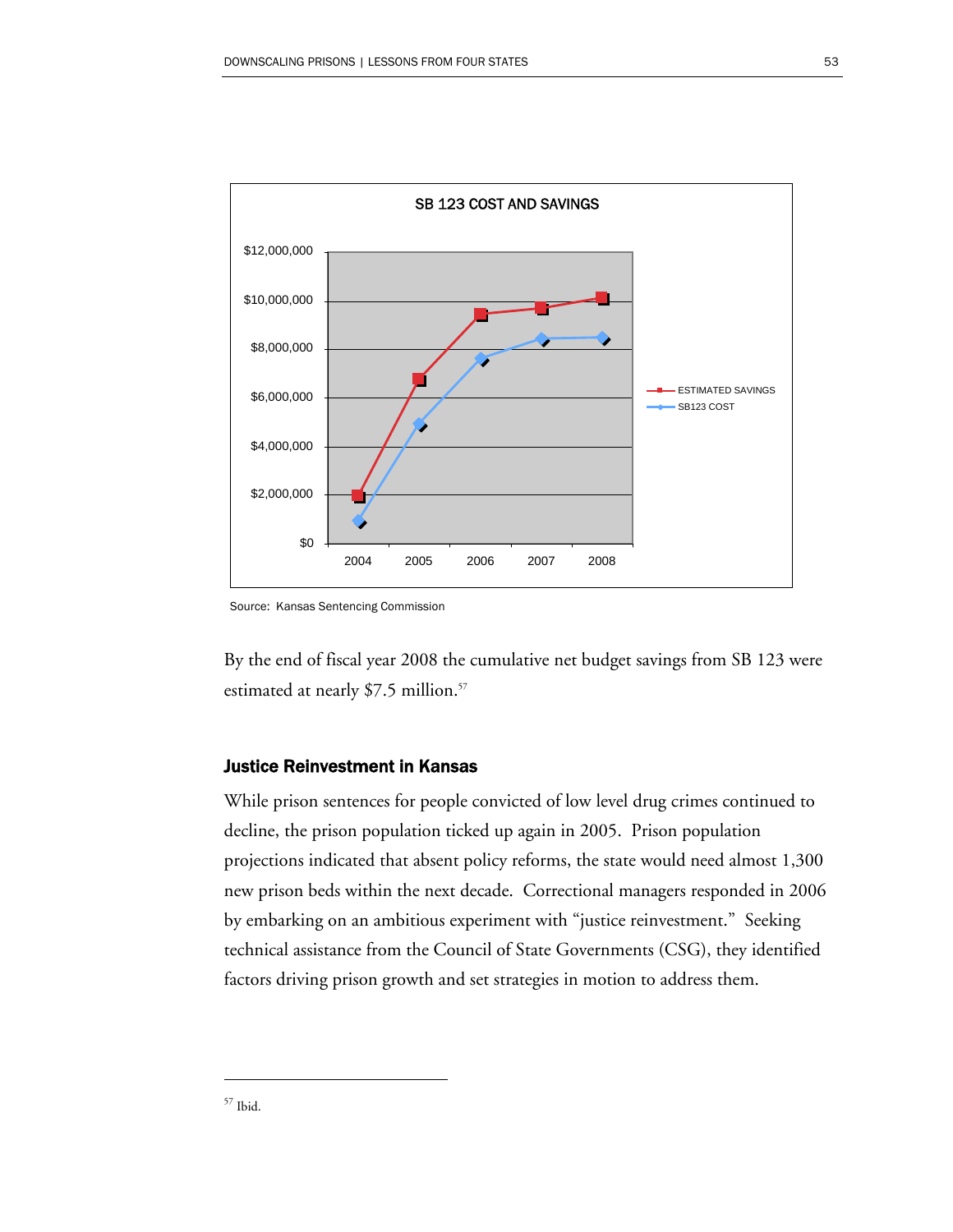

Source: Kansas Sentencing Commission

By the end of fiscal year 2008 the cumulative net budget savings from SB 123 were estimated at nearly \$7.5 million.<sup>57</sup>

#### Justice Reinvestment in Kansas

While prison sentences for people convicted of low level drug crimes continued to decline, the prison population ticked up again in 2005. Prison population projections indicated that absent policy reforms, the state would need almost 1,300 new prison beds within the next decade. Correctional managers responded in 2006 by embarking on an ambitious experiment with "justice reinvestment." Seeking technical assistance from the Council of State Governments (CSG), they identified factors driving prison growth and set strategies in motion to address them.

-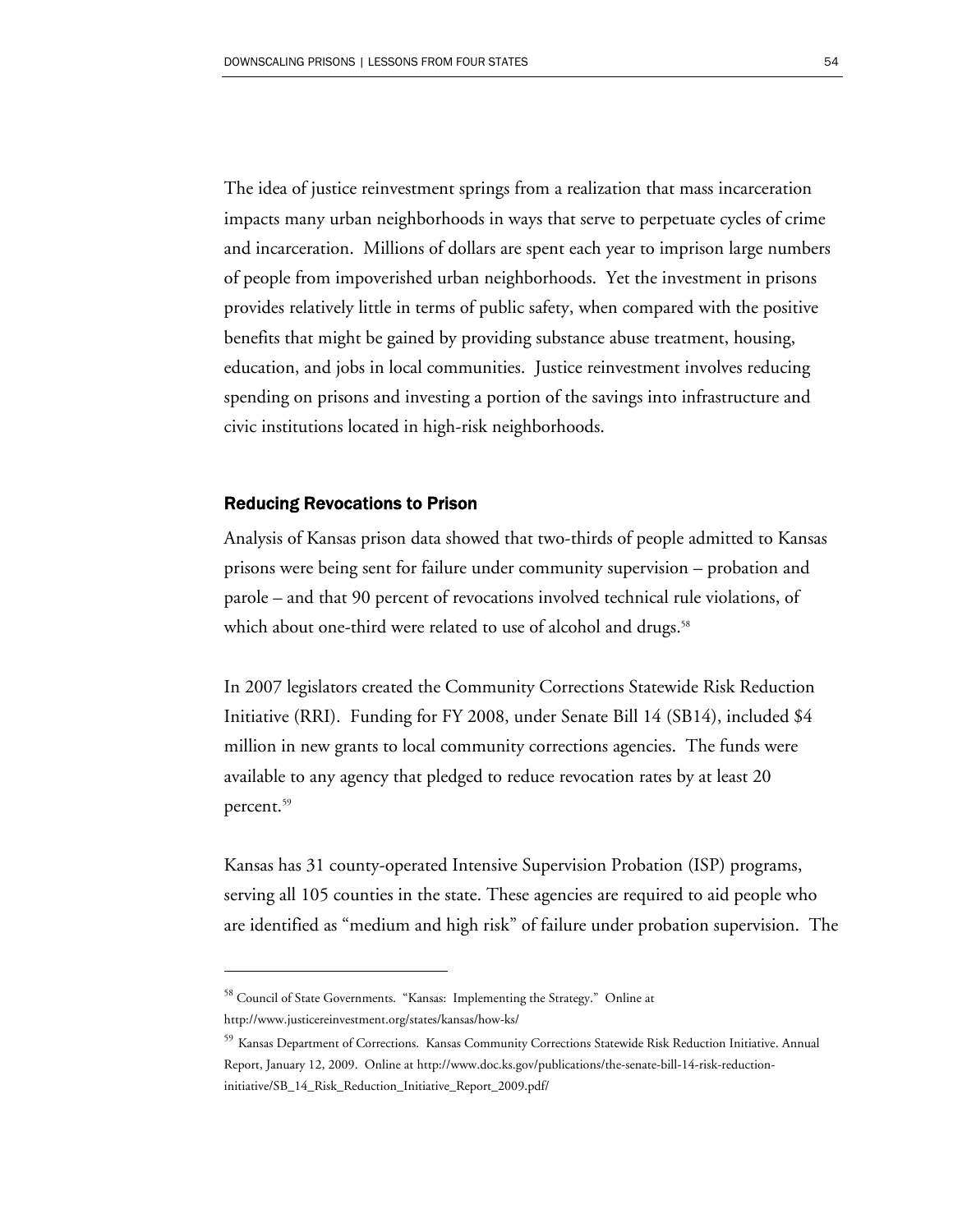The idea of justice reinvestment springs from a realization that mass incarceration impacts many urban neighborhoods in ways that serve to perpetuate cycles of crime and incarceration. Millions of dollars are spent each year to imprison large numbers of people from impoverished urban neighborhoods. Yet the investment in prisons provides relatively little in terms of public safety, when compared with the positive benefits that might be gained by providing substance abuse treatment, housing, education, and jobs in local communities. Justice reinvestment involves reducing spending on prisons and investing a portion of the savings into infrastructure and civic institutions located in high-risk neighborhoods.

#### Reducing Revocations to Prison

Analysis of Kansas prison data showed that two-thirds of people admitted to Kansas prisons were being sent for failure under community supervision – probation and parole – and that 90 percent of revocations involved technical rule violations, of which about one-third were related to use of alcohol and drugs.<sup>58</sup>

In 2007 legislators created the Community Corrections Statewide Risk Reduction Initiative (RRI). Funding for FY 2008, under Senate Bill 14 (SB14), included \$4 million in new grants to local community corrections agencies. The funds were available to any agency that pledged to reduce revocation rates by at least 20 percent.<sup>59</sup>

Kansas has 31 county-operated Intensive Supervision Probation (ISP) programs, serving all 105 counties in the state. These agencies are required to aid people who are identified as "medium and high risk" of failure under probation supervision. The

<sup>&</sup>lt;sup>58</sup> Council of State Governments. "Kansas: Implementing the Strategy." Online at

http://www.justicereinvestment.org/states/kansas/how-ks/

<sup>59</sup> Kansas Department of Corrections. Kansas Community Corrections Statewide Risk Reduction Initiative. Annual Report, January 12, 2009. Online at http://www.doc.ks.gov/publications/the-senate-bill-14-risk-reductioninitiative/SB\_14\_Risk\_Reduction\_Initiative\_Report\_2009.pdf/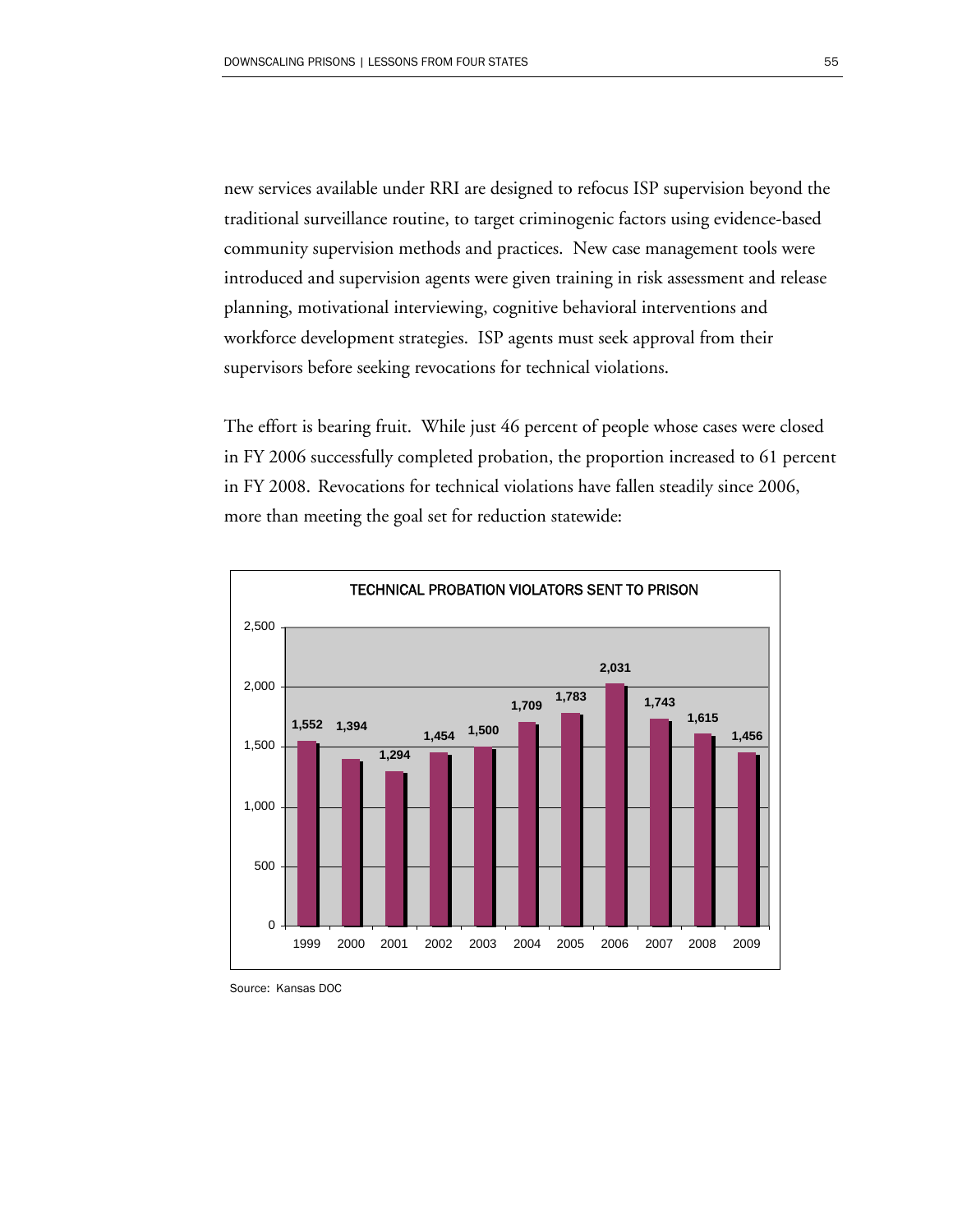new services available under RRI are designed to refocus ISP supervision beyond the traditional surveillance routine, to target criminogenic factors using evidence-based community supervision methods and practices. New case management tools were introduced and supervision agents were given training in risk assessment and release planning, motivational interviewing, cognitive behavioral interventions and workforce development strategies. ISP agents must seek approval from their supervisors before seeking revocations for technical violations.

The effort is bearing fruit. While just 46 percent of people whose cases were closed in FY 2006 successfully completed probation, the proportion increased to 61 percent in FY 2008. Revocations for technical violations have fallen steadily since 2006, more than meeting the goal set for reduction statewide:



Source: Kansas DOC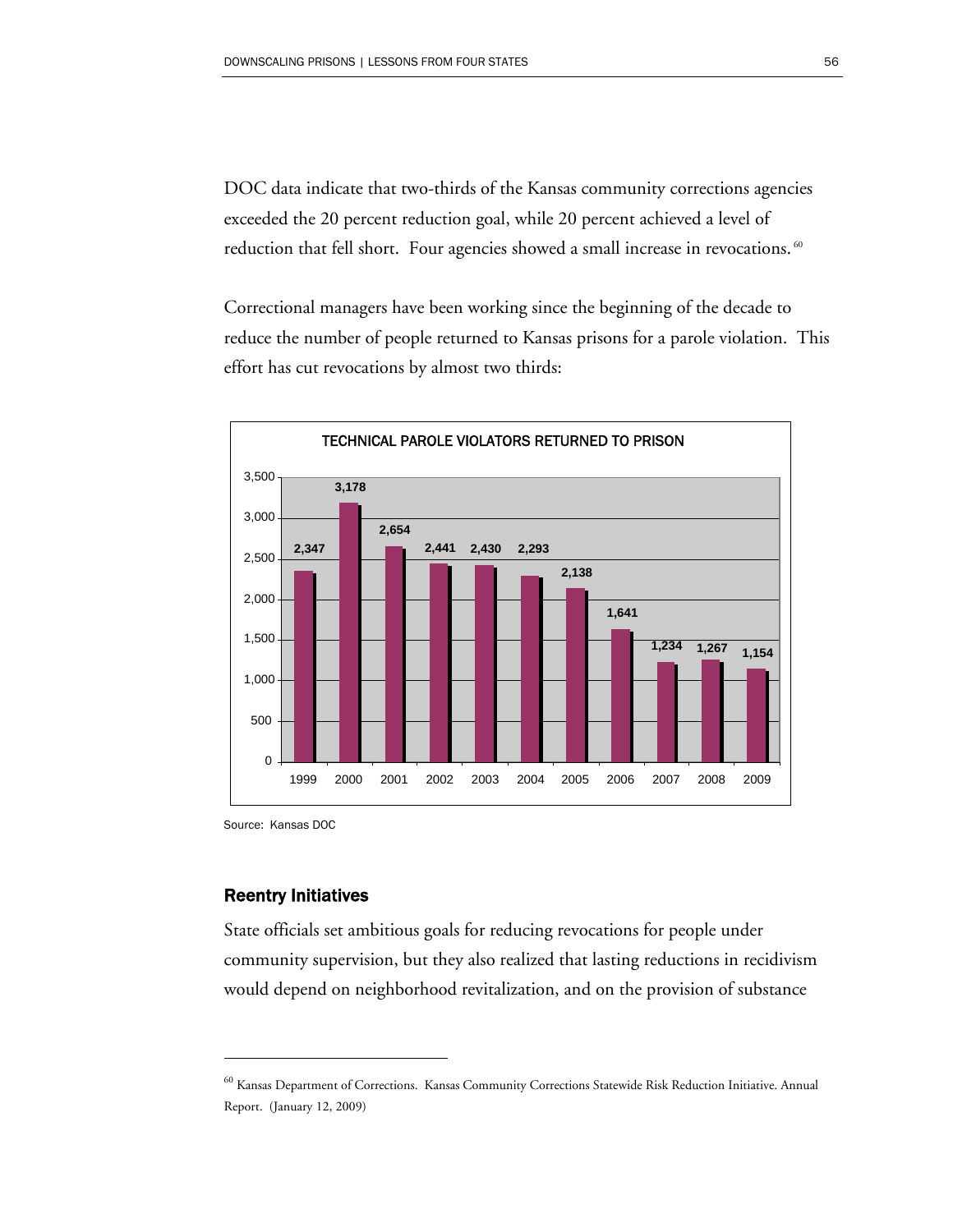DOC data indicate that two-thirds of the Kansas community corrections agencies exceeded the 20 percent reduction goal, while 20 percent achieved a level of reduction that fell short. Four agencies showed a small increase in revocations.<sup>60</sup>

Correctional managers have been working since the beginning of the decade to reduce the number of people returned to Kansas prisons for a parole violation. This effort has cut revocations by almost two thirds:



Source: Kansas DOC

#### Reentry Initiatives

 $\overline{a}$ 

State officials set ambitious goals for reducing revocations for people under community supervision, but they also realized that lasting reductions in recidivism would depend on neighborhood revitalization, and on the provision of substance

<sup>60</sup> Kansas Department of Corrections. Kansas Community Corrections Statewide Risk Reduction Initiative. Annual Report. (January 12, 2009)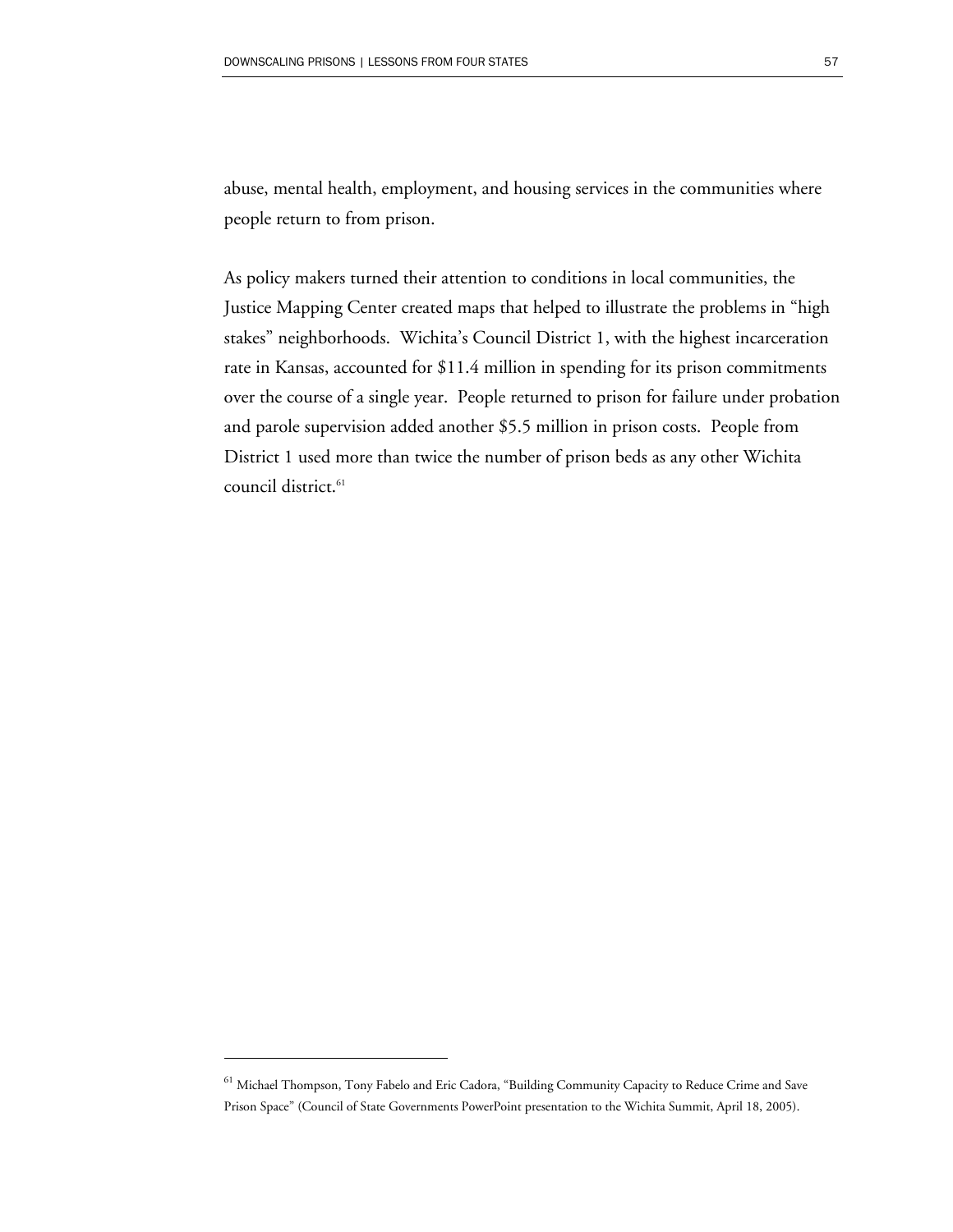abuse, mental health, employment, and housing services in the communities where people return to from prison.

As policy makers turned their attention to conditions in local communities, the Justice Mapping Center created maps that helped to illustrate the problems in "high stakes" neighborhoods. Wichita's Council District 1, with the highest incarceration rate in Kansas, accounted for \$11.4 million in spending for its prison commitments over the course of a single year. People returned to prison for failure under probation and parole supervision added another \$5.5 million in prison costs. People from District 1 used more than twice the number of prison beds as any other Wichita council district.<sup>61</sup>

<sup>61</sup> Michael Thompson, Tony Fabelo and Eric Cadora, "Building Community Capacity to Reduce Crime and Save Prison Space" (Council of State Governments PowerPoint presentation to the Wichita Summit, April 18, 2005).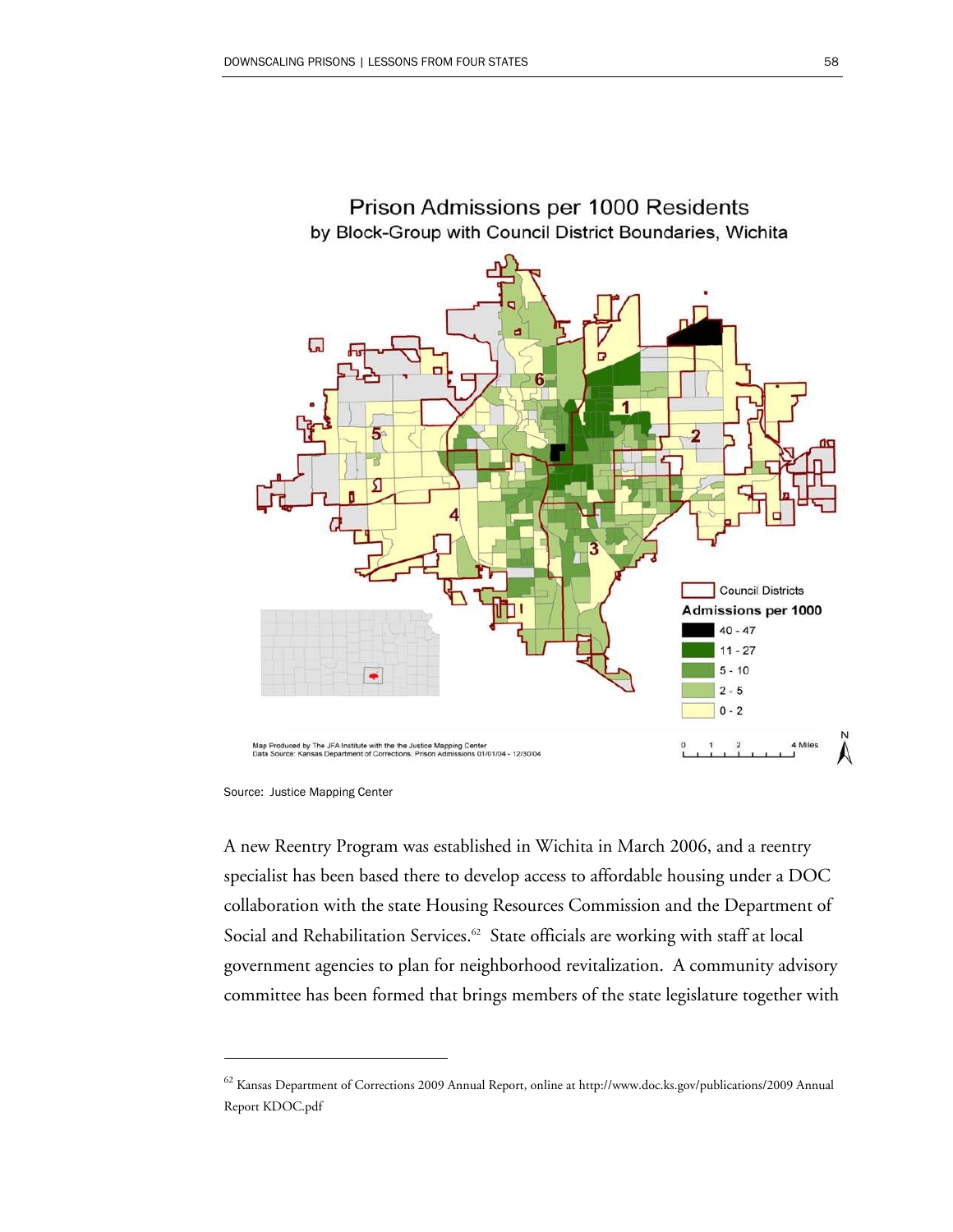

Prison Admissions per 1000 Residents by Block-Group with Council District Boundaries, Wichita

 $\overline{a}$ 

A new Reentry Program was established in Wichita in March 2006, and a reentry specialist has been based there to develop access to affordable housing under a DOC collaboration with the state Housing Resources Commission and the Department of Social and Rehabilitation Services.<sup>62</sup> State officials are working with staff at local government agencies to plan for neighborhood revitalization. A community advisory committee has been formed that brings members of the state legislature together with

Source: Justice Mapping Center

<sup>62</sup> Kansas Department of Corrections 2009 Annual Report, online at http://www.doc.ks.gov/publications/2009 Annual Report KDOC.pdf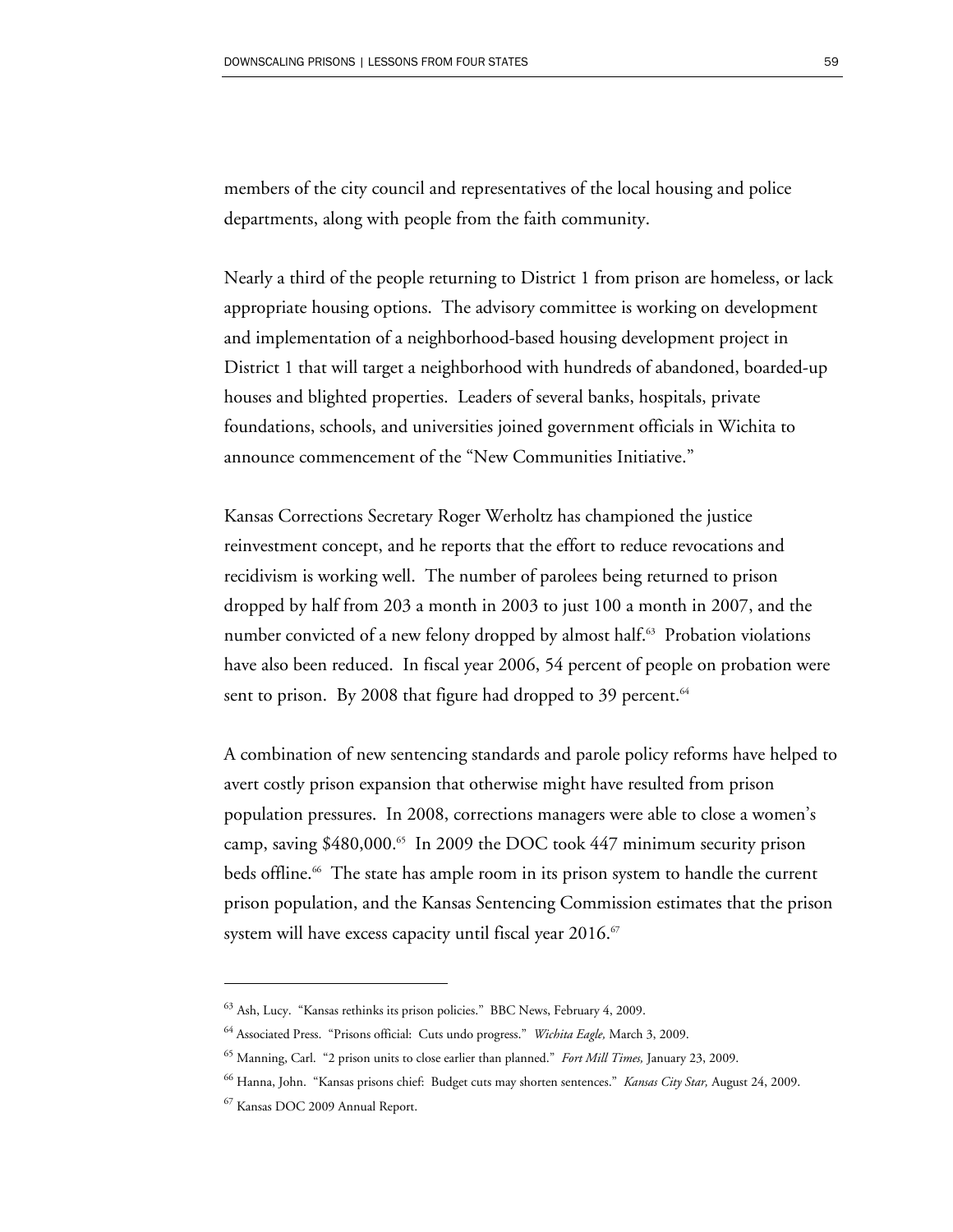members of the city council and representatives of the local housing and police departments, along with people from the faith community.

Nearly a third of the people returning to District 1 from prison are homeless, or lack appropriate housing options. The advisory committee is working on development and implementation of a neighborhood-based housing development project in District 1 that will target a neighborhood with hundreds of abandoned, boarded-up houses and blighted properties. Leaders of several banks, hospitals, private foundations, schools, and universities joined government officials in Wichita to announce commencement of the "New Communities Initiative."

Kansas Corrections Secretary Roger Werholtz has championed the justice reinvestment concept, and he reports that the effort to reduce revocations and recidivism is working well. The number of parolees being returned to prison dropped by half from 203 a month in 2003 to just 100 a month in 2007, and the number convicted of a new felony dropped by almost half.<sup>63</sup> Probation violations have also been reduced. In fiscal year 2006, 54 percent of people on probation were sent to prison. By 2008 that figure had dropped to 39 percent. $64$ 

A combination of new sentencing standards and parole policy reforms have helped to avert costly prison expansion that otherwise might have resulted from prison population pressures. In 2008, corrections managers were able to close a women's camp, saving  $$480,000$ .<sup>65</sup> In 2009 the DOC took  $447$  minimum security prison beds offline.<sup>66</sup> The state has ample room in its prison system to handle the current prison population, and the Kansas Sentencing Commission estimates that the prison system will have excess capacity until fiscal year 2016.<sup>67</sup>

<sup>63</sup> Ash, Lucy. "Kansas rethinks its prison policies." BBC News, February 4, 2009.

<sup>64</sup> Associated Press. "Prisons official: Cuts undo progress." *Wichita Eagle,* March 3, 2009.

<sup>65</sup> Manning, Carl. "2 prison units to close earlier than planned." *Fort Mill Times,* January 23, 2009.

<sup>66</sup> Hanna, John. "Kansas prisons chief: Budget cuts may shorten sentences." *Kansas City Star,* August 24, 2009.

<sup>67</sup> Kansas DOC 2009 Annual Report.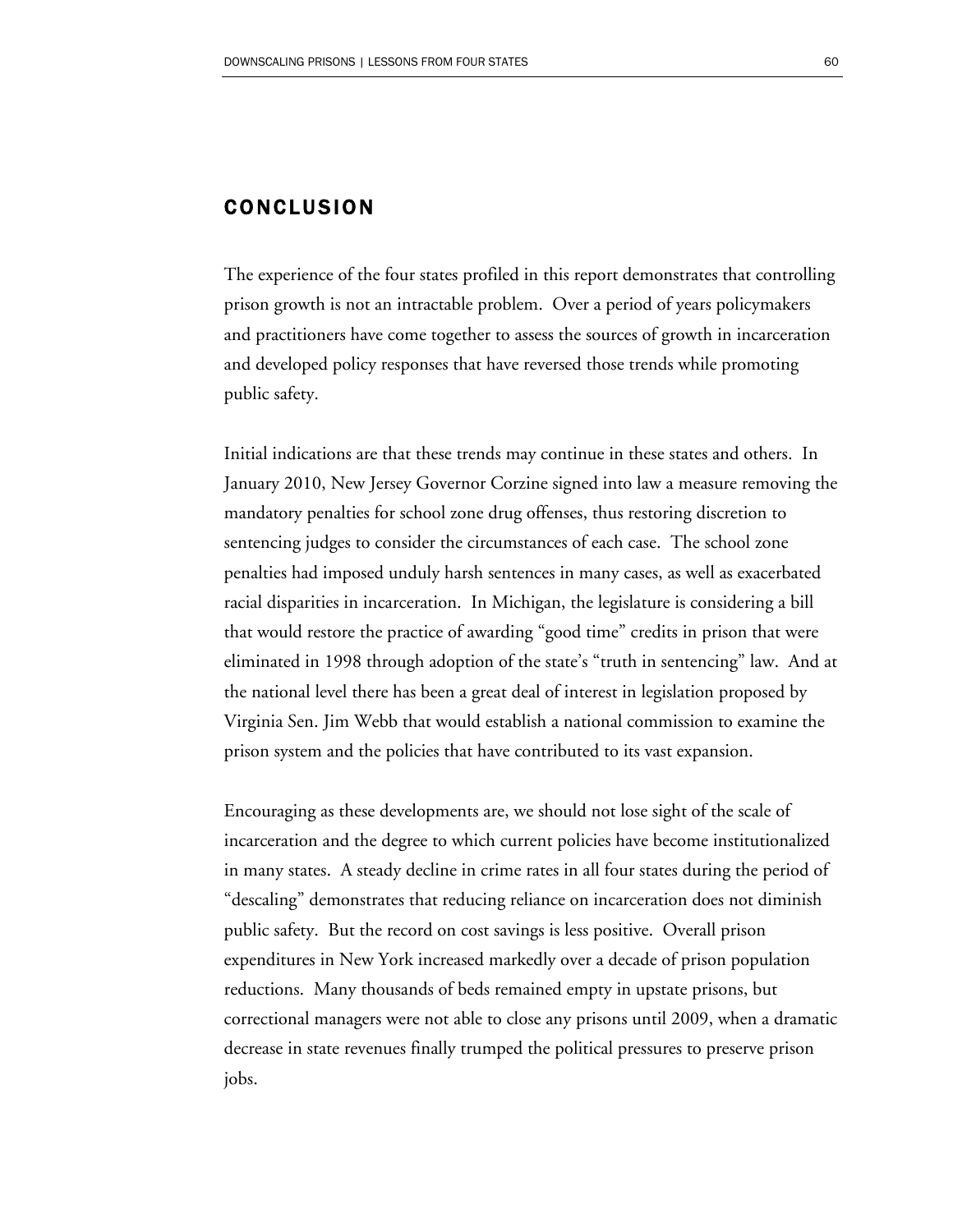### CONCLUSION

The experience of the four states profiled in this report demonstrates that controlling prison growth is not an intractable problem. Over a period of years policymakers and practitioners have come together to assess the sources of growth in incarceration and developed policy responses that have reversed those trends while promoting public safety.

Initial indications are that these trends may continue in these states and others. In January 2010, New Jersey Governor Corzine signed into law a measure removing the mandatory penalties for school zone drug offenses, thus restoring discretion to sentencing judges to consider the circumstances of each case. The school zone penalties had imposed unduly harsh sentences in many cases, as well as exacerbated racial disparities in incarceration. In Michigan, the legislature is considering a bill that would restore the practice of awarding "good time" credits in prison that were eliminated in 1998 through adoption of the state's "truth in sentencing" law. And at the national level there has been a great deal of interest in legislation proposed by Virginia Sen. Jim Webb that would establish a national commission to examine the prison system and the policies that have contributed to its vast expansion.

Encouraging as these developments are, we should not lose sight of the scale of incarceration and the degree to which current policies have become institutionalized in many states. A steady decline in crime rates in all four states during the period of "descaling" demonstrates that reducing reliance on incarceration does not diminish public safety. But the record on cost savings is less positive. Overall prison expenditures in New York increased markedly over a decade of prison population reductions. Many thousands of beds remained empty in upstate prisons, but correctional managers were not able to close any prisons until 2009, when a dramatic decrease in state revenues finally trumped the political pressures to preserve prison jobs.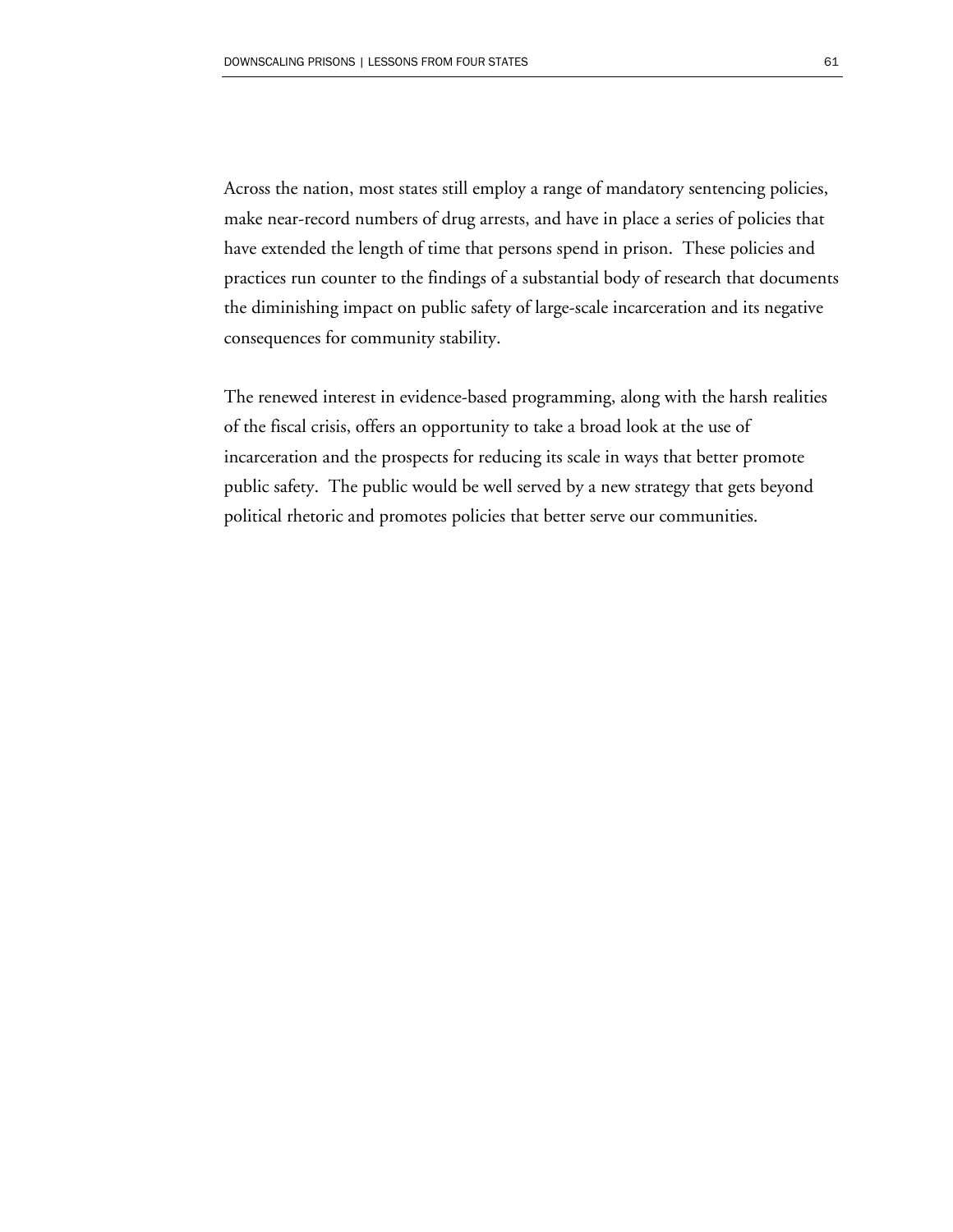Across the nation, most states still employ a range of mandatory sentencing policies, make near-record numbers of drug arrests, and have in place a series of policies that have extended the length of time that persons spend in prison. These policies and practices run counter to the findings of a substantial body of research that documents the diminishing impact on public safety of large-scale incarceration and its negative consequences for community stability.

The renewed interest in evidence-based programming, along with the harsh realities of the fiscal crisis, offers an opportunity to take a broad look at the use of incarceration and the prospects for reducing its scale in ways that better promote public safety. The public would be well served by a new strategy that gets beyond political rhetoric and promotes policies that better serve our communities.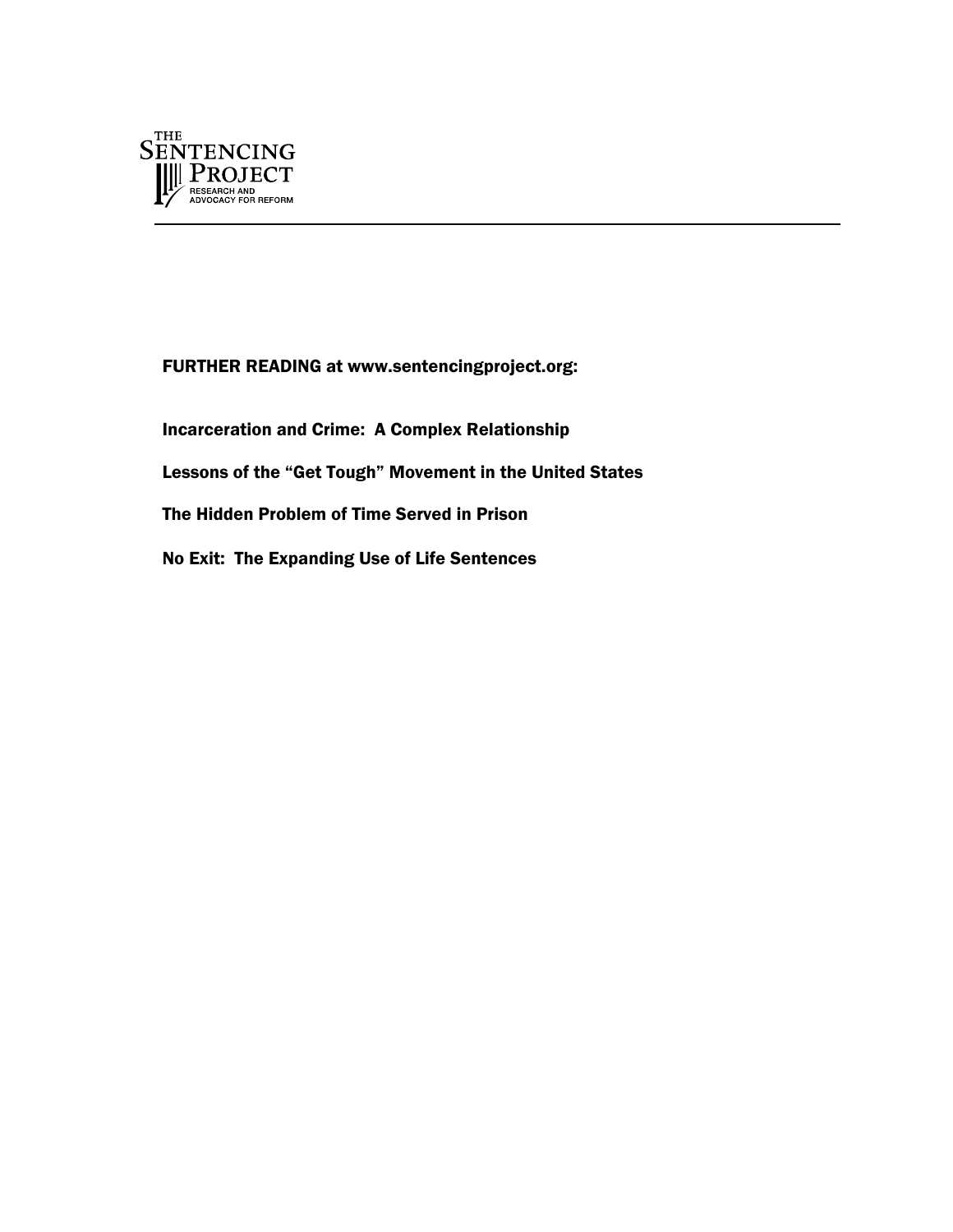

FURTHER READING at www.sentencingproject.org:

Incarceration and Crime: A Complex Relationship Lessons of the "Get Tough" Movement in the United States The Hidden Problem of Time Served in Prison No Exit: The Expanding Use of Life Sentences